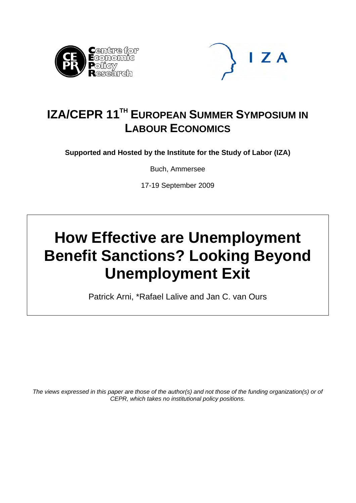



# **IZA/CEPR 11TH EUROPEAN SUMMER SYMPOSIUM IN LABOUR ECONOMICS**

**Supported and Hosted by the Institute for the Study of Labor (IZA)** 

Buch, Ammersee

17-19 September 2009

# **How Effective are Unemployment Benefit Sanctions? Looking Beyond Unemployment Exit**

Patrick Arni, \*Rafael Lalive and Jan C. van Ours

*The views expressed in this paper are those of the author(s) and not those of the funding organization(s) or of CEPR, which takes no institutional policy positions.*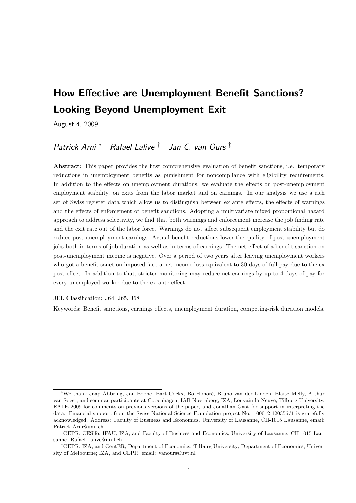## How Effective are Unemployment Benefit Sanctions? Looking Beyond Unemployment Exit

August 4, 2009

### Patrick Arni <sup>∗</sup> Rafael Lalive † Jan C. van Ours ‡

Abstract: This paper provides the first comprehensive evaluation of benefit sanctions, i.e. temporary reductions in unemployment benefits as punishment for noncompliance with eligibility requirements. In addition to the effects on unemployment durations, we evaluate the effects on post-unemployment employment stability, on exits from the labor market and on earnings. In our analysis we use a rich set of Swiss register data which allow us to distinguish between ex ante effects, the effects of warnings and the effects of enforcement of benefit sanctions. Adopting a multivariate mixed proportional hazard approach to address selectivity, we find that both warnings and enforcement increase the job finding rate and the exit rate out of the labor force. Warnings do not affect subsequent employment stability but do reduce post-unemployment earnings. Actual benefit reductions lower the quality of post-unemployment jobs both in terms of job duration as well as in terms of earnings. The net effect of a benefit sanction on post-unemployment income is negative. Over a period of two years after leaving unemployment workers who got a benefit sanction imposed face a net income loss equivalent to 30 days of full pay due to the ex post effect. In addition to that, stricter monitoring may reduce net earnings by up to 4 days of pay for every unemployed worker due to the ex ante effect.

#### JEL Classification: J64, J65, J68

Keywords: Benefit sanctions, earnings effects, unemployment duration, competing-risk duration models.

<sup>∗</sup>We thank Jaap Abbring, Jan Boone, Bart Cockx, Bo Honor´e, Bruno van der Linden, Blaise Melly, Arthur van Soest, and seminar participants at Copenhagen, IAB Nuernberg, IZA, Louvain-la-Neuve, Tilburg University, EALE 2009 for comments on previous versions of the paper, and Jonathan Gast for support in interpreting the data. Financial support from the Swiss National Science Foundation project No. 100012-120356/1 is gratefully acknowledged. Address: Faculty of Business and Economics, University of Lausanne, CH-1015 Lausanne, email: Patrick.Arni@unil.ch

<sup>†</sup>CEPR, CESifo, IFAU, IZA, and Faculty of Business and Economics, University of Lausanne, CH-1015 Lausanne, Rafael.Lalive@unil.ch

<sup>‡</sup>CEPR, IZA, and CentER, Department of Economics, Tilburg University; Department of Economics, University of Melbourne; IZA, and CEPR; email: vanours@uvt.nl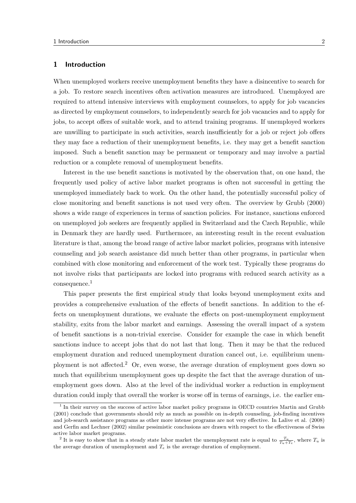#### 1 Introduction

When unemployed workers receive unemployment benefits they have a disincentive to search for a job. To restore search incentives often activation measures are introduced. Unemployed are required to attend intensive interviews with employment counselors, to apply for job vacancies as directed by employment counselors, to independently search for job vacancies and to apply for jobs, to accept offers of suitable work, and to attend training programs. If unemployed workers are unwilling to participate in such activities, search insufficiently for a job or reject job offers they may face a reduction of their unemployment benefits, i.e. they may get a benefit sanction imposed. Such a benefit sanction may be permanent or temporary and may involve a partial reduction or a complete removal of unemployment benefits.

Interest in the use benefit sanctions is motivated by the observation that, on one hand, the frequently used policy of active labor market programs is often not successful in getting the unemployed immediately back to work. On the other hand, the potentially successful policy of close monitoring and benefit sanctions is not used very often. The overview by Grubb (2000) shows a wide range of experiences in terms of sanction policies. For instance, sanctions enforced on unemployed job seekers are frequently applied in Switzerland and the Czech Republic, while in Denmark they are hardly used. Furthermore, an interesting result in the recent evaluation literature is that, among the broad range of active labor market policies, programs with intensive counseling and job search assistance did much better than other programs, in particular when combined with close monitoring and enforcement of the work test. Typically these programs do not involve risks that participants are locked into programs with reduced search activity as a consequence.<sup>1</sup>

This paper presents the first empirical study that looks beyond unemployment exits and provides a comprehensive evaluation of the effects of benefit sanctions. In addition to the effects on unemployment durations, we evaluate the effects on post-unemployment employment stability, exits from the labor market and earnings. Assessing the overall impact of a system of benefit sanctions is a non-trivial exercise. Consider for example the case in which benefit sanctions induce to accept jobs that do not last that long. Then it may be that the reduced employment duration and reduced unemployment duration cancel out, i.e. equilibrium unemployment is not affected.<sup>2</sup> Or, even worse, the average duration of employment goes down so much that equilibrium unemployment goes up despite the fact that the average duration of unemployment goes down. Also at the level of the individual worker a reduction in employment duration could imply that overall the worker is worse off in terms of earnings, i.e. the earlier em-

<sup>&</sup>lt;sup>1</sup> In their survey on the success of active labor market policy programs in OECD countries Martin and Grubb (2001) conclude that governments should rely as much as possible on in-depth counseling, job-finding incentives and job-search assistance programs as other more intense programs are not very effective. In Lalive et al. (2008) and Gerfin and Lechner (2002) similar pessimistic conclusions are drawn with respect to the effectiveness of Swiss active labor market programs.

<sup>&</sup>lt;sup>2</sup> It is easy to show that in a steady state labor market the unemployment rate is equal to  $\frac{T_u}{T_u+T_e}$ , where  $T_u$  is the average duration of unemployment and  $T_e$  is the average duration of employment.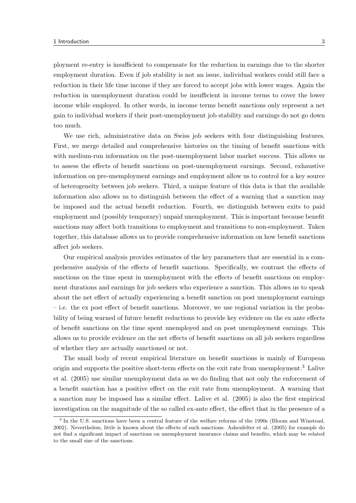ployment re-entry is insufficient to compensate for the reduction in earnings due to the shorter employment duration. Even if job stability is not an issue, individual workers could still face a reduction in their life time income if they are forced to accept jobs with lower wages. Again the reduction in unemployment duration could be insufficient in income terms to cover the lower income while employed. In other words, in income terms benefit sanctions only represent a net gain to individual workers if their post-unemployment job stability and earnings do not go down too much.

We use rich, administrative data on Swiss job seekers with four distinguishing features. First, we merge detailed and comprehensive histories on the timing of benefit sanctions with with medium-run information on the post-unemployment labor market success. This allows us to assess the effects of benefit sanctions on post-unemployment earnings. Second, exhaustive information on pre-unemployment earnings and employment allow us to control for a key source of heterogeneity between job seekers. Third, a unique feature of this data is that the available information also allows us to distinguish between the effect of a warning that a sanction may be imposed and the actual benefit reduction. Fourth, we distinguish between exits to paid employment and (possibly temporary) unpaid unemployment. This is important because benefit sanctions may affect both transitions to employment and transitions to non-employment. Taken together, this database allows us to provide comprehensive information on how benefit sanctions affect job seekers.

Our empirical analysis provides estimates of the key parameters that are essential in a comprehensive analysis of the effects of benefit sanctions. Specifically, we contrast the effects of sanctions on the time spent in unemployment with the effects of benefit sanctions on employment durations and earnings for job seekers who experience a sanction. This allows us to speak about the net effect of actually experiencing a benefit sanction on post unemployment earnings – i.e. the ex post effect of benefit sanctions. Moreover, we use regional variation in the probability of being warned of future benefit reductions to provide key evidence on the ex ante effects of benefit sanctions on the time spent unemployed and on post unemployment earnings. This allows us to provide evidence on the net effects of benefit sanctions on all job seekers regardless of whether they are actually sanctioned or not.

The small body of recent empirical literature on benefit sanctions is mainly of European origin and supports the positive short-term effects on the exit rate from unemployment.<sup>3</sup> Lalive et al. (2005) use similar unemployment data as we do finding that not only the enforcement of a benefit sanction has a positive effect on the exit rate from unemployment. A warning that a sanction may be imposed has a similar effect. Lalive et al. (2005) is also the first empirical investigation on the magnitude of the so called ex-ante effect, the effect that in the presence of a

<sup>&</sup>lt;sup>3</sup> In the U.S. sanctions have been a central feature of the welfare reforms of the 1990s (Bloom and Winstead, 2002). Nevertheless, little is known about the effects of such sanctions. Ashenfelter et al. (2005) for example do not find a significant impact of sanctions on unemployment insurance claims and benefits, which may be related to the small size of the sanctions.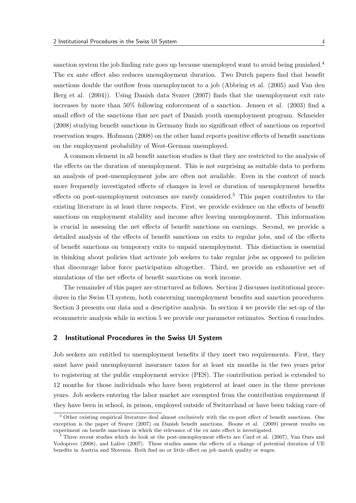sanction system the job finding rate goes up because unemployed want to avoid being punished.<sup>4</sup> The ex ante effect also reduces unemployment duration. Two Dutch papers find that benefit sanctions double the outflow from unemployment to a job (Abbring et al. (2005) and Van den Berg et al. (2004)). Using Danish data Svarer (2007) finds that the unemployment exit rate increases by more than 50% following enforcement of a sanction. Jensen et al. (2003) find a small effect of the sanctions that are part of Danish youth unemployment program. Schneider (2008) studying benefit sanctions in Germany finds no significant effect of sanctions on reported reservation wages. Hofmann (2008) on the other hand reports positive effects of benefit sanctions on the employment probability of West-German unemployed.

A common element in all benefit sanction studies is that they are restricted to the analysis of the effects on the duration of unemployment. This is not surprising as suitable data to perform an analysis of post-unemployment jobs are often not available. Even in the context of much more frequently investigated effects of changes in level or duration of unemployment benefits effects on post-unemployment outcomes are rarely considered.<sup>5</sup> This paper contributes to the existing literature in at least three respects. First, we provide evidence on the effects of benefit sanctions on employment stability and income after leaving unemployment. This information is crucial in assessing the net effects of benefit sanctions on earnings. Second, we provide a detailed analysis of the effects of benefit sanctions on exits to regular jobs, and of the effects of benefit sanctions on temporary exits to unpaid unemployment. This distinction is essential in thinking about policies that activate job seekers to take regular jobs as opposed to policies that discourage labor force participation altogether. Third, we provide an exhaustive set of simulations of the net effects of benefit sanctions on work income.

The remainder of this paper are structured as follows. Section 2 discusses institutional procedures in the Swiss UI system, both concerning unemployment benefits and sanction procedures. Section 3 presents our data and a descriptive analysis. In section 4 we provide the set-up of the econometric analysis while in section 5 we provide our parameter estimates. Section 6 concludes.

#### 2 Institutional Procedures in the Swiss UI System

Job seekers are entitled to unemployment benefits if they meet two requirements. First, they must have paid unemployment insurance taxes for at least six months in the two years prior to registering at the public employment service (PES). The contribution period is extended to 12 months for those individuals who have been registered at least once in the three previous years. Job seekers entering the labor market are exempted from the contribution requirement if they have been in school, in prison, employed outside of Switzerland or have been taking care of

<sup>&</sup>lt;sup>4</sup> Other existing empirical literature deal almost exclusively with the ex-post effect of benefit sanctions. One exception is the paper of Svarer (2007) on Danish benefit sanctions. Boone et al. (2009) present results on experiment on benefit sanctions in which the relevance of the ex ante effect is investigated.

<sup>&</sup>lt;sup>5</sup> Three recent studies which do look at the post-unemployment effects are Card et al. (2007), Van Ours and Vodopivec (2008), and Lalive (2007). These studies assess the effects of a change of potential duration of UE benefits in Austria and Slovenia. Both find no or little effect on job match quality or wages.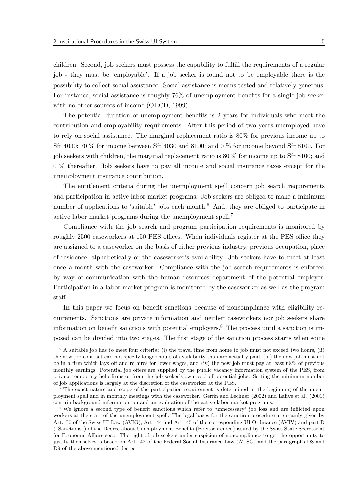children. Second, job seekers must possess the capability to fulfill the requirements of a regular job - they must be 'employable'. If a job seeker is found not to be employable there is the possibility to collect social assistance. Social assistance is means tested and relatively generous. For instance, social assistance is roughly 76% of unemployment benefits for a single job seeker with no other sources of income (OECD, 1999).

The potential duration of unemployment benefits is 2 years for individuals who meet the contribution and employability requirements. After this period of two years unemployed have to rely on social assistance. The marginal replacement ratio is 80% for previous income up to Sfr 4030; 70 % for income between Sfr 4030 and 8100; and 0 % for income beyond Sfr 8100. For job seekers with children, the marginal replacement ratio is 80 % for income up to Sfr 8100; and 0 % thereafter. Job seekers have to pay all income and social insurance taxes except for the unemployment insurance contribution.

The entitlement criteria during the unemployment spell concern job search requirements and participation in active labor market programs. Job seekers are obliged to make a minimum number of applications to 'suitable' jobs each month.<sup>6</sup> And, they are obliged to participate in active labor market programs during the unemployment spell.<sup>7</sup>

Compliance with the job search and program participation requirements is monitored by roughly 2500 caseworkers at 150 PES offices. When individuals register at the PES office they are assigned to a caseworker on the basis of either previous industry, previous occupation, place of residence, alphabetically or the caseworker's availability. Job seekers have to meet at least once a month with the caseworker. Compliance with the job search requirements is enforced by way of communication with the human resources department of the potential employer. Participation in a labor market program is monitored by the caseworker as well as the program staff.

In this paper we focus on benefit sanctions because of noncompliance with eligibility requirements. Sanctions are private information and neither caseworkers nor job seekers share information on benefit sanctions with potential employers.<sup>8</sup> The process until a sanction is imposed can be divided into two stages. The first stage of the sanction process starts when some

 $6$  A suitable job has to meet four criteria: (i) the travel time from home to job must not exceed two hours, (ii) the new job contract can not specify longer hours of availability than are actually paid, (iii) the new job must not be in a firm which lays off and re-hires for lower wages, and (iv) the new job must pay at least 68% of previous monthly earnings. Potential job offers are supplied by the public vacancy information system of the PES, from private temporary help firms or from the job seeker's own pool of potential jobs. Setting the minimum number of job applications is largely at the discretion of the caseworker at the PES.

The exact nature and scope of the participation requirement is determined at the beginning of the unemployment spell and in monthly meetings with the caseworker. Gerfin and Lechner (2002) and Lalive et al. (2001) contain background information on and an evaluation of the active labor market programs.

<sup>&</sup>lt;sup>8</sup> We ignore a second type of benefit sanctions which refer to 'unnecessary' job loss and are inflicted upon workers at the start of the unemployment spell. The legal bases for the sanction procedure are mainly given by Art. 30 of the Swiss UI Law (AVIG), Art. 44 and Art. 45 of the corresponding UI Ordinance (AVIV) and part D ("Sanctions") of the Decree about Unemployment Benefits (Kreisschreiben) issued by the Swiss State Secretariat for Economic Affairs seco. The right of job seekers under suspicion of noncompliance to get the opportunity to justify themselves is based on Art. 42 of the Federal Social Insurance Law (ATSG) and the paragraphs D8 and D9 of the above-mentioned decree.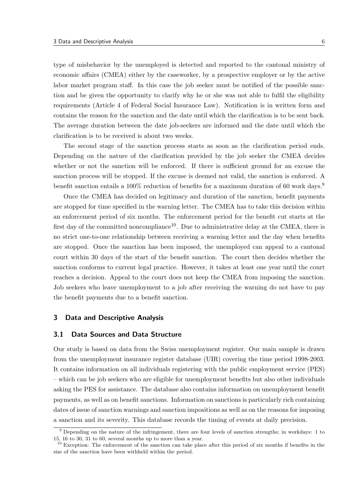type of misbehavior by the unemployed is detected and reported to the cantonal ministry of economic affairs (CMEA) either by the caseworker, by a prospective employer or by the active labor market program staff. In this case the job seeker must be notified of the possible sanction and be given the opportunity to clarify why he or she was not able to fulfil the eligibility requirements (Article 4 of Federal Social Insurance Law). Notification is in written form and contains the reason for the sanction and the date until which the clarification is to be sent back. The average duration between the date job-seekers are informed and the date until which the clarification is to be received is about two weeks.

The second stage of the sanction process starts as soon as the clarification period ends. Depending on the nature of the clarification provided by the job seeker the CMEA decides whether or not the sanction will be enforced. If there is sufficient ground for an excuse the sanction process will be stopped. If the excuse is deemed not valid, the sanction is enforced. A benefit sanction entails a 100% reduction of benefits for a maximum duration of 60 work days.<sup>9</sup>

Once the CMEA has decided on legitimacy and duration of the sanction, benefit payments are stopped for time specified in the warning letter. The CMEA has to take this decision within an enforcement period of six months. The enforcement period for the benefit cut starts at the first day of the committed noncompliance<sup>10</sup>. Due to administrative delay at the CMEA, there is no strict one-to-one relationship between receiving a warning letter and the day when benefits are stopped. Once the sanction has been imposed, the unemployed can appeal to a cantonal court within 30 days of the start of the benefit sanction. The court then decides whether the sanction conforms to current legal practice. However, it takes at least one year until the court reaches a decision. Appeal to the court does not keep the CMEA from imposing the sanction. Job seekers who leave unemployment to a job after receiving the warning do not have to pay the benefit payments due to a benefit sanction.

#### 3 Data and Descriptive Analysis

#### 3.1 Data Sources and Data Structure

Our study is based on data from the Swiss unemployment register. Our main sample is drawn from the unemployment insurance register database (UIR) covering the time period 1998-2003. It contains information on all individuals registering with the public employment service (PES) – which can be job seekers who are eligible for unemployment benefits but also other individuals asking the PES for assistance. The database also contains information on unemployment benefit payments, as well as on benefit sanctions. Information on sanctions is particularly rich containing dates of issue of sanction warnings and sanction impositions as well as on the reasons for imposing a sanction and its severity. This database records the timing of events at daily precision.

<sup>&</sup>lt;sup>9</sup> Depending on the nature of the infringement, there are four levels of sanction strengths; in workdays: 1 to 15, 16 to 30, 31 to 60, several months up to more than a year.

<sup>&</sup>lt;sup>10</sup> Exception: The enforcement of the sanction can take place after this period of six months if benefits in the size of the sanction have been withheld within the period.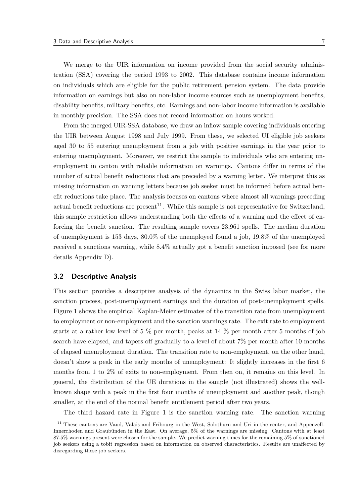We merge to the UIR information on income provided from the social security administration (SSA) covering the period 1993 to 2002. This database contains income information on individuals which are eligible for the public retirement pension system. The data provide information on earnings but also on non-labor income sources such as unemployment benefits, disability benefits, military benefits, etc. Earnings and non-labor income information is available in monthly precision. The SSA does not record information on hours worked.

From the merged UIR-SSA database, we draw an inflow sample covering individuals entering the UIR between August 1998 and July 1999. From these, we selected UI eligible job seekers aged 30 to 55 entering unemployment from a job with positive earnings in the year prior to entering unemployment. Moreover, we restrict the sample to individuals who are entering unemployment in canton with reliable information on warnings. Cantons differ in terms of the number of actual benefit reductions that are preceded by a warning letter. We interpret this as missing information on warning letters because job seeker must be informed before actual benefit reductions take place. The analysis focuses on cantons where almost all warnings preceding actual benefit reductions are present<sup>11</sup>. While this sample is not representative for Switzerland, this sample restriction allows understanding both the effects of a warning and the effect of enforcing the benefit sanction. The resulting sample covers 23,961 spells. The median duration of unemployment is 153 days, 80.0% of the unemployed found a job, 19.8% of the unemployed received a sanctions warning, while 8.4% actually got a benefit sanction imposed (see for more details Appendix D).

#### 3.2 Descriptive Analysis

This section provides a descriptive analysis of the dynamics in the Swiss labor market, the sanction process, post-unemployment earnings and the duration of post-unemployment spells. Figure 1 shows the empirical Kaplan-Meier estimates of the transition rate from unemployment to employment or non-employment and the sanction warnings rate. The exit rate to employment starts at a rather low level of 5 % per month, peaks at 14 % per month after 5 months of job search have elapsed, and tapers off gradually to a level of about 7% per month after 10 months of elapsed unemployment duration. The transition rate to non-employment, on the other hand, doesn't show a peak in the early months of unemployment: It slightly increases in the first 6 months from 1 to 2% of exits to non-employment. From then on, it remains on this level. In general, the distribution of the UE durations in the sample (not illustrated) shows the wellknown shape with a peak in the first four months of unemployment and another peak, though smaller, at the end of the normal benefit entitlement period after two years.

The third hazard rate in Figure 1 is the sanction warning rate. The sanction warning

<sup>&</sup>lt;sup>11</sup> These cantons are Vaud, Valais and Fribourg in the West, Solothurn and Uri in the center, and Appenzell-Innerrhoden and Graubünden in the East. On average, 5% of the warnings are missing. Cantons with at least 87.5% warnings present were chosen for the sample. We predict warning times for the remaining 5% of sanctioned job seekers using a tobit regression based on information on observed characteristics. Results are unaffected by disregarding these job seekers.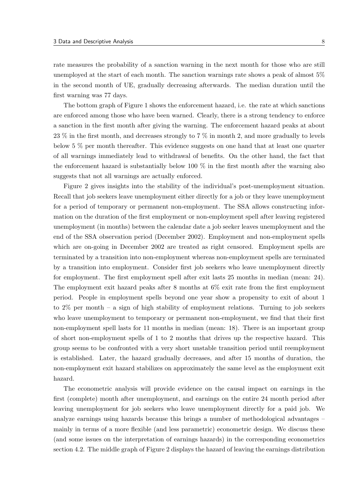rate measures the probability of a sanction warning in the next month for those who are still unemployed at the start of each month. The sanction warnings rate shows a peak of almost 5% in the second month of UE, gradually decreasing afterwards. The median duration until the first warning was 77 days.

The bottom graph of Figure 1 shows the enforcement hazard, i.e. the rate at which sanctions are enforced among those who have been warned. Clearly, there is a strong tendency to enforce a sanction in the first month after giving the warning. The enforcement hazard peaks at about  $23\%$  in the first month, and decreases strongly to 7 % in month 2, and more gradually to levels below 5 % per month thereafter. This evidence suggests on one hand that at least one quarter of all warnings immediately lead to withdrawal of benefits. On the other hand, the fact that the enforcement hazard is substantially below 100  $\%$  in the first month after the warning also suggests that not all warnings are actually enforced.

Figure 2 gives insights into the stability of the individual's post-unemployment situation. Recall that job seekers leave unemployment either directly for a job or they leave unemployment for a period of temporary or permanent non-employment. The SSA allows constructing information on the duration of the first employment or non-employment spell after leaving registered unemployment (in months) between the calendar date a job seeker leaves unemployment and the end of the SSA observation period (December 2002). Employment and non-employment spells which are on-going in December 2002 are treated as right censored. Employment spells are terminated by a transition into non-employment whereas non-employment spells are terminated by a transition into employment. Consider first job seekers who leave unemployment directly for employment. The first employment spell after exit lasts 25 months in median (mean: 24). The employment exit hazard peaks after 8 months at 6% exit rate from the first employment period. People in employment spells beyond one year show a propensity to exit of about 1 to 2% per month – a sign of high stability of employment relations. Turning to job seekers who leave unemployment to temporary or permanent non-employment, we find that their first non-employment spell lasts for 11 months in median (mean: 18). There is an important group of short non-employment spells of 1 to 2 months that drives up the respective hazard. This group seems to be confronted with a very short unstable transition period until reemployment is established. Later, the hazard gradually decreases, and after 15 months of duration, the non-employment exit hazard stabilizes on approximately the same level as the employment exit hazard.

The econometric analysis will provide evidence on the causal impact on earnings in the first (complete) month after unemployment, and earnings on the entire 24 month period after leaving unemployment for job seekers who leave unemployment directly for a paid job. We analyze earnings using hazards because this brings a number of methodological advantages – mainly in terms of a more flexible (and less parametric) econometric design. We discuss these (and some issues on the interpretation of earnings hazards) in the corresponding econometrics section 4.2. The middle graph of Figure 2 displays the hazard of leaving the earnings distribution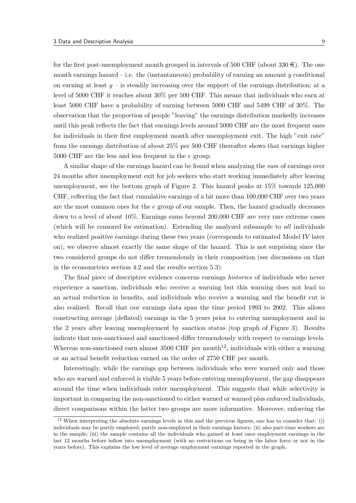for the first post-unemployment month grouped in intervals of 500 CHF (about 330  $\in$ ). The one month earnings hazard – i.e. the (instantaneous) probability of earning an amount  $y$  conditional on earning at least  $y -$  is steadily increasing over the support of the earnings distribution; at a level of 5000 CHF it reaches about 30% per 500 CHF. This means that individuals who earn at least 5000 CHF have a probability of earning between 5000 CHF and 5499 CHF of 30%. The observation that the proportion of people "leaving" the earnings distribution markedly increases until this peak reflects the fact that earnings levels around 5000 CHF are the most frequent ones for individuals in their first employment month after unemployment exit. The high "exit rate" from the earnings distribution of about 25% per 500 CHF thereafter shows that earnings higher 5000 CHF are the less and less frequent in the e group.

A similar shape of the earnings hazard can be found when analyzing the sum of earnings over 24 months after unemployment exit for job seekers who start working immediately after leaving unemployment, see the bottom graph of Figure 2. This hazard peaks at 15% towards 125,000 CHF, reflecting the fact that cumulative earnings of a bit more than 100,000 CHF over two years are the most common ones for the  $e$  group of our sample. Then, the hazard gradually decreases down to a level of about 10%. Earnings sums beyond 200,000 CHF are very rare extreme cases (which will be censored for estimation). Extending the analyzed subsample to all individuals who realized positive earnings during these two years (corresponds to estimated Model IV later on), we observe almost exactly the same shape of the hazard. This is not surprising since the two considered groups do not differ tremendously in their composition (see discussions on that in the econometrics section 4.2 and the results section 5.3).

The final piece of descriptive evidence concerns earnings histories of individuals who never experience a sanction, individuals who receive a warning but this warning does not lead to an actual reduction in benefits, and individuals who receive a warning and the benefit cut is also realized. Recall that our earnings data span the time period 1993 to 2002. This allows constructing average (deflated) earnings in the 5 years prior to entering unemployment and in the 2 years after leaving unemployment by sanction status (top graph of Figure 3). Results indicate that non-sanctioned and sanctioned differ tremendously with respect to earnings levels. Whereas non-sanctioned earn almost  $3500$  CHF per month<sup>12</sup>, individuals with either a warning or an actual benefit reduction earned on the order of 2750 CHF per month.

Interestingly, while the earnings gap between individuals who were warned only and those who are warned and enforced is visible 5 years before entering unemployment, the gap disappears around the time when individuals enter unemployment. This suggests that while selectivity is important in comparing the non-sanctioned to either warned or warned plus enforced individuals, direct comparisons within the latter two groups are more informative. Moreover, enforcing the

 $12$  When interpreting the absolute earnings levels in this and the previous figures, one has to consider that: (i) individuals may be partly employed, partly non-employed in their earnings history; (ii) also part-time workers are in the sample; (iii) the sample contains all the individuals who gained at least once employment earnings in the last 12 months before inflow into unemployment (with no restrictions on being in the labor force or not in the years before). This explains the low level of average employment earnings reported in the graph.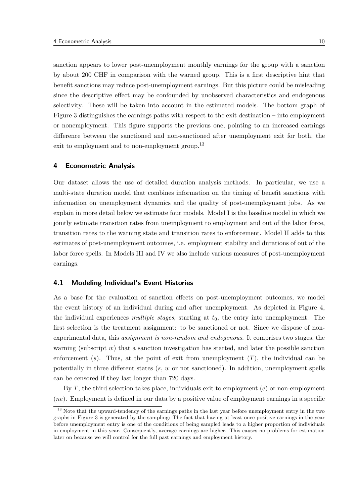sanction appears to lower post-unemployment monthly earnings for the group with a sanction by about 200 CHF in comparison with the warned group. This is a first descriptive hint that benefit sanctions may reduce post-unemployment earnings. But this picture could be misleading since the descriptive effect may be confounded by unobserved characteristics and endogenous selectivity. These will be taken into account in the estimated models. The bottom graph of Figure 3 distinguishes the earnings paths with respect to the exit destination – into employment or nonemployment. This figure supports the previous one, pointing to an increased earnings difference between the sanctioned and non-sanctioned after unemployment exit for both, the exit to employment and to non-employment group.<sup>13</sup>

#### 4 Econometric Analysis

Our dataset allows the use of detailed duration analysis methods. In particular, we use a multi-state duration model that combines information on the timing of benefit sanctions with information on unemployment dynamics and the quality of post-unemployment jobs. As we explain in more detail below we estimate four models. Model I is the baseline model in which we jointly estimate transition rates from unemployment to employment and out of the labor force, transition rates to the warning state and transition rates to enforcement. Model II adds to this estimates of post-unemployment outcomes, i.e. employment stability and durations of out of the labor force spells. In Models III and IV we also include various measures of post-unemployment earnings.

#### 4.1 Modeling Individual's Event Histories

As a base for the evaluation of sanction effects on post-unemployment outcomes, we model the event history of an individual during and after unemployment. As depicted in Figure 4, the individual experiences multiple stages, starting at  $t_0$ , the entry into unemployment. The first selection is the treatment assignment: to be sanctioned or not. Since we dispose of nonexperimental data, this *assignment is non-random and endogenous*. It comprises two stages, the warning (subscript  $w$ ) that a sanction investigation has started, and later the possible sanction enforcement (s). Thus, at the point of exit from unemployment  $(T)$ , the individual can be potentially in three different states  $(s, w$  or not sanctioned). In addition, unemployment spells can be censored if they last longer than 720 days.

By  $T$ , the third selection takes place, individuals exit to employment  $(e)$  or non-employment  $(ne)$ . Employment is defined in our data by a positive value of employment earnings in a specific

<sup>&</sup>lt;sup>13</sup> Note that the upward-tendency of the earnings paths in the last year before unemployment entry in the two graphs in Figure 3 is generated by the sampling: The fact that having at least once positive earnings in the year before unemployment entry is one of the conditions of being sampled leads to a higher proportion of individuals in employment in this year. Consequently, average earnings are higher. This causes no problems for estimation later on because we will control for the full past earnings and employment history.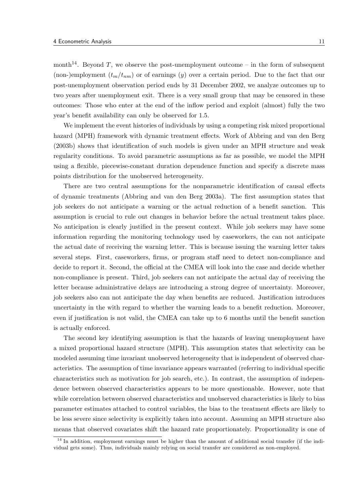month<sup>14</sup>. Beyond T, we observe the post-unemployment outcome – in the form of subsequent (non-)employment  $(t_m/t_{nm})$  or of earnings  $(y)$  over a certain period. Due to the fact that our post-unemployment observation period ends by 31 December 2002, we analyze outcomes up to two years after unemployment exit. There is a very small group that may be censored in these outcomes: Those who enter at the end of the inflow period and exploit (almost) fully the two year's benefit availability can only be observed for 1.5.

We implement the event histories of individuals by using a competing risk mixed proportional hazard (MPH) framework with dynamic treatment effects. Work of Abbring and van den Berg (2003b) shows that identification of such models is given under an MPH structure and weak regularity conditions. To avoid parametric assumptions as far as possible, we model the MPH using a flexible, piecewise-constant duration dependence function and specify a discrete mass points distribution for the unobserved heterogeneity.

There are two central assumptions for the nonparametric identification of causal effects of dynamic treatments (Abbring and van den Berg 2003a). The first assumption states that job seekers do not anticipate a warning or the actual reduction of a benefit sanction. This assumption is crucial to rule out changes in behavior before the actual treatment takes place. No anticipation is clearly justified in the present context. While job seekers may have some information regarding the monitoring technology used by caseworkers, the can not anticipate the actual date of receiving the warning letter. This is because issuing the warning letter takes several steps. First, caseworkers, firms, or program staff need to detect non-compliance and decide to report it. Second, the official at the CMEA will look into the case and decide whether non-compliance is present. Third, job seekers can not anticipate the actual day of receiving the letter because administrative delays are introducing a strong degree of uncertainty. Moreover, job seekers also can not anticipate the day when benefits are reduced. Justification introduces uncertainty in the with regard to whether the warning leads to a benefit reduction. Moreover, even if justification is not valid, the CMEA can take up to 6 months until the benefit sanction is actually enforced.

The second key identifying assumption is that the hazards of leaving unemployment have a mixed proportional hazard structure (MPH). This assumption states that selectivity can be modeled assuming time invariant unobserved heterogeneity that is independent of observed characteristics. The assumption of time invariance appears warranted (referring to individual specific characteristics such as motivation for job search, etc.). In contrast, the assumption of independence between observed characteristics appears to be more questionable. However, note that while correlation between observed characteristics and unobserved characteristics is likely to bias parameter estimates attached to control variables, the bias to the treatment effects are likely to be less severe since selectivity is explicitly taken into account. Assuming an MPH structure also means that observed covariates shift the hazard rate proportionately. Proportionality is one of

<sup>&</sup>lt;sup>14</sup> In addition, employment earnings must be higher than the amount of additional social transfer (if the individual gets some). Thus, individuals mainly relying on social transfer are considered as non-employed.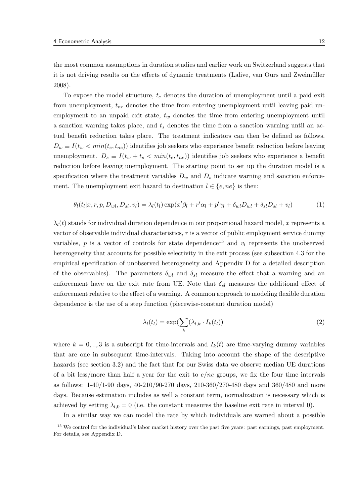the most common assumptions in duration studies and earlier work on Switzerland suggests that it is not driving results on the effects of dynamic treatments (Lalive, van Ours and Zweimüller 2008).

To expose the model structure,  $t_e$  denotes the duration of unemployment until a paid exit from unemployment,  $t_{ne}$  denotes the time from entering unemployment until leaving paid unemployment to an unpaid exit state,  $t_w$  denotes the time from entering unemployment until a sanction warning takes place, and  $t_s$  denotes the time from a sanction warning until an actual benefit reduction takes place. The treatment indicators can then be defined as follows.  $D_w \equiv I(t_w < min(t_e, t_{ne}))$  identifies job seekers who experience benefit reduction before leaving unemployment.  $D_s \equiv I(t_w + t_s < min(t_e, t_{ne}))$  identifies job seekers who experience a benefit reduction before leaving unemployment. The starting point to set up the duration model is a specification where the treatment variables  $D_w$  and  $D_s$  indicate warning and sanction enforcement. The unemployment exit hazard to destination  $l \in \{e, ne\}$  is then:

$$
\theta_l(t_l|x,r,p,D_{wl},D_{sl},v_l) = \lambda_l(t_l) \exp(x'\beta_l + r'\alpha_l + p'\gamma_l + \delta_{wl}D_{wl} + \delta_{sl}D_{sl} + v_l)
$$
(1)

 $\lambda_l(t)$  stands for individual duration dependence in our proportional hazard model, x represents a vector of observable individual characteristics, r is a vector of public employment service dummy variables,  $p$  is a vector of controls for state dependence<sup>15</sup> and  $v_l$  represents the unobserved heterogeneity that accounts for possible selectivity in the exit process (see subsection 4.3 for the empirical specification of unobserved heterogeneity and Appendix D for a detailed description of the observables). The parameters  $\delta_{wl}$  and  $\delta_{sl}$  measure the effect that a warning and an enforcement have on the exit rate from UE. Note that  $\delta_{sl}$  measures the additional effect of enforcement relative to the effect of a warning. A common approach to modeling flexible duration dependence is the use of a step function (piecewise-constant duration model)

$$
\lambda_l(t_l) = \exp(\sum_k (\lambda_{l,k} \cdot I_k(t_l))
$$
\n(2)

where  $k = 0, \ldots, 3$  is a subscript for time-intervals and  $I_k(t)$  are time-varying dummy variables that are one in subsequent time-intervals. Taking into account the shape of the descriptive hazards (see section 3.2) and the fact that for our Swiss data we observe median UE durations of a bit less/more than half a year for the exit to  $e/ne$  groups, we fix the four time intervals as follows: 1-40/1-90 days, 40-210/90-270 days, 210-360/270-480 days and 360/480 and more days. Because estimation includes as well a constant term, normalization is necessary which is achieved by setting  $\lambda_{l,0} = 0$  (i.e. the constant measures the baseline exit rate in interval 0).

In a similar way we can model the rate by which individuals are warned about a possible

<sup>&</sup>lt;sup>15</sup> We control for the individual's labor market history over the past five years: past earnings, past employment. For details, see Appendix D.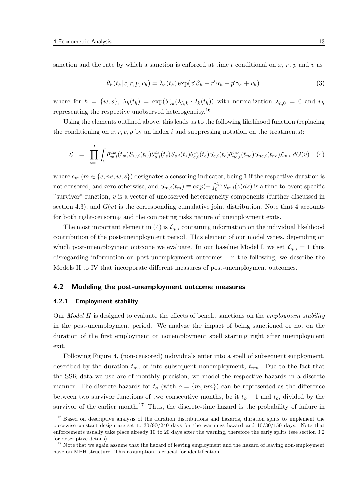sanction and the rate by which a sanction is enforced at time t conditional on x, r, p and v as

$$
\theta_h(t_h|x,r,p,v_h) = \lambda_h(t_h) \exp(x'\beta_h + r'\alpha_h + p'\gamma_h + v_h)
$$
\n(3)

where for  $h = \{w, s\}$ ,  $\lambda_h(t_h) = \exp(\sum_k (\lambda_{h,k} \cdot I_k(t_h))$  with normalization  $\lambda_{h,0} = 0$  and  $v_h$ representing the respective unobserved heterogeneity.<sup>16</sup>

Using the elements outlined above, this leads us to the following likelihood function (replacing the conditioning on  $x, r, v, p$  by an index i and suppressing notation on the treatments):

$$
\mathcal{L} = \prod_{i=1}^{I} \int_{v} \theta_{w,i}^{c_{w}}(t_{w}) S_{w,i}(t_{w}) \theta_{s,i}^{c_{s}}(t_{s}) S_{s,i}(t_{s}) \theta_{e,i}^{c_{e}}(t_{e}) S_{e,i}(t_{e}) \theta_{ne,i}^{c_{ne}}(t_{ne}) S_{ne,i}(t_{ne}) \mathcal{L}_{p,i} dG(v) \quad (4)
$$

where  $c_m$   $(m \in \{e, ne, w, s\})$  designates a censoring indicator, being 1 if the respective duration is not censored, and zero otherwise, and  $S_{m,i}(t_m) \equiv exp(-\int_0^{t_m}$  $\int_0^{\tau_m} \theta_{m,i}(z) dz$  is a time-to-event specific "survivor" function,  $v$  is a vector of unobserved heterogeneity components (further discussed in section 4.3), and  $G(v)$  is the corresponding cumulative joint distribution. Note that 4 accounts for both right-censoring and the competing risks nature of unemployment exits.

The most important element in (4) is  $\mathcal{L}_{p,i}$  containing information on the individual likelihood contribution of the post-unemployment period. This element of our model varies, depending on which post-unemployment outcome we evaluate. In our baseline Model I, we set  $\mathcal{L}_{p,i} = 1$  thus disregarding information on post-unemployment outcomes. In the following, we describe the Models II to IV that incorporate different measures of post-unemployment outcomes.

#### 4.2 Modeling the post-unemployment outcome measures

#### 4.2.1 Employment stability

Our Model II is designed to evaluate the effects of benefit sanctions on the *employment stability* in the post-unemployment period. We analyze the impact of being sanctioned or not on the duration of the first employment or nonemployment spell starting right after unemployment exit.

Following Figure 4, (non-censored) individuals enter into a spell of subsequent employment, described by the duration  $t_m$ , or into subsequent nonemployment,  $t_{nm}$ . Due to the fact that the SSR data we use are of monthly precision, we model the respective hazards in a discrete manner. The discrete hazards for  $t_o$  (with  $o = \{m, nm\}$ ) can be represented as the difference between two survivor functions of two consecutive months, be it  $t_o - 1$  and  $t_o$ , divided by the survivor of the earlier month.<sup>17</sup> Thus, the discrete-time hazard is the probability of failure in

<sup>&</sup>lt;sup>16</sup> Based on descriptive analysis of the duration distributions and hazards, duration splits to implement the piecewise-constant design are set to 30/90/240 days for the warnings hazard and 10/30/150 days. Note that enforcements usually take place already 10 to 20 days after the warning, therefore the early splits (see section 3.2 for descriptive details).

<sup>&</sup>lt;sup>17</sup> Note that we again assume that the hazard of leaving employment and the hazard of leaving non-employment have an MPH structure. This assumption is crucial for identification.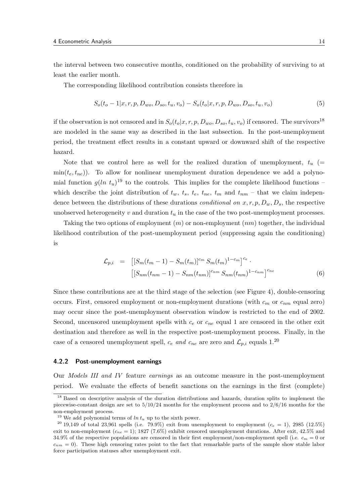the interval between two consecutive months, conditioned on the probability of surviving to at least the earlier month.

The corresponding likelihood contribution consists therefore in

$$
S_o(t_o - 1|x, r, p, D_{wo}, D_{so}, t_u, v_o) - S_o(t_o|x, r, p, D_{wo}, D_{so}, t_u, v_o)
$$
\n
$$
(5)
$$

if the observation is not censored and in  $S_o(t_o|x, r, p, D_{wo}, D_{so}, t_u, v_o)$  if censored. The survivors<sup>18</sup> are modeled in the same way as described in the last subsection. In the post-unemployment period, the treatment effect results in a constant upward or downward shift of the respective hazard.

Note that we control here as well for the realized duration of unemployment,  $t_u$  (=  $min(t_e, t_{ne})$ . To allow for nonlinear unemployment duration dependence we add a polynomial function  $g(ln t_u)^{19}$  to the controls. This implies for the complete likelihood functions – which describe the joint distribution of  $t_w$ ,  $t_s$ ,  $t_e$ ,  $t_{ne}$ ,  $t_m$  and  $t_{nm}$  – that we claim independence between the distributions of these durations *conditional on*  $x, r, p, D_w, D_s$ , the respective unobserved heterogeneity  $v$  and duration  $t<sub>u</sub>$  in the case of the two post-unemployment processes.

Taking the two options of employment  $(m)$  or non-employment  $(nm)$  together, the individual likelihood contribution of the post-unemployment period (suppressing again the conditioning) is

$$
\mathcal{L}_{p,i} = \left[ \left[ S_m(t_m - 1) - S_m(t_m) \right]^{c_m} S_m(t_m)^{1 - c_m} \right]^{c_e} \cdot \left[ \left[ S_{nm}(t_{nm} - 1) - S_{nm}(t_{nm}) \right]^{c_{nm}} S_{nm}(t_{nm})^{1 - c_{nm}} \right]^{c_{ne}} \tag{6}
$$

Since these contributions are at the third stage of the selection (see Figure 4), double-censoring occurs. First, censored employment or non-employment durations (with  $c_m$  or  $c_{nm}$  equal zero) may occur since the post-unemployment observation window is restricted to the end of 2002. Second, uncensored unemployment spells with  $c_e$  or  $c_{ne}$  equal 1 are censored in the other exit destination and therefore as well in the respective post-unemployment process. Finally, in the case of a censored unemployment spell,  $c_e$  and  $c_{ne}$  are zero and  $\mathcal{L}_{p,i}$  equals 1.<sup>20</sup>

#### 4.2.2 Post-unemployment earnings

Our Models III and IV feature earnings as an outcome measure in the post-unemployment period. We evaluate the effects of benefit sanctions on the earnings in the first (complete)

<sup>&</sup>lt;sup>18</sup> Based on descriptive analysis of the duration distributions and hazards, duration splits to implement the piecewise-constant design are set to 5/10/24 months for the employment process and to 2/6/16 months for the non-employment process.

<sup>&</sup>lt;sup>19</sup> We add polynomial terms of  $\ln t_u$  up to the sixth power.

<sup>&</sup>lt;sup>20</sup> 19,149 of total 23,961 spells (i.e. 79.9%) exit from unemployment to employment ( $c_e = 1$ ), 2985 (12.5%) exit to non-employment ( $c_{ne} = 1$ ); 1827 (7.6%) exhibit censored unemployment durations. After exit, 42.5% and 34.9% of the respective populations are censored in their first employment/non-employment spell (i.e.  $c_m = 0$  or  $c_{nm} = 0$ ). These high censoring rates point to the fact that remarkable parts of the sample show stable labor force participation statuses after unemployment exit.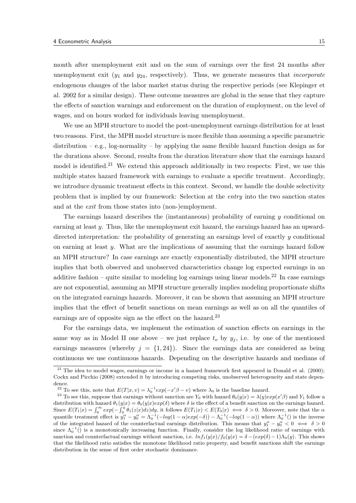month after unemployment exit and on the sum of earnings over the first 24 months after unemployment exit  $(y_1$  and  $y_{24}$ , respectively). Thus, we generate measures that *incorporate* endogenous changes of the labor market status during the respective periods (see Klepinger et al. 2002 for a similar design). These outcome measures are global in the sense that they capture the effects of sanction warnings and enforcement on the duration of employment, on the level of wages, and on hours worked for individuals leaving unemployment.

We use an MPH structure to model the post-unemployment earnings distribution for at least two reasons. First, the MPH model structure is more flexible than assuming a specific parametric distribution – e.g., log-normality – by applying the same flexible hazard function design as for the durations above. Second, results from the duration literature show that the earnings hazard model is identified.<sup>21</sup> We extend this approach additionally in two respects: First, we use this multiple states hazard framework with earnings to evaluate a specific treatment. Accordingly, we introduce dynamic treatment effects in this context. Second, we handle the double selectivity problem that is implied by our framework: Selection at the entry into the two sanction states and at the exit from those states into (non-)employment.

The earnings hazard describes the (instantaneous) probability of earning  $\gamma$  conditional on earning at least  $y$ . Thus, like the unemployment exit hazard, the earnings hazard has an upwarddirected interpretation: the probability of generating an earnings level of exactly  $y$  conditional on earning at least  $y$ . What are the implications of assuming that the earnings hazard follow an MPH structure? In case earnings are exactly exponentially distributed, the MPH structure implies that both observed and unobserved characteristics change log expected earnings in an additive fashion – quite similar to modeling log earnings using linear models.<sup>22</sup> In case earnings are not exponential, assuming an MPH structure generally implies modeling proportionate shifts on the integrated earnings hazards. Moreover, it can be shown that assuming an MPH structure implies that the effect of benefit sanctions on mean earnings as well as on all the quantiles of earnings are of opposite sign as the effect on the hazard.<sup>23</sup>

For the earnings data, we implement the estimation of sanction effects on earnings in the same way as in Model II one above – we just replace  $t_o$  by  $y_j$ , i.e. by one of the mentioned earnings measures (whereby  $j = \{1, 24\}$ ). Since the earnings data are considered as being continuous we use continuous hazards. Depending on the descriptive hazards and medians of

 $21$  The idea to model wages, earnings or income in a hazard framework first appeared in Donald et al. (2000); Cockx and Picchio (2008) extended it by introducing competing risks, unobserved heterogeneity and state dependence.

<sup>&</sup>lt;sup>22</sup> To see this, note that  $E(T|x,v) = \lambda_0^{-1} exp(-x'\beta - v)$  where  $\lambda_0$  is the baseline hazard.

<sup>&</sup>lt;sup>23</sup> To see this, suppose that earnings without sanction are Y<sub>0</sub> with hazard  $\theta_0(y|x) = \lambda(y) exp(x' \beta)$  and Y<sub>1</sub> follow a distribution with hazard  $\theta_1(y|x) = \theta_0(y|x)exp(\delta)$  where  $\delta$  is the effect of a benefit sanction on the earnings hazard. distribution with hazard  $\sigma_1(y|x) = \sigma_0(y|x)exp(\sigma)$  where  $\sigma$  is the effect of a benefit sanction on the earnings hazard.<br>Since  $E(T_1|x) = \int_0^\infty exp(-\int_0^y \theta_1(z|x)dz)dy$ , it follows  $E(T_1|x) < E(T_0|x) \iff \delta > 0$ . Moreover, note that the  $\$ quantile treatment effect is  $y_1^{\alpha} - y_0^{\alpha} = \Lambda_0^{-1}(-log(1-\alpha)exp(-\delta)) - \Lambda_0^{-1}(-log(1-\alpha))$  where  $\Lambda_0^{-1}()$  is the inverse of the integrated hazard of the counterfactual earnings distribution. This means that  $y_1^{\alpha} - y_0^{\alpha} < 0 \iff \delta > 0$ since  $\Lambda_0^{-1}$  is a monotonically increasing function. Finally, consider the log likelihood ratio of earnings with sanction and counterfactual earnings without sanction, i.e.  $ln f_1(y|x)/f_0(y|x) = \delta - (exp(\delta) - 1)\Lambda_0(y)$ . This shows that the likelihood ratio satisfies the monotone likelihood ratio property, and benefit sanctions shift the earnings distribution in the sense of first order stochastic dominance.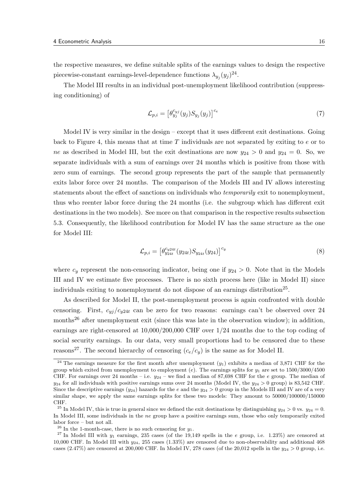the respective measures, we define suitable splits of the earnings values to design the respective piecewise-constant earnings-level-dependence functions  $\lambda_{y_j}(y_j)^{24}$ .

The Model III results in an individual post-unemployment likelihood contribution (suppressing conditioning) of

$$
\mathcal{L}_{p,i} = \left[\theta_{y_j}^{c_{yj}}(y_j)S_{y_j}(y_j)\right]^{c_e} \tag{7}
$$

Model IV is very similar in the design – except that it uses different exit destinations. Going back to Figure 4, this means that at time  $T$  individuals are not separated by exiting to  $e$  or to ne as described in Model III, but the exit destinations are now  $y_{24} > 0$  and  $y_{24} = 0$ . So, we separate individuals with a sum of earnings over 24 months which is positive from those with zero sum of earnings. The second group represents the part of the sample that permanently exits labor force over 24 months. The comparison of the Models III and IV allows interesting statements about the effect of sanctions on individuals who *temporarily* exit to nonemployment, thus who reenter labor force during the 24 months (i.e. the subgroup which has different exit destinations in the two models). See more on that comparison in the respective results subsection 5.3. Consequently, the likelihood contribution for Model IV has the same structure as the one for Model III:

$$
\mathcal{L}_{p,i} = \left[\theta_{y_{24t}}^{c_{y_{24t}}}(y_{24t})S_{y_{24t}}(y_{24})\right]^{c_y} \tag{8}
$$

where  $c_y$  represent the non-censoring indicator, being one if  $y_{24} > 0$ . Note that in the Models III and IV we estimate five processes. There is no sixth process here (like in Model II) since individuals exiting to nonemployment do not dispose of an earnings distribution<sup>25</sup>.

As described for Model II, the post-unemployment process is again confronted with double censoring. First,  $c_{yi}/c_{y24t}$  can be zero for two reasons: earnings can't be observed over 24 months<sup>26</sup> after unemployment exit (since this was late in the observation window); in addition, earnings are right-censored at 10,000/200,000 CHF over 1/24 months due to the top coding of social security earnings. In our data, very small proportions had to be censored due to these reasons<sup>27</sup>. The second hierarchy of censoring  $(c_e/c_y)$  is the same as for Model II.

<sup>&</sup>lt;sup>24</sup> The earnings measure for the first month after unemployment  $(y_1)$  exhibits a median of 3,871 CHF for the group which exited from unemployment to employment  $(e)$ . The earnings splits for  $y_1$  are set to 1500/3000/4500 CHF. For earnings over 24 months – i.e.  $y_{24}$  – we find a median of 87,698 CHF for the e group. The median of  $y_{24}$  for all individuals with positive earnings sums over 24 months (Model IV, the  $y_{24} > 0$  group) is 83,542 CHF. Since the descriptive earnings  $(y_{24})$  hazards for the e and the  $y_{24} > 0$  group in the Models III and IV are of a very similar shape, we apply the same earnings splits for these two models: They amount to  $50000/100000/150000$ CHF.

<sup>&</sup>lt;sup>25</sup> In Model IV, this is true in general since we defined the exit destinations by distinguishing  $y_{24} > 0$  vs.  $y_{24} = 0$ . In Model III, some individuals in the ne group have a positive earnings sum, those who only temporarily exited labor force – but not all.

<sup>&</sup>lt;sup>26</sup> In the 1-month-case, there is no such censoring for  $y_1$ .

<sup>&</sup>lt;sup>27</sup> In Model III with  $y_1$  earnings, 235 cases (of the 19,149 spells in the e group, i.e. 1.23%) are censored at 10,000 CHF. In Model III with  $y_{24}$ , 255 cases (1.33%) are censored due to non-observability and additional 468 cases (2.47%) are censored at 200,000 CHF. In Model IV, 278 cases (of the 20,012 spells in the  $y_{24} > 0$  group, i.e.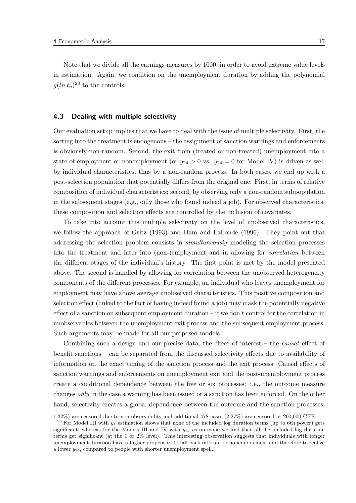#### 4.3 Dealing with multiple selectivity

Our evaluation setup implies that we have to deal with the issue of multiple selectivity. First, the sorting into the treatment is endogenous – the assignment of sanction warnings and enforcements is obviously non-random. Second, the exit from (treated or non-treated) unemployment into a state of employment or nonemployment (or  $y_{24} > 0$  vs.  $y_{24} = 0$  for Model IV) is driven as well by individual characteristics, thus by a non-random process. In both cases, we end up with a post-selection population that potentially differs from the original one: First, in terms of relative composition of individual characteristics; second, by observing only a non-random subpopulation in the subsequent stages (e.g., only those who found indeed a job). For observed characteristics, these composition and selection effects are controlled by the inclusion of covariates.

To take into account this multiple selectivity on the level of unobserved characteristics, we follow the approach of Gritz (1993) and Ham and LaLonde (1996). They point out that addressing the selection problem consists in simultaneously modeling the selection processes into the treatment and later into (non-)employment and in allowing for correlation between the different stages of the individual's history. The first point is met by the model presented above. The second is handled by allowing for correlation between the unobserved heterogeneity components of the different processes. For example, an individual who leaves unemployment for employment may have above average unobserved characteristics. This positive composition and selection effect (linked to the fact of having indeed found a job) may mask the potentially negative effect of a sanction on subsequent employment duration – if we don't control for the correlation in unobservables between the unemployment exit process and the subsequent employment process. Such arguments may be made for all our proposed models.

Combining such a design and our precise data, the effect of interest – the *causal* effect of benefit sanctions – can be separated from the discussed selectivity effects due to availability of information on the exact timing of the sanction process and the exit process. Causal effects of sanction warnings and enforcements on unemployment exit and the post-unemployment process create a conditional dependence between the five or six processes: i.e., the outcome measure changes only in the case a warning has been issued or a sanction has been enforced. On the other hand, selectivity creates a global dependence between the outcome and the sanction processes.

<sup>1.32%)</sup> are censored due to non-observability and additional 478 cases (2.27%) are censored at 200,000 CHF.

<sup>&</sup>lt;sup>28</sup> For Model III with  $y_1$  estimation shows that none of the included log duration terms (up to 6th power) gets significant, whereas for the Models III and IV with  $y_{24}$  as outcome we find that all the included log duration terms get significant (at the 1 or 2% level). This interesting observation suggests that individuals with longer unemployment duration have a higher propensity to fall back into un- or nonemployment and therefore to realize a lower  $y_{24}$ , compared to people with shorter unemployment spell.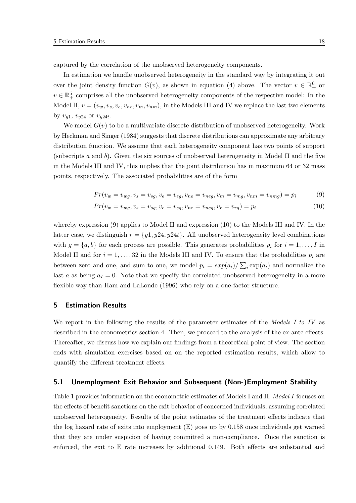captured by the correlation of the unobserved heterogeneity components.

In estimation we handle unobserved heterogeneity in the standard way by integrating it out over the joint density function  $G(v)$ , as shown in equation (4) above. The vector  $v \in \mathbb{R}^6_+$  or  $v \in \mathbb{R}^5_+$  comprises all the unobserved heterogeneity components of the respective model: In the Model II,  $v = (v_w, v_s, v_e, v_{ne}, v_m, v_{nm})$ , in the Models III and IV we replace the last two elements by  $v_{y1}$ ,  $v_{y24}$  or  $v_{y24t}$ .

We model  $G(v)$  to be a multivariate discrete distribution of unobserved heterogeneity. Work by Heckman and Singer (1984) suggests that discrete distributions can approximate any arbitrary distribution function. We assume that each heterogeneity component has two points of support (subscripts  $a$  and  $b$ ). Given the six sources of unobserved heterogeneity in Model II and the five in the Models III and IV, this implies that the joint distribution has in maximum 64 or 32 mass points, respectively. The associated probabilities are of the form

$$
Pr(v_w = v_{wg}, v_s = v_{sg}, v_e = v_{eg}, v_{ne} = v_{neg}, v_m = v_{mg}, v_{nm} = v_{nmg}) = p_i
$$
(9)

$$
Pr(v_w = v_{wg}, v_s = v_{sg}, v_e = v_{eg}, v_{ne} = v_{neg}, v_r = v_{rg}) = p_i
$$
\n(10)

whereby expression (9) applies to Model II and expression (10) to the Models III and IV. In the latter case, we distinguish  $r = \{y_1, y_2, y_2, y_1\}$ . All unobserved heterogeneity level combinations with  $g = \{a, b\}$  for each process are possible. This generates probabilities  $p_i$  for  $i = 1, \ldots, I$  in Model II and for  $i = 1, \ldots, 32$  in the Models III and IV. To ensure that the probabilities  $p_i$  are between zero and one, and sum to one, we model  $p_i = exp(a_i)/$  $\overline{ }$  $i \exp(a_i)$  and normalize the last a as being  $a_I = 0$ . Note that we specify the correlated unobserved heterogeneity in a more flexible way than Ham and LaLonde (1996) who rely on a one-factor structure.

#### 5 Estimation Results

We report in the following the results of the parameter estimates of the Models I to IV as described in the econometrics section 4. Then, we proceed to the analysis of the ex-ante effects. Thereafter, we discuss how we explain our findings from a theoretical point of view. The section ends with simulation exercises based on on the reported estimation results, which allow to quantify the different treatment effects.

#### 5.1 Unemployment Exit Behavior and Subsequent (Non-)Employment Stability

Table 1 provides information on the econometric estimates of Models I and II. Model I focuses on the effects of benefit sanctions on the exit behavior of concerned individuals, assuming correlated unobserved heterogeneity. Results of the point estimates of the treatment effects indicate that the log hazard rate of exits into employment (E) goes up by 0.158 once individuals get warned that they are under suspicion of having committed a non-compliance. Once the sanction is enforced, the exit to E rate increases by additional 0.149. Both effects are substantial and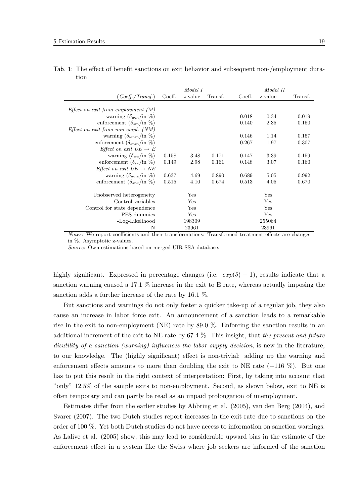|                                                     |        | Model I |         |        | Model II |         |  |  |
|-----------------------------------------------------|--------|---------|---------|--------|----------|---------|--|--|
| (Coeff. /Transf.)                                   | Coeff. | z-value | Transf. | Coeff. | z-value  | Transf. |  |  |
|                                                     |        |         |         |        |          |         |  |  |
| Effect on exit from employment $(M)$                |        |         |         |        |          |         |  |  |
| warning $(\delta_{wm}/\text{in }\%)$                |        |         |         | 0.018  | 0.34     | 0.019   |  |  |
| enforcement $(\delta_{sm}/\text{in }\%)$            |        |         |         | 0.140  | 2.35     | 0.150   |  |  |
| Effect on exit from non-empl. $(NM)$                |        |         |         |        |          |         |  |  |
| warning $(\delta_{wnm}/\text{in }\%)$               |        |         |         | 0.146  | 1.14     | 0.157   |  |  |
| enforcement $(\delta_{snm}/\text{in }\%)$           |        |         |         | 0.267  | 1.97     | 0.307   |  |  |
| <i>Effect on exit <math>UE \rightarrow E</math></i> |        |         |         |        |          |         |  |  |
| warning $(\delta_{we}/\text{in }\%)$                | 0.158  | 3.48    | 0.171   | 0.147  | 3.39     | 0.159   |  |  |
| enforcement ( $\delta_{se}/\text{in }\%$ )          | 0.149  | 2.98    | 0.161   | 0.148  | 3.07     | 0.160   |  |  |
| Effect on exit $UE \rightarrow NE$                  |        |         |         |        |          |         |  |  |
| warning $(\delta_{wne}/\text{in }\%)$               | 0.637  | 4.69    | 0.890   | 0.689  | 5.05     | 0.992   |  |  |
| enforcement $(\delta_{sne}/\text{in }\%)$           | 0.515  | 4.10    | 0.674   | 0.513  | 4.05     | 0.670   |  |  |
| Unobserved heterogeneity                            |        | Yes     |         |        | Yes      |         |  |  |
| Control variables                                   |        | Yes     |         |        | Yes      |         |  |  |
| Control for state dependence                        |        | Yes     |         |        | Yes      |         |  |  |
| PES dummies                                         |        | Yes     |         |        | Yes      |         |  |  |
| -Log-Likelihood                                     |        | 198309  |         | 255064 |          |         |  |  |
| N                                                   |        | 23961   |         | 23961  |          |         |  |  |

|  |      |  |  |  |  |  | Tab. 1: The effect of benefit sanctions on exit behavior and subsequent non-/employment dura- |  |
|--|------|--|--|--|--|--|-----------------------------------------------------------------------------------------------|--|
|  | tion |  |  |  |  |  |                                                                                               |  |

Notes: We report coefficients and their transformations: Transformed treatment effects are changes in %. Asymptotic z-values.

Source: Own estimations based on merged UIR-SSA database.

highly significant. Expressed in percentage changes (i.e.  $exp(\delta) - 1$ ), results indicate that a sanction warning caused a 17.1 % increase in the exit to E rate, whereas actually imposing the sanction adds a further increase of the rate by 16.1 %.

But sanctions and warnings do not only foster a quicker take-up of a regular job, they also cause an increase in labor force exit. An announcement of a sanction leads to a remarkable rise in the exit to non-employment (NE) rate by 89.0 %. Enforcing the sanction results in an additional increment of the exit to NE rate by  $67.4\%$ . This insight, that the present and future disutility of a sanction (warning) influences the labor supply decision, is new in the literature, to our knowledge. The (highly significant) effect is non-trivial: adding up the warning and enforcement effects amounts to more than doubling the exit to NE rate  $(+116\%)$ . But one has to put this result in the right context of interpretation: First, by taking into account that "only" 12.5% of the sample exits to non-employment. Second, as shown below, exit to NE is often temporary and can partly be read as an unpaid prolongation of unemployment.

Estimates differ from the earlier studies by Abbring et al. (2005), van den Berg (2004), and Svarer (2007). The two Dutch studies report increases in the exit rate due to sanctions on the order of 100 %. Yet both Dutch studies do not have access to information on sanction warnings. As Lalive et al. (2005) show, this may lead to considerable upward bias in the estimate of the enforcement effect in a system like the Swiss where job seekers are informed of the sanction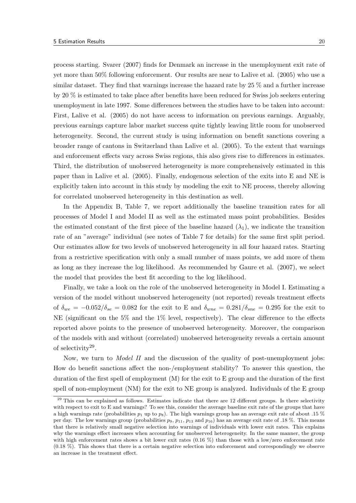process starting. Svarer (2007) finds for Denmark an increase in the unemployment exit rate of yet more than 50% following enforcement. Our results are near to Lalive et al. (2005) who use a similar dataset. They find that warnings increase the hazard rate by 25 % and a further increase by 20 % is estimated to take place after benefits have been reduced for Swiss job seekers entering unemployment in late 1997. Some differences between the studies have to be taken into account: First, Lalive et al. (2005) do not have access to information on previous earnings. Arguably, previous earnings capture labor market success quite tightly leaving little room for unobserved heterogeneity. Second, the current study is using information on benefit sanctions covering a broader range of cantons in Switzerland than Lalive et al. (2005). To the extent that warnings and enforcement effects vary across Swiss regions, this also gives rise to differences in estimates. Third, the distribution of unobserved heterogeneity is more comprehensively estimated in this paper than in Lalive et al. (2005). Finally, endogenous selection of the exits into E and NE is explicitly taken into account in this study by modeling the exit to NE process, thereby allowing for correlated unobserved heterogeneity in this destination as well.

In the Appendix B, Table 7, we report additionally the baseline transition rates for all processes of Model I and Model II as well as the estimated mass point probabilities. Besides the estimated constant of the first piece of the baseline hazard  $(\lambda_1)$ , we indicate the transition rate of an "average" individual (see notes of Table 7 for details) for the same first split period. Our estimates allow for two levels of unobserved heterogeneity in all four hazard rates. Starting from a restrictive specification with only a small number of mass points, we add more of them as long as they increase the log likelihood. As recommended by Gaure et al. (2007), we select the model that provides the best fit according to the log likelihood.

Finally, we take a look on the role of the unobserved heterogeneity in Model I. Estimating a version of the model without unobserved heterogeneity (not reported) reveals treatment effects of  $\delta_{we} = -0.052/\delta_{se} = 0.082$  for the exit to E and  $\delta_{wne} = 0.281/\delta_{sne} = 0.295$  for the exit to NE (significant on the 5% and the 1% level, respectively). The clear difference to the effects reported above points to the presence of unobserved heterogeneity. Moreover, the comparison of the models with and without (correlated) unobserved heterogeneity reveals a certain amount of selectivity<sup>29</sup>.

Now, we turn to Model II and the discussion of the quality of post-unemployment jobs: How do benefit sanctions affect the non-/employment stability? To answer this question, the duration of the first spell of employment (M) for the exit to E group and the duration of the first spell of non-employment (NM) for the exit to NE group is analyzed. Individuals of the E group

 $29$  This can be explained as follows. Estimates indicate that there are 12 different groups. Is there selectivity with respect to exit to E and warnings? To see this, consider the average baseline exit rate of the groups that have a high warnings rate (probabilities  $p_1$  up to  $p_8$ ). The high warnings group has an average exit rate of about .15 % per day. The low warnings group (probabilities  $p_9$ ,  $p_{11}$ ,  $p_{13}$  and  $p_{16}$ ) has an average exit rate of .18 %. This means that there is relatively small negative selection into warnings of individuals with lower exit rates. This explains why the warnings effect increases when accounting for unobserved heterogeneity. In the same manner, the group with high enforcement rates shows a bit lower exit rates (0.16 %) than those with a low/zero enforcement rate (0.18 %). This shows that there is a certain negative selection into enforcement and correspondingly we observe an increase in the treatment effect.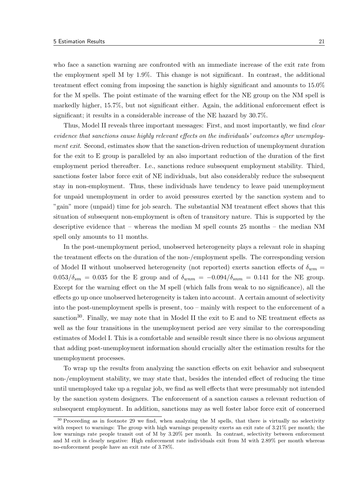who face a sanction warning are confronted with an immediate increase of the exit rate from the employment spell M by 1.9%. This change is not significant. In contrast, the additional treatment effect coming from imposing the sanction is highly significant and amounts to 15.0% for the M spells. The point estimate of the warning effect for the NE group on the NM spell is markedly higher, 15.7%, but not significant either. Again, the additional enforcement effect is significant; it results in a considerable increase of the NE hazard by 30.7%.

Thus, Model II reveals three important messages: First, and most importantly, we find clear evidence that sanctions cause highly relevant effects on the individuals' outcomes after unemployment exit. Second, estimates show that the sanction-driven reduction of unemployment duration for the exit to E group is paralleled by an also important reduction of the duration of the first employment period thereafter. I.e., sanctions reduce subsequent employment stability. Third, sanctions foster labor force exit of NE individuals, but also considerably reduce the subsequent stay in non-employment. Thus, these individuals have tendency to leave paid unemployment for unpaid unemployment in order to avoid pressures exerted by the sanction system and to "gain" more (unpaid) time for job search. The substantial NM treatment effect shows that this situation of subsequent non-employment is often of transitory nature. This is supported by the descriptive evidence that – whereas the median M spell counts 25 months – the median NM spell only amounts to 11 months.

In the post-unemployment period, unobserved heterogeneity plays a relevant role in shaping the treatment effects on the duration of the non-/employment spells. The corresponding version of Model II without unobserved heterogeneity (not reported) exerts sanction effects of  $\delta_{wm} =$  $0.053/\delta_{sm} = 0.035$  for the E group and of  $\delta_{wnm} = -0.094/\delta_{snm} = 0.141$  for the NE group. Except for the warning effect on the M spell (which falls from weak to no significance), all the effects go up once unobserved heterogeneity is taken into account. A certain amount of selectivity into the post-unemployment spells is present, too – mainly with respect to the enforcement of a sanction<sup>30</sup>. Finally, we may note that in Model II the exit to E and to NE treatment effects as well as the four transitions in the unemployment period are very similar to the corresponding estimates of Model I. This is a comfortable and sensible result since there is no obvious argument that adding post-unemployment information should crucially alter the estimation results for the unemployment processes.

To wrap up the results from analyzing the sanction effects on exit behavior and subsequent non-/employment stability, we may state that, besides the intended effect of reducing the time until unemployed take up a regular job, we find as well effects that were presumably not intended by the sanction system designers. The enforcement of a sanction causes a relevant reduction of subsequent employment. In addition, sanctions may as well foster labor force exit of concerned

<sup>&</sup>lt;sup>30</sup> Proceeding as in footnote 29 we find, when analyzing the M spells, that there is virtually no selectivity with respect to warnings: The group with high warnings propensity exerts an exit rate of 3.21% per month; the low warnings rate people transit out of M by 3.20% per month. In contrast, selectivity between enforcement and M exit is clearly negative: High enforcement rate individuals exit from M with 2.89% per month whereas no-enforcement people have an exit rate of 3.78%.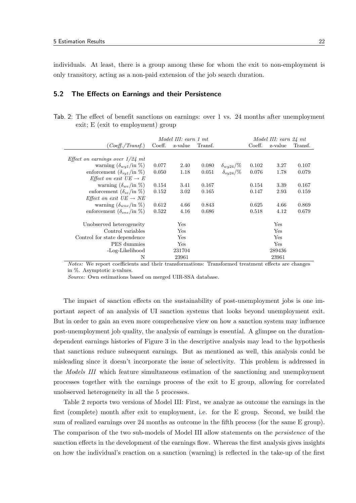individuals. At least, there is a group among these for whom the exit to non-employment is only transitory, acting as a non-paid extension of the job search duration.

#### 5.2 The Effects on Earnings and their Persistence

Tab. 2: The effect of benefit sanctions on earnings: over 1 vs. 24 months after unemployment exit; E (exit to employment) group

|                                                      |        | Model III: earn 1 mt |         | Model III: earn 24 mt |        |         |         |
|------------------------------------------------------|--------|----------------------|---------|-----------------------|--------|---------|---------|
| (Coeff. /Transf.)                                    | Coeff. | z-value              | Transf. |                       | Coeff. | z-value | Transf. |
|                                                      |        |                      |         |                       |        |         |         |
| Effect on earnings over $1/24$ mt                    |        |                      |         |                       |        |         |         |
| warning $(\delta_{wyl}/\text{in }\%)$                | 0.077  | 2.40                 | 0.080   | $\delta_{wu24}/\%$    | 0.102  | 3.27    | 0.107   |
| enforcement $(\delta_{syl}/\text{in }\%)$            | 0.050  | 1.18                 | 0.051   | $\delta_{su24}/\%$    | 0.076  | 1.78    | 0.079   |
| Effect on exit $UE \rightarrow E$                    |        |                      |         |                       |        |         |         |
| warning $(\delta_{we}/\text{in }\%)$                 | 0.154  | 3.41                 | 0.167   |                       | 0.154  | 3.39    | 0.167   |
| enforcement $(\delta_{se}/\text{in }\%)$             | 0.152  | 3.02                 | 0.165   |                       | 0.147  | 2.93    | 0.159   |
| <i>Effect on exit <math>UE \rightarrow NE</math></i> |        |                      |         |                       |        |         |         |
| warning $(\delta_{wne}/\text{in }\%)$                | 0.612  | 4.66                 | 0.843   |                       | 0.625  | 4.66    | 0.869   |
| enforcement $(\delta_{sne}/\text{in }\%)$            | 0.522  | 4.16                 | 0.686   |                       | 0.518  | 4.12    | 0.679   |
| Unobserved heterogeneity                             |        | Yes                  |         |                       |        | Yes     |         |
| Control variables                                    |        | Yes                  |         |                       |        | Yes     |         |
| Control for state dependence                         |        | Yes                  |         |                       |        | Yes     |         |
| <b>PES</b> dummies                                   |        | Yes                  |         |                       |        | Yes     |         |
| -Log-Likelihood                                      |        | 231704               |         |                       |        | 289436  |         |
| N                                                    |        | 23961                |         |                       |        | 23961   |         |

Notes: We report coefficients and their transformations: Transformed treatment effects are changes in %. Asymptotic z-values.

Source: Own estimations based on merged UIR-SSA database.

The impact of sanction effects on the sustainability of post-unemployment jobs is one important aspect of an analysis of UI sanction systems that looks beyond unemployment exit. But in order to gain an even more comprehensive view on how a sanction system may influence post-unemployment job quality, the analysis of earnings is essential. A glimpse on the durationdependent earnings histories of Figure 3 in the descriptive analysis may lead to the hypothesis that sanctions reduce subsequent earnings. But as mentioned as well, this analysis could be misleading since it doesn't incorporate the issue of selectivity. This problem is addressed in the Models III which feature simultaneous estimation of the sanctioning and unemployment processes together with the earnings process of the exit to E group, allowing for correlated unobserved heterogeneity in all the 5 processes.

Table 2 reports two versions of Model III: First, we analyze as outcome the earnings in the first (complete) month after exit to employment, i.e. for the E group. Second, we build the sum of realized earnings over 24 months as outcome in the fifth process (for the same E group). The comparison of the two sub-models of Model III allow statements on the persistence of the sanction effects in the development of the earnings flow. Whereas the first analysis gives insights on how the individual's reaction on a sanction (warning) is reflected in the take-up of the first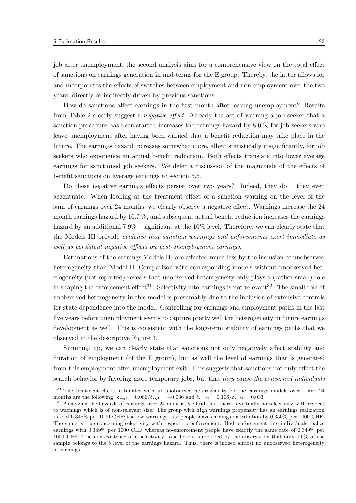job after unemployment, the second analysis aims for a comprehensive view on the total effect of sanctions on earnings generation in mid-terms for the E group. Thereby, the latter allows for and incorporates the effects of switches between employment and non-employment over the two years, directly or indirectly driven by previous sanctions.

How do sanctions affect earnings in the first month after leaving unemployment? Results from Table 2 clearly suggest a negative effect. Already the act of warning a job seeker that a sanction procedure has been started increases the earnings hazard by 8.0 % for job seekers who leave unemployment after having been warned that a benefit reduction may take place in the future. The earnings hazard increases somewhat more, albeit statistically insignificantly, for job seekers who experience an actual benefit reduction. Both effects translate into lower average earnings for sanctioned job seekers. We defer a discussion of the magnitude of the effects of benefit sanctions on average earnings to section 5.5.

Do these negative earnings effects persist over two years? Indeed, they  $d_0$  – they even accentuate. When looking at the treatment effect of a sanction warning on the level of the sum of earnings over 24 months, we clearly observe a negative effect. Warnings increase the 24 month earnings hazard by  $10.7\%$ , and subsequent actual benefit reduction increases the earnings hazard by an additional 7.9% – significant at the 10% level. Therefore, we can clearly state that the Models III provide evidence that sanction warnings and enforcements exert immediate as well as persistent negative effects on post-unemployment earnings.

Estimations of the earnings Models III are affected much less by the inclusion of unobserved heterogeneity than Model II. Comparison with corresponding models without unobserved heterogeneity (not reported) reveals that unobserved heterogeneity only plays a (rather small) role in shaping the enforcement effect<sup>31</sup>. Selectivity into earnings is not relevant<sup>32</sup>. The small role of unobserved heterogeneity in this model is presumably due to the inclusion of extensive controls for state dependence into the model. Controlling for earnings and employment paths in the last five years before unemployment seems to capture pretty well the heterogeneity in future earnings development as well. This is consistent with the long-term stability of earnings paths that we observed in the descriptive Figure 3.

Summing up, we can clearly state that sanctions not only negatively affect stability and duration of employment (of the E group), but as well the level of earnings that is generated from this employment after unemployment exit. This suggests that sanctions not only affect the search behavior by favoring more temporary jobs, but that they cause the concerned individuals

<sup>&</sup>lt;sup>31</sup> The treatment effects estimates without unobserved heterogeneity for the earnings models over 1 and 24 months are the following:  $\delta_{wyl} = 0.086/\delta_{syl} = -0.036$  and  $\delta_{wyl} = 0.106/\delta_{syl} = 0.033$ 

<sup>&</sup>lt;sup>32</sup> Analyzing the hazards of earnings over 24 months, we find that there is virtually no selectivity with respect to warnings which is of non-relevant size: The group with high warnings propensity has an earnings realization rate of 0.348% per 1000 CHF; the low warnings rate people leave earnings distribution by 0.350% per 1000 CHF. The same is true concerning selectivity with respect to enforcement: High enforcement rate individuals realize earnings with 0.349% per 1000 CHF whereas no-enforcement people have exactly the same rate of 0.349% per 1000 CHF. The non-existence of a selectivity issue here is supported by the observation that only 0.6% of the sample belongs to the b level of the earnings hazard. Thus, there is indeed almost no unobserved heterogeneity in earnings.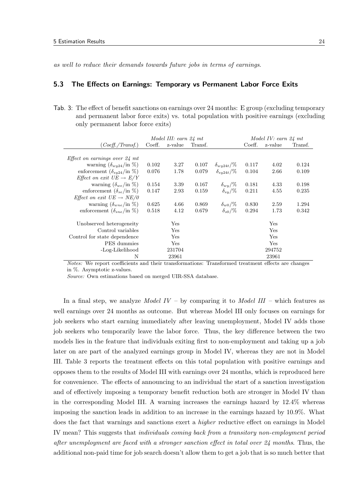as well to reduce their demands towards future jobs in terms of earnings.

#### 5.3 The Effects on Earnings: Temporary vs Permanent Labor Force Exits

Tab. 3: The effect of benefit sanctions on earnings over 24 months: E group (excluding temporary and permanent labor force exits) vs. total population with positive earnings (excluding only permanent labor force exits)

|                                             | Model III: earn 24 mt |              |         |                          |        |         |         |  |  |
|---------------------------------------------|-----------------------|--------------|---------|--------------------------|--------|---------|---------|--|--|
| (Coeff. /Transf.)                           | Coeff.                | z-value      | Transf. |                          | Coeff. | z-value | Transf. |  |  |
|                                             |                       |              |         |                          |        |         |         |  |  |
| <i>Effect on earnings over 24 mt</i>        |                       |              |         |                          |        |         |         |  |  |
| warning $(\delta_{wy24}/\text{in }\%)$      | 0.102                 | 3.27         | 0.107   | $\delta_{wy24t}/\%$      | 0.117  | 4.02    | 0.124   |  |  |
| enforcement $(\delta_{s_424}/\text{in }\%)$ | 0.076                 | 1.78         | 0.079   | $\delta_{s\gamma24t}/\%$ | 0.104  | 2.66    | 0.109   |  |  |
| Effect on exit $UE \rightarrow E/Y$         |                       |              |         |                          |        |         |         |  |  |
| warning $(\delta_{we}/\text{in }\%)$        | 0.154                 | 3.39         | 0.167   | $\delta_{wu}/\%$         | 0.181  | 4.33    | 0.198   |  |  |
| enforcement $(\delta_{se}/\text{in }\%)$    | 0.147                 | 2.93         | 0.159   | $\delta_{sy}/\%$         | 0.211  | 4.55    | 0.235   |  |  |
| Effect on exit $UE \rightarrow NE/0$        |                       |              |         |                          |        |         |         |  |  |
| warning $(\delta_{wne}/\text{in }\%)$       | 0.625                 | 4.66         | 0.869   | $\delta_{w0}/\%$         | 0.830  | 2.59    | 1.294   |  |  |
| enforcement $(\delta_{sne}/\text{in }\%)$   | 0.518                 | 4.12         | 0.679   | $\delta_{s0}/\%$         | 0.294  | 1.73    | 0.342   |  |  |
| Unobserved heterogeneity                    |                       | Yes          |         |                          |        | Yes     |         |  |  |
| Control variables                           |                       | Yes          |         |                          |        | Yes     |         |  |  |
| Control for state dependence                |                       | $_{\rm Yes}$ |         |                          |        | Yes     |         |  |  |
| PES dummies                                 |                       | Yes          |         | Yes                      |        |         |         |  |  |
| -Log-Likelihood                             |                       | 231704       |         |                          | 294752 |         |         |  |  |
| N<br>$- - -$<br>$\cdots$<br>$\sim$          |                       | 23961        |         | $\sim$<br>$\sim$         |        | 23961   |         |  |  |

Notes: We report coefficients and their transformations: Transformed treatment effects are changes in %. Asymptotic z-values.

Source: Own estimations based on merged UIR-SSA database.

In a final step, we analyze Model  $IV - by comparing it to Model III - which features as$ well earnings over 24 months as outcome. But whereas Model III only focuses on earnings for job seekers who start earning immediately after leaving unemployment, Model IV adds those job seekers who temporarily leave the labor force. Thus, the key difference between the two models lies in the feature that individuals exiting first to non-employment and taking up a job later on are part of the analyzed earnings group in Model IV, whereas they are not in Model III. Table 3 reports the treatment effects on this total population with positive earnings and opposes them to the results of Model III with earnings over 24 months, which is reproduced here for convenience. The effects of announcing to an individual the start of a sanction investigation and of effectively imposing a temporary benefit reduction both are stronger in Model IV than in the corresponding Model III. A warning increases the earnings hazard by 12.4% whereas imposing the sanction leads in addition to an increase in the earnings hazard by 10.9%. What does the fact that warnings and sanctions exert a higher reductive effect on earnings in Model IV mean? This suggests that individuals coming back from a transitory non-employment period after unemployment are faced with a stronger sanction effect in total over 24 months. Thus, the additional non-paid time for job search doesn't allow them to get a job that is so much better that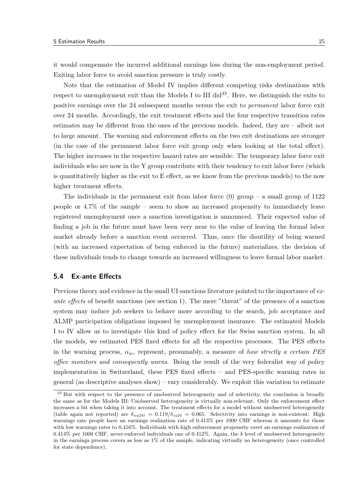it would compensate the incurred additional earnings loss during the non-employment period. Exiting labor force to avoid sanction pressure is truly costly.

Note that the estimation of Model IV implies different competing risks destinations with respect to unemployment exit than the Models I to III did<sup>33</sup>. Here, we distinguish the exits to positive earnings over the 24 subsequent months versus the exit to permanent labor force exit over 24 months. Accordingly, the exit treatment effects and the four respective transition rates estimates may be different from the ones of the previous models. Indeed, they are – albeit not to large amount. The warning and enforcement effects on the two exit destinations are stronger (in the case of the permanent labor force exit group only when looking at the total effect). The higher increases in the respective hazard rates are sensible: The temporary labor force exit individuals who are now in the Y group contribute with their tendency to exit labor force (which is quantitatively higher as the exit to E effect, as we know from the previous models) to the now higher treatment effects.

The individuals in the permanent exit from labor force  $(0)$  group – a small group of 1122 people or 4.7% of the sample – seem to show an increased propensity to immediately leave registered unemployment once a sanction investigation is announced. Their expected value of finding a job in the future must have been very near to the value of leaving the formal labor market already before a sanction event occurred. Thus, once the disutility of being warned (with an increased expectation of being enforced in the future) materializes, the decision of these individuals tends to change towards an increased willingness to leave formal labor market.

#### 5.4 Ex-ante Effects

Previous theory and evidence in the small UI sanctions literature pointed to the importance of exante effects of benefit sanctions (see section 1). The mere "threat" of the presence of a sanction system may induce job seekers to behave more according to the search, job acceptance and ALMP participation obligations imposed by unemployment insurance. The estimated Models I to IV allow us to investigate this kind of policy effect for the Swiss sanction system. In all the models, we estimated PES fixed effects for all the respective processes. The PES effects in the warning process,  $\alpha_w$ , represent, presumably, a measure of how strictly a certain PES office monitors and consequently warns. Being the result of the very federalist way of policy implementation in Switzerland, these PES fixed effects – and PES-specific warning rates in general (as descriptive analyses show) – vary considerably. We exploit this variation to estimate

<sup>&</sup>lt;sup>33</sup> But with respect to the presence of unobserved heterogeneity and of selectivity, the conclusion is broadly the same as for the Models III: Unobserved heterogeneity is virtually non-relevant. Only the enforcement effect increases a bit when taking it into account. The treatment effects for a model without unobserved heterogeneity (table again not reported) are  $\delta_{wy24} = 0.119/\delta_{sy24} = 0.065$ . Selectivity into earnings is non-existent: High warnings rate people have an earnings realization rate of 0.413% per 1000 CHF whereas it amounts for those with low warnings rates to 0.416%. Individuals with high enforcement propensity exert an earnings realization of 0.414% per 1000 CHF, never-enforced individuals one of 0.412%. Again, the b level of unobserved heterogeneity in the earnings process covers as less as 1% of the sample, indicating virtually no heterogeneity (once controlled for state dependence).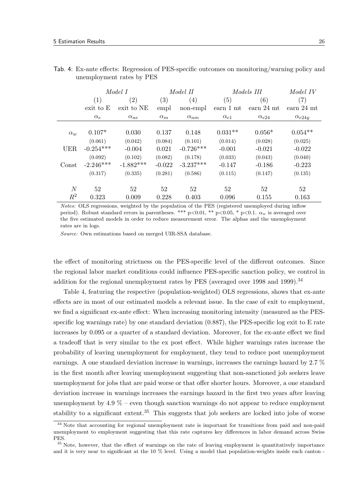|            |             | Model I           |                   | Model II         |               | Models III     | Model IV        |
|------------|-------------|-------------------|-------------------|------------------|---------------|----------------|-----------------|
|            | (1)         | $\left( 2\right)$ | $\left( 3\right)$ | $\left(4\right)$ | (5)           | (6)            | (7)             |
|            | exit to E   | exit to NE        | empl              | non-empl         | earn 1 mt     | earn 24 mt     | earn 24 mt      |
|            | $\alpha_e$  | $\alpha_{ne}$     | $\alpha_m$        | $\alpha_{nm}$    | $\alpha_{e1}$ | $\alpha_{e24}$ | $\alpha_{e24y}$ |
|            |             |                   |                   |                  |               |                |                 |
| $\alpha_w$ | $0.107*$    | 0.030             | 0.137             | 0.148            | $0.031**$     | $0.056*$       | $0.054**$       |
|            | (0.061)     | (0.042)           | (0.084)           | (0.101)          | (0.014)       | (0.028)        | (0.025)         |
| <b>UER</b> | $-0.254***$ | $-0.004$          | 0.021             | $-0.726***$      | $-0.001$      | $-0.021$       | $-0.022$        |
|            | (0.092)     | (0.102)           | (0.082)           | (0.178)          | (0.033)       | (0.043)        | (0.040)         |
| Const      | $-2.246***$ | $-1.882***$       | $-0.022$          | $-3.237***$      | $-0.147$      | $-0.186$       | $-0.223$        |
|            | (0.317)     | (0.335)           | (0.281)           | (0.586)          | (0.115)       | (0.147)        | (0.135)         |
| $\,N$      | 52          | 52                | 52                | 52               | 52            | 52             | 52              |
| $\,R^2$    | 0.323       | 0.009             | 0.228             | 0.403            | 0.096         | 0.155          | 0.163           |

Tab. 4: Ex-ante effects: Regression of PES-specific outcomes on monitoring/warning policy and unemployment rates by PES

Notes: OLS regressions, weighted by the population of the PES (registered unemployed during inflow period). Robust standard errors in parentheses. \*\*\* p<0.01, \*\* p<0.05, \* p<0.1.  $\alpha_w$  is averaged over the five estimated models in order to reduce measurement error. The alphas and the unemployment rates are in logs.

Source: Own estimations based on merged UIR-SSA database.

the effect of monitoring strictness on the PES-specific level of the different outcomes. Since the regional labor market conditions could influence PES-specific sanction policy, we control in addition for the regional unemployment rates by PES (averaged over 1998 and 1999).<sup>34</sup>

Table 4, featuring the respective (population-weighted) OLS regressions, shows that ex-ante effects are in most of our estimated models a relevant issue. In the case of exit to employment, we find a significant ex-ante effect: When increasing monitoring intensity (measured as the PESspecific log warnings rate) by one standard deviation (0.887), the PES-specific log exit to E rate increases by 0.095 or a quarter of a standard deviation. Moreover, for the ex-ante effect we find a tradeoff that is very similar to the ex post effect. While higher warnings rates increase the probability of leaving unemployment for employment, they tend to reduce post unemployment earnings. A one standard deviation increase in warnings, increases the earnings hazard by 2.7 % in the first month after leaving unemployment suggesting that non-sanctioned job seekers leave unemployment for jobs that are paid worse or that offer shorter hours. Moreover, a one standard deviation increase in warnings increases the earnings hazard in the first two years after leaving unemployment by  $4.9\%$  – even though sanction warnings do not appear to reduce employment stability to a significant extent.<sup>35</sup> This suggests that job seekers are locked into jobs of worse

<sup>&</sup>lt;sup>34</sup> Note that accounting for regional unemployment rate is important for transitions from paid and non-paid unemployment to employment suggesting that this rate captures key differences in labor demand across Swiss PES.

<sup>&</sup>lt;sup>35</sup> Note, however, that the effect of warnings on the rate of leaving employment is quantitatively importance and it is very near to significant at the 10 % level. Using a model that population-weights inside each canton -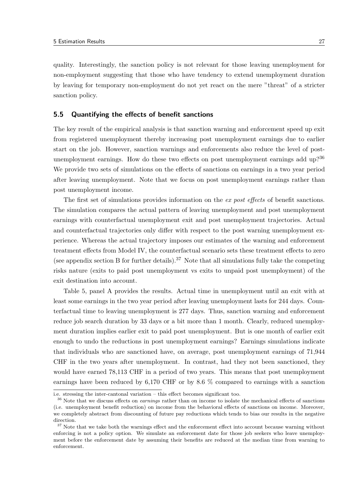quality. Interestingly, the sanction policy is not relevant for those leaving unemployment for non-employment suggesting that those who have tendency to extend unemployment duration by leaving for temporary non-employment do not yet react on the mere "threat" of a stricter sanction policy.

#### 5.5 Quantifying the effects of benefit sanctions

The key result of the empirical analysis is that sanction warning and enforcement speed up exit from registered unemployment thereby increasing post unemployment earnings due to earlier start on the job. However, sanction warnings and enforcements also reduce the level of postunemployment earnings. How do these two effects on post unemployment earnings add up?<sup>36</sup> We provide two sets of simulations on the effects of sanctions on earnings in a two year period after leaving unemployment. Note that we focus on post unemployment earnings rather than post unemployment income.

The first set of simulations provides information on the ex post effects of benefit sanctions. The simulation compares the actual pattern of leaving unemployment and post unemployment earnings with counterfactual unemployment exit and post unemployment trajectories. Actual and counterfactual trajectories only differ with respect to the post warning unemployment experience. Whereas the actual trajectory imposes our estimates of the warning and enforcement treatment effects from Model IV, the counterfactual scenario sets these treatment effects to zero (see appendix section B for further details).<sup>37</sup> Note that all simulations fully take the competing risks nature (exits to paid post unemployment vs exits to unpaid post unemployment) of the exit destination into account.

Table 5, panel A provides the results. Actual time in unemployment until an exit with at least some earnings in the two year period after leaving unemployment lasts for 244 days. Counterfactual time to leaving unemployment is 277 days. Thus, sanction warning and enforcement reduce job search duration by 33 days or a bit more than 1 month. Clearly, reduced unemployment duration implies earlier exit to paid post unemployment. But is one month of earlier exit enough to undo the reductions in post unemployment earnings? Earnings simulations indicate that individuals who are sanctioned have, on average, post unemployment earnings of 71,944 CHF in the two years after unemployment. In contrast, had they not been sanctioned, they would have earned 78,113 CHF in a period of two years. This means that post unemployment earnings have been reduced by 6,170 CHF or by 8.6 % compared to earnings with a sanction

i.e. stressing the inter-cantonal variation – this effect becomes significant too.

<sup>&</sup>lt;sup>36</sup> Note that we discuss effects on *earnings* rather than on income to isolate the mechanical effects of sanctions (i.e. unemployment benefit reduction) on income from the behavioral effects of sanctions on income. Moreover, we completely abstract from discounting of future pay reductions which tends to bias our results in the negative direction.

<sup>&</sup>lt;sup>37</sup> Note that we take both the warnings effect and the enforcement effect into account because warning without enforcing is not a policy option. We simulate an enforcement date for those job seekers who leave unemployment before the enforcement date by assuming their benefits are reduced at the median time from warning to enforcement.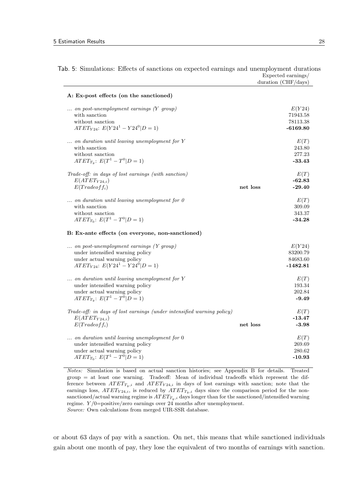|                                                                        |          | Expected earnings/<br>duration $\left(\text{CHF}/\text{days}\right)$ |
|------------------------------------------------------------------------|----------|----------------------------------------------------------------------|
| A: Ex-post effects (on the sanctioned)                                 |          |                                                                      |
| $\ldots$ on post-unemployment earnings (Y group)                       |          | E(Y24)                                                               |
| with sanction                                                          |          | 71943.58                                                             |
| without sanction                                                       |          | 78113.38                                                             |
| $ATET_{Y24}: E(Y241 - Y240 D = 1)$                                     |          | $-6169.80$                                                           |
| $\ldots$ on duration until leaving unemployment for Y                  |          | E(T)                                                                 |
| with sanction                                                          |          | 243.80                                                               |
| without sanction                                                       |          | 277.23                                                               |
| $ATET_{T_u}: E(T^1 - T^0   D = 1)$                                     |          | $-33.43$                                                             |
| Trade-off: in days of lost earnings (with sanction)                    |          | E(T)                                                                 |
| $E(ATET_{Y24,i})$                                                      |          | $-62.83$                                                             |
| $E(Tradeoff_i)$                                                        | net loss | $-29.40$                                                             |
| $\ldots$ on duration until leaving unemployment for 0                  |          | E(T)                                                                 |
| with sanction                                                          |          | 309.09                                                               |
| without sanction                                                       |          | 343.37                                                               |
| $ATET_{T_0}$ : $E(T^1 - T^0   D = 1)$                                  |          | $-34.28$                                                             |
| B: Ex-ante effects (on everyone, non-sanctioned)                       |          |                                                                      |
| $\ldots$ on post-unemployment earnings (Y group)                       |          | E(Y24)                                                               |
| under intensified warning policy                                       |          | 83200.79                                                             |
| under actual warning policy                                            |          | 84683.60                                                             |
| $ATET_{Y24}: E(Y241 - Y240   D = 1)$                                   |          | $-1482.81$                                                           |
| on duration until leaving unemployment for Y                           |          | E(T)                                                                 |
| under intensified warning policy                                       |          | 193.34                                                               |
| under actual warning policy                                            |          | 202.84                                                               |
| $ATET_{T_u}: E(T^1 - T^0   D = 1)$                                     |          | $-9.49$                                                              |
| Trade-off: in days of lost earnings (under intensified warning policy) |          | E(T)                                                                 |
| $E(ATET_{Y24,i})$                                                      |          | $-13.47$                                                             |
| $E(Tradeoff_i)$                                                        | net loss | $-3.98$                                                              |
| on duration until leaving unemployment for 0                           |          | E(T)                                                                 |
| under intensified warning policy                                       |          | 269.69                                                               |
| under actual warning policy                                            |          | 280.62                                                               |
| $ATET_{T_0}$ : $E(T^1 - T^0   D = 1)$                                  |          | $-10.93$                                                             |

| Tab. 5: Simulations: Effects of sanctions on expected earnings and unemployment durations |  |                    |  |
|-------------------------------------------------------------------------------------------|--|--------------------|--|
|                                                                                           |  | Expected earnings/ |  |

or about 63 days of pay with a sanction. On net, this means that while sanctioned individuals gain about one month of pay, they lose the equivalent of two months of earnings with sanction.

Notes: Simulation is based on actual sanction histories; see Appendix B for details. Treated group = at least one warning. Tradeoff: Mean of individual tradeoffs which represent the difference between  $ATET_{T_y,i}$  and  $ATET_{Y24,i}$  in days of lost earnings with sanction; note that the earnings loss,  $ATET_{Y24,i}$ , is reduced by  $ATET_{Ty,i}$  days since the comparison period for the nonsanctioned/actual warning regime is  $ATET_{T_u,i}$  days longer than for the sanctioned/intensified warning

regime.  $Y/0$ =positive/zero earnings over 24 months after unemployment.

Source: Own calculations from merged UIR-SSR database.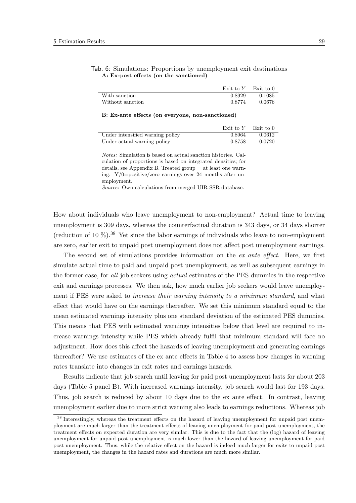|                  | Exit to $Y$ | Exit to 0 |
|------------------|-------------|-----------|
| With sanction    | 0.8929      | 0.1085    |
| Without sanction | 0.8774      | 0.0676    |

|                                        |  | Tab. 6: Simulations: Proportions by unemployment exit destinations |  |
|----------------------------------------|--|--------------------------------------------------------------------|--|
| A: Ex-post effects (on the sanctioned) |  |                                                                    |  |

B: Ex-ante effects (on everyone, non-sanctioned)

|                                  | Exit to $Y$ Exit to 0 |        |
|----------------------------------|-----------------------|--------|
| Under intensified warning policy | 0.8964                | 0.0612 |
| Under actual warning policy      | 0.8758                | 0.0720 |

Notes: Simulation is based on actual sanction histories. Calculation of proportions is based on integrated densities; for details, see Appendix B. Treated group  $=$  at least one warning. Y/0=positive/zero earnings over 24 months after unemployment.

Source: Own calculations from merged UIR-SSR database.

How about individuals who leave unemployment to non-employment? Actual time to leaving unemployment is 309 days, whereas the counterfactual duration is 343 days, or 34 days shorter (reduction of 10  $\%$ ).<sup>38</sup> Yet since the labor earnings of individuals who leave to non-employment are zero, earlier exit to unpaid post unemployment does not affect post unemployment earnings.

The second set of simulations provides information on the ex ante effect. Here, we first simulate actual time to paid and unpaid post unemployment, as well as subsequent earnings in the former case, for all job seekers using actual estimates of the PES dummies in the respective exit and earnings processes. We then ask, how much earlier job seekers would leave unemployment if PES were asked to increase their warning intensity to a minimum standard, and what effect that would have on the earnings thereafter. We set this minimum standard equal to the mean estimated warnings intensity plus one standard deviation of the estimated PES dummies. This means that PES with estimated warnings intensities below that level are required to increase warnings intensity while PES which already fulfil that minimum standard will face no adjustment. How does this affect the hazards of leaving unemployment and generating earnings thereafter? We use estimates of the ex ante effects in Table 4 to assess how changes in warning rates translate into changes in exit rates and earnings hazards.

Results indicate that job search until leaving for paid post unemployment lasts for about 203 days (Table 5 panel B). With increased warnings intensity, job search would last for 193 days. Thus, job search is reduced by about 10 days due to the ex ante effect. In contrast, leaving unemployment earlier due to more strict warning also leads to earnings reductions. Whereas job

<sup>&</sup>lt;sup>38</sup> Interestingly, whereas the treatment effects on the hazard of leaving unemployment for unpaid post unemployment are much larger than the treatment effects of leaving unemployment for paid post unemployment, the treatment effects on expected duration are very similar. This is due to the fact that the (log) hazard of leaving unemployment for unpaid post unemployment is much lower than the hazard of leaving unemployment for paid post unemployment. Thus, while the relative effect on the hazard is indeed much larger for exits to unpaid post unemployment, the changes in the hazard rates and durations are much more similar.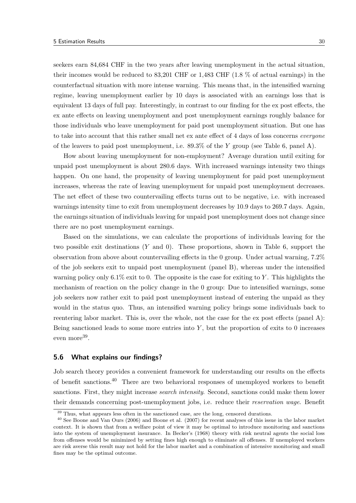seekers earn 84,684 CHF in the two years after leaving unemployment in the actual situation, their incomes would be reduced to 83,201 CHF or 1,483 CHF (1.8 % of actual earnings) in the counterfactual situation with more intense warning. This means that, in the intensified warning regime, leaving unemployment earlier by 10 days is associated with an earnings loss that is equivalent 13 days of full pay. Interestingly, in contrast to our finding for the ex post effects, the ex ante effects on leaving unemployment and post unemployment earnings roughly balance for those individuals who leave unemployment for paid post unemployment situation. But one has to take into account that this rather small net ex ante effect of 4 days of loss concerns everyone of the leavers to paid post unemployment, i.e.  $89.3\%$  of the Y group (see Table 6, panel A).

How about leaving unemployment for non-employment? Average duration until exiting for unpaid post unemployment is about 280.6 days. With increased warnings intensity two things happen. On one hand, the propensity of leaving unemployment for paid post unemployment increases, whereas the rate of leaving unemployment for unpaid post unemployment decreases. The net effect of these two countervailing effects turns out to be negative, i.e. with increased warnings intensity time to exit from unemployment decreases by 10.9 days to 269.7 days. Again, the earnings situation of individuals leaving for unpaid post unemployment does not change since there are no post unemployment earnings.

Based on the simulations, we can calculate the proportions of individuals leaving for the two possible exit destinations  $(Y \text{ and } 0)$ . These proportions, shown in Table 6, support the observation from above about countervailing effects in the 0 group. Under actual warning, 7.2% of the job seekers exit to unpaid post unemployment (panel B), whereas under the intensified warning policy only  $6.1\%$  exit to 0. The opposite is the case for exiting to Y. This highlights the mechanism of reaction on the policy change in the 0 group: Due to intensified warnings, some job seekers now rather exit to paid post unemployment instead of entering the unpaid as they would in the status quo. Thus, an intensified warning policy brings some individuals back to reentering labor market. This is, over the whole, not the case for the ex post effects (panel A): Being sanctioned leads to some more entries into  $Y$ , but the proportion of exits to 0 increases even more<sup>39</sup>.

#### 5.6 What explains our findings?

Job search theory provides a convenient framework for understanding our results on the effects of benefit sanctions.<sup>40</sup> There are two behavioral responses of unemployed workers to benefit sanctions. First, they might increase *search intensity*. Second, sanctions could make them lower their demands concerning post-unemployment jobs, i.e. reduce their reservation wage. Benefit

<sup>&</sup>lt;sup>39</sup> Thus, what appears less often in the sanctioned case, are the long, censored durations.

<sup>40</sup> See Boone and Van Ours (2006) and Boone et al. (2007) for recent analyses of this issue in the labor market context. It is shown that from a welfare point of view it may be optimal to introduce monitoring and sanctions into the system of unemployment insurance. In Becker's (1968) theory with risk neutral agents the social loss from offenses would be minimized by setting fines high enough to eliminate all offenses. If unemployed workers are risk averse this result may not hold for the labor market and a combination of intensive monitoring and small fines may be the optimal outcome.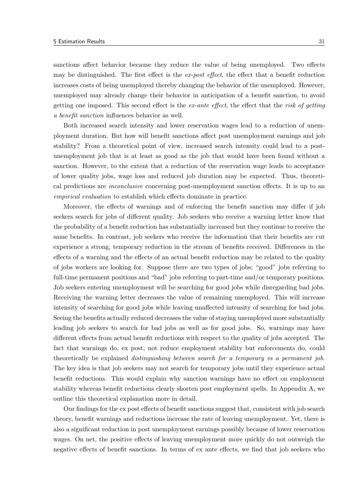sanctions affect behavior because they reduce the value of being unemployed. Two effects may be distinguished. The first effect is the ex-post effect, the effect that a benefit reduction increases costs of being unemployed thereby changing the behavior of the unemployed. However, unemployed may already change their behavior in anticipation of a benefit sanction, to avoid getting one imposed. This second effect is the  $ex$ -ante effect, the effect that the risk of getting a benefit sanction influences behavior as well.

Both increased search intensity and lower reservation wages lead to a reduction of unemployment duration. But how will benefit sanctions affect post unemployment earnings and job stability? From a theoretical point of view, increased search intensity could lead to a postunemployment job that is at least as good as the job that would have been found without a sanction. However, to the extent that a reduction of the reservation wage leads to acceptance of lower quality jobs, wage loss and reduced job duration may be expected. Thus, theoretical predictions are inconclusive concerning post-unemployment sanction effects. It is up to an empirical evaluation to establish which effects dominate in practice.

Moreover, the effects of warnings and of enforcing the benefit sanction may differ if job seekers search for jobs of different quality. Job seekers who receive a warning letter know that the probability of a benefit reduction has substantially increased but they continue to receive the same benefits. In contrast, job seekers who receive the information that their benefits are cut experience a strong, temporary reduction in the stream of benefits received. Differences in the effects of a warning and the effects of an actual benefit reduction may be related to the quality of jobs workers are looking for. Suppose there are two types of jobs; "good" jobs referring to full-time permanent positions and "bad" jobs referring to part-time and/or temporary positions. Job seekers entering unemployment will be searching for good jobs while disregarding bad jobs. Receiving the warning letter decreases the value of remaining unemployed. This will increase intensity of searching for good jobs while leaving unaffected intensity of searching for bad jobs. Seeing the benefits actually reduced decreases the value of staying unemployed more substantially leading job seekers to search for bad jobs as well as for good jobs. So, warnings may have different effects from actual benefit reductions with respect to the quality of jobs accepted. The fact that warnings do, ex post, not reduce employment stability but enforcements do, could theoretically be explained distinguishing between search for a temporary vs a permanent job. The key idea is that job seekers may not search for temporary jobs until they experience actual benefit reductions. This would explain why sanction warnings have no effect on employment stability whereas benefit reductions clearly shorten post employment spells. In Appendix A, we outline this theoretical explanation more in detail.

Our findings for the ex post effects of benefit sanctions suggest that, consistent with job search theory, benefit warnings and reductions increase the rate of leaving unemployment. Yet, there is also a significant reduction in post unemployment earnings possibly because of lower reservation wages. On net, the positive effects of leaving unemployment more quickly do not outweigh the negative effects of benefit sanctions. In terms of ex ante effects, we find that job seekers who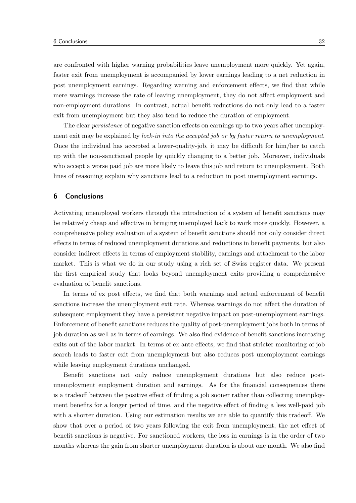are confronted with higher warning probabilities leave unemployment more quickly. Yet again, faster exit from unemployment is accompanied by lower earnings leading to a net reduction in post unemployment earnings. Regarding warning and enforcement effects, we find that while mere warnings increase the rate of leaving unemployment, they do not affect employment and non-employment durations. In contrast, actual benefit reductions do not only lead to a faster exit from unemployment but they also tend to reduce the duration of employment.

The clear *persistence* of negative sanction effects on earnings up to two years after unemployment exit may be explained by *lock-in into the accepted job or by faster return to unemployment*. Once the individual has accepted a lower-quality-job, it may be difficult for him/her to catch up with the non-sanctioned people by quickly changing to a better job. Moreover, individuals who accept a worse paid job are more likely to leave this job and return to unemployment. Both lines of reasoning explain why sanctions lead to a reduction in post unemployment earnings.

#### 6 Conclusions

Activating unemployed workers through the introduction of a system of benefit sanctions may be relatively cheap and effective in bringing unemployed back to work more quickly. However, a comprehensive policy evaluation of a system of benefit sanctions should not only consider direct effects in terms of reduced unemployment durations and reductions in benefit payments, but also consider indirect effects in terms of employment stability, earnings and attachment to the labor market. This is what we do in our study using a rich set of Swiss register data. We present the first empirical study that looks beyond unemployment exits providing a comprehensive evaluation of benefit sanctions.

In terms of ex post effects, we find that both warnings and actual enforcement of benefit sanctions increase the unemployment exit rate. Whereas warnings do not affect the duration of subsequent employment they have a persistent negative impact on post-unemployment earnings. Enforcement of benefit sanctions reduces the quality of post-unemployment jobs both in terms of job duration as well as in terms of earnings. We also find evidence of benefit sanctions increasing exits out of the labor market. In terms of ex ante effects, we find that stricter monitoring of job search leads to faster exit from unemployment but also reduces post unemployment earnings while leaving employment durations unchanged.

Benefit sanctions not only reduce unemployment durations but also reduce postunemployment employment duration and earnings. As for the financial consequences there is a tradeoff between the positive effect of finding a job sooner rather than collecting unemployment benefits for a longer period of time, and the negative effect of finding a less well-paid job with a shorter duration. Using our estimation results we are able to quantify this tradeoff. We show that over a period of two years following the exit from unemployment, the net effect of benefit sanctions is negative. For sanctioned workers, the loss in earnings is in the order of two months whereas the gain from shorter unemployment duration is about one month. We also find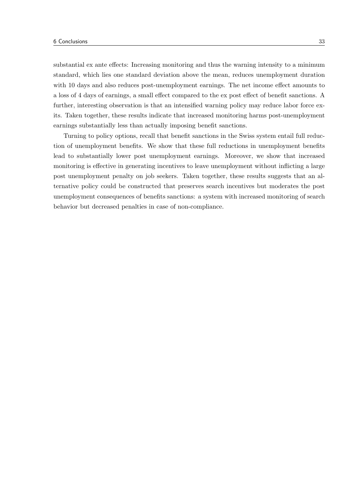substantial ex ante effects: Increasing monitoring and thus the warning intensity to a minimum standard, which lies one standard deviation above the mean, reduces unemployment duration with 10 days and also reduces post-unemployment earnings. The net income effect amounts to a loss of 4 days of earnings, a small effect compared to the ex post effect of benefit sanctions. A further, interesting observation is that an intensified warning policy may reduce labor force exits. Taken together, these results indicate that increased monitoring harms post-unemployment earnings substantially less than actually imposing benefit sanctions.

Turning to policy options, recall that benefit sanctions in the Swiss system entail full reduction of unemployment benefits. We show that these full reductions in unemployment benefits lead to substantially lower post unemployment earnings. Moreover, we show that increased monitoring is effective in generating incentives to leave unemployment without inflicting a large post unemployment penalty on job seekers. Taken together, these results suggests that an alternative policy could be constructed that preserves search incentives but moderates the post unemployment consequences of benefits sanctions: a system with increased monitoring of search behavior but decreased penalties in case of non-compliance.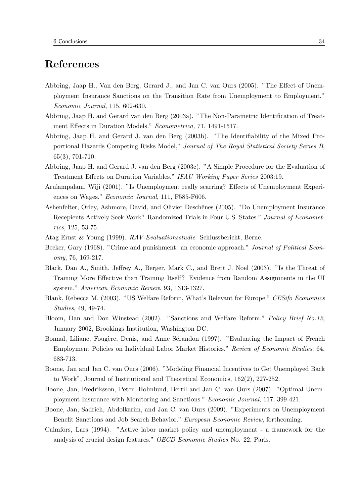### References

- Abbring, Jaap H., Van den Berg, Gerard J., and Jan C. van Ours (2005). "The Effect of Unemployment Insurance Sanctions on the Transition Rate from Unemployment to Employment." Economic Journal, 115, 602-630.
- Abbring, Jaap H. and Gerard van den Berg (2003a). "The Non-Parametric Identification of Treatment Effects in Duration Models." Econometrica, 71, 1491-1517.
- Abbring, Jaap H. and Gerard J. van den Berg (2003b). "The Identifiability of the Mixed Proportional Hazards Competing Risks Model," Journal of The Royal Statistical Society Series B, 65(3), 701-710.
- Abbring, Jaap H. and Gerard J. van den Berg (2003c). "A Simple Procedure for the Evaluation of Treatment Effects on Duration Variables." IFAU Working Paper Series 2003:19.
- Arulampalam, Wiji (2001). "Is Unemployment really scarring? Effects of Unemployment Experiences on Wages." Economic Journal, 111, F585-F606.
- Ashenfelter, Orley, Ashmore, David, and Olivier Deschênes (2005). "Do Unemployment Insurance Recepients Actively Seek Work? Randomized Trials in Four U.S. States." Journal of Econometrics, 125, 53-75.
- Atag Ernst & Young (1999). RAV-Evaluationsstudie. Schlussbericht, Berne.
- Becker, Gary (1968). "Crime and punishment: an economic approach." Journal of Political Economy, 76, 169-217.
- Black, Dan A., Smith, Jeffrey A., Berger, Mark C., and Brett J. Noel (2003). "Is the Threat of Training More Effective than Training Itself? Evidence from Random Assignments in the UI system." American Economic Review, 93, 1313-1327.
- Blank, Rebecca M. (2003). "US Welfare Reform, What's Relevant for Europe." CESifo Economics Studies, 49, 49-74.
- Bloom, Dan and Don Winstead (2002). "Sanctions and Welfare Reform." Policy Brief No.12, January 2002, Brookings Institution, Washington DC.
- Bonnal, Liliane, Fougère, Denis, and Anne Sérandon (1997). "Evaluating the Impact of French Employment Policies on Individual Labor Market Histories." Review of Economic Studies, 64, 683-713.
- Boone, Jan and Jan C. van Ours (2006). "Modeling Financial Incentives to Get Unemployed Back to Work", Journal of Institutional and Theoretical Economics, 162(2), 227-252.
- Boone, Jan, Fredriksson, Peter, Holmlund, Bertil and Jan C. van Ours (2007). "Optimal Unemployment Insurance with Monitoring and Sanctions." Economic Journal, 117, 399-421.
- Boone, Jan, Sadrieh, Abdolkarim, and Jan C. van Ours (2009). "Experiments on Unemployment Benefit Sanctions and Job Search Behavior." European Economic Review, forthcoming.
- Calmfors, Lars (1994). "Active labor market policy and unemployment a framework for the analysis of crucial design features." OECD Economic Studies No. 22, Paris.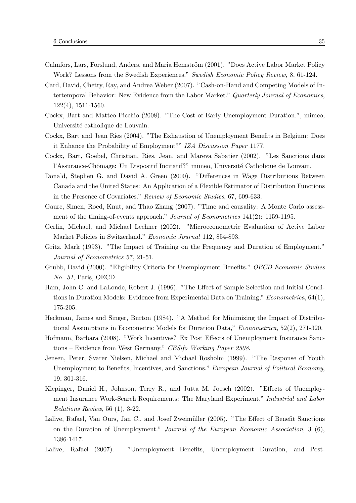- Calmfors, Lars, Forslund, Anders, and Maria Hemström (2001). "Does Active Labor Market Policy Work? Lessons from the Swedish Experiences." Swedish Economic Policy Review, 8, 61-124.
- Card, David, Chetty, Ray, and Andrea Weber (2007). "Cash-on-Hand and Competing Models of Intertemporal Behavior: New Evidence from the Labor Market." Quarterly Journal of Economics, 122(4), 1511-1560.
- Cockx, Bart and Matteo Picchio (2008). "The Cost of Early Unemployment Duration.", mimeo, Université catholique de Louvain.
- Cockx, Bart and Jean Ries (2004). "The Exhaustion of Unemployment Benefits in Belgium: Does it Enhance the Probability of Employment?" IZA Discussion Paper 1177.
- Cockx, Bart, Goebel, Christian, Ries, Jean, and Mareva Sabatier (2002). "Les Sanctions dans l'Assurance-Chômage: Un Dispositif Incitatif?" mimeo, Université Catholique de Louvain.
- Donald, Stephen G. and David A. Green (2000). "Differences in Wage Distributions Between Canada and the United States: An Application of a Flexible Estimator of Distribution Functions in the Presence of Covariates." Review of Economic Studies, 67, 609-633.
- Gaure, Simen, Roed, Knut, and Thao Zhang (2007). "Time and causality: A Monte Carlo assessment of the timing-of-events approach." Journal of Econometrics 141(2): 1159-1195.
- Gerfin, Michael, and Michael Lechner (2002). "Microeconometric Evaluation of Active Labor Market Policies in Switzerland." Economic Journal 112, 854-893.
- Gritz, Mark (1993). "The Impact of Training on the Frequency and Duration of Employment." Journal of Econometrics 57, 21-51.
- Grubb, David (2000). "Eligibility Criteria for Unemployment Benefits." OECD Economic Studies No. 31, Paris, OECD.
- Ham, John C. and LaLonde, Robert J. (1996). "The Effect of Sample Selection and Initial Conditions in Duration Models: Evidence from Experimental Data on Training," *Econometrica*, 64(1), 175-205.
- Heckman, James and Singer, Burton (1984). "A Method for Minimizing the Impact of Distributional Assumptions in Econometric Models for Duration Data," Econometrica, 52(2), 271-320.
- Hofmann, Barbara (2008). "Work Incentives? Ex Post Effects of Unemployment Insurance Sanctions – Evidence from West Germany." CESifo Working Paper 2508.
- Jensen, Peter, Svarer Nielsen, Michael and Michael Rosholm (1999). "The Response of Youth Unemployment to Benefits, Incentives, and Sanctions." European Journal of Political Economy, 19, 301-316.
- Klepinger, Daniel H., Johnson, Terry R., and Jutta M. Joesch (2002). "Effects of Unemployment Insurance Work-Search Requirements: The Maryland Experiment." Industrial and Labor Relations Review, 56 (1), 3-22.
- Lalive, Rafael, Van Ours, Jan C., and Josef Zweimüller (2005). "The Effect of Benefit Sanctions on the Duration of Unemployment." Journal of the European Economic Association, 3 (6), 1386-1417.
- Lalive, Rafael (2007). "Unemployment Benefits, Unemployment Duration, and Post-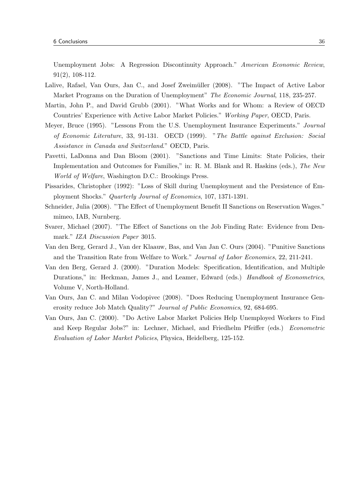Unemployment Jobs: A Regression Discontinuity Approach." American Economic Review, 91(2), 108-112.

- Lalive, Rafael, Van Ours, Jan C., and Josef Zweimüller (2008). "The Impact of Active Labor Market Programs on the Duration of Unemployment" The Economic Journal, 118, 235-257.
- Martin, John P., and David Grubb (2001). "What Works and for Whom: a Review of OECD Countries' Experience with Active Labor Market Policies." Working Paper, OECD, Paris.
- Meyer, Bruce (1995). "Lessons From the U.S. Unemployment Insurance Experiments." Journal of Economic Literature, 33, 91-131. OECD (1999). "The Battle against Exclusion: Social Assistance in Canada and Switzerland." OECD, Paris.
- Pavetti, LaDonna and Dan Bloom (2001). "Sanctions and Time Limits: State Policies, their Implementation and Outcomes for Families," in: R. M. Blank and R. Haskins (eds.), The New World of Welfare, Washington D.C.: Brookings Press.
- Pissarides, Christopher (1992): "Loss of Skill during Unemployment and the Persistence of Employment Shocks." Quarterly Journal of Economics, 107, 1371-1391.
- Schneider, Julia (2008). "The Effect of Unemployment Benefit II Sanctions on Reservation Wages." mimeo, IAB, Nurnberg.
- Svarer, Michael (2007). "The Effect of Sanctions on the Job Finding Rate: Evidence from Denmark." IZA Discussion Paper 3015.
- Van den Berg, Gerard J., Van der Klaauw, Bas, and Van Jan C. Ours (2004). "Punitive Sanctions and the Transition Rate from Welfare to Work." Journal of Labor Economics, 22, 211-241.
- Van den Berg, Gerard J. (2000). "Duration Models: Specification, Identification, and Multiple Durations," in: Heckman, James J., and Leamer, Edward (eds.) Handbook of Econometrics, Volume V, North-Holland.
- Van Ours, Jan C. and Milan Vodopivec (2008). "Does Reducing Unemployment Insurance Generosity reduce Job Match Quality?" Journal of Public Economics, 92, 684-695.
- Van Ours, Jan C. (2000). "Do Active Labor Market Policies Help Unemployed Workers to Find and Keep Regular Jobs?" in: Lechner, Michael, and Friedhelm Pfeiffer (eds.) Econometric Evaluation of Labor Market Policies, Physica, Heidelberg, 125-152.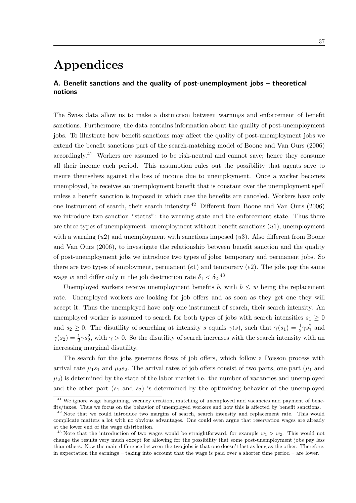### Appendices

#### A. Benefit sanctions and the quality of post-unemployment jobs – theoretical notions

The Swiss data allow us to make a distinction between warnings and enforcement of benefit sanctions. Furthermore, the data contains information about the quality of post-unemployment jobs. To illustrate how benefit sanctions may affect the quality of post-unemployment jobs we extend the benefit sanctions part of the search-matching model of Boone and Van Ours (2006) accordingly.<sup>41</sup> Workers are assumed to be risk-neutral and cannot save; hence they consume all their income each period. This assumption rules out the possibility that agents save to insure themselves against the loss of income due to unemployment. Once a worker becomes unemployed, he receives an unemployment benefit that is constant over the unemployment spell unless a benefit sanction is imposed in which case the benefits are canceled. Workers have only one instrument of search, their search intensity.<sup>42</sup> Different from Boone and Van Ours (2006) we introduce two sanction "states": the warning state and the enforcement state. Thus there are three types of unemployment: unemployment without benefit sanctions  $(u_1)$ , unemployment with a warning  $(u2)$  and unemployment with sanctions imposed  $(u3)$ . Also different from Boone and Van Ours (2006), to investigate the relationship between benefit sanction and the quality of post-unemployment jobs we introduce two types of jobs: temporary and permanent jobs. So there are two types of employment, permanent  $(e1)$  and temporary  $(e2)$ . The jobs pay the same wage w and differ only in the job destruction rate  $\delta_1 < \delta_2$ .<sup>43</sup>

Unemployed workers receive unemployment benefits b, with  $b \leq w$  being the replacement rate. Unemployed workers are looking for job offers and as soon as they get one they will accept it. Thus the unemployed have only one instrument of search, their search intensity. An unemployed worker is assumed to search for both types of jobs with search intensities  $s_1 \geq 0$ and  $s_2 \geq 0$ . The disutility of searching at intensity s equals  $\gamma(s)$ , such that  $\gamma(s_1) = \frac{1}{2}\gamma s_1^2$  and  $\gamma(s_2) = \frac{1}{2}\gamma s_2^2$ , with  $\gamma > 0$ . So the disutility of search increases with the search intensity with an increasing marginal disutility.

The search for the jobs generates flows of job offers, which follow a Poisson process with arrival rate  $\mu_1s_1$  and  $\mu_2s_2$ . The arrival rates of job offers consist of two parts, one part ( $\mu_1$  and  $\mu_2$ ) is determined by the state of the labor market i.e. the number of vacancies and unemployed and the other part  $(s_1 \text{ and } s_2)$  is determined by the optimizing behavior of the unemployed

<sup>&</sup>lt;sup>41</sup> We ignore wage bargaining, vacancy creation, matching of unemployed and vacancies and payment of benefits/taxes. Thus we focus on the behavior of unemployed workers and how this is affected by benefit sanctions.

<sup>&</sup>lt;sup>42</sup> Note that we could introduce two margins of search, search intensity and replacement rate. This would complicate matters a lot with no obvious advantages. One could even argue that reservation wages are already at the lower end of the wage distribution.

<sup>&</sup>lt;sup>43</sup> Note that the introduction of two wages would be straightforward, for example  $w_1 > w_2$ . This would not change the results very much except for allowing for the possibility that some post-unemployment jobs pay less than others. Now the main difference between the two jobs is that one doesn't last as long as the other. Therefore, in expectation the earnings – taking into account that the wage is paid over a shorter time period – are lower.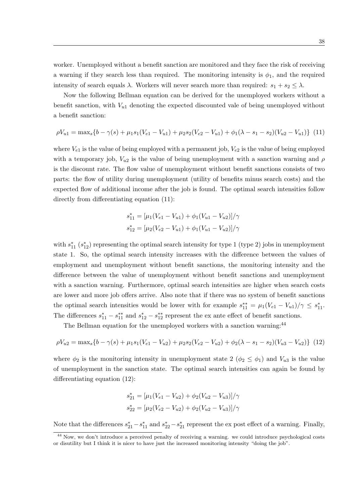worker. Unemployed without a benefit sanction are monitored and they face the risk of receiving a warning if they search less than required. The monitoring intensity is  $\phi_1$ , and the required intensity of search equals  $\lambda$ . Workers will never search more than required:  $s_1 + s_2 \leq \lambda$ .

Now the following Bellman equation can be derived for the unemployed workers without a benefit sanction, with  $V_{u1}$  denoting the expected discounted vale of being unemployed without a benefit sanction:

$$
\rho V_{u1} = \max_s \{ b - \gamma(s) + \mu_1 s_1 (V_{e1} - V_{u1}) + \mu_2 s_2 (V_{e2} - V_{u1}) + \phi_1(\lambda - s_1 - s_2)(V_{u2} - V_{u1}) \} (11)
$$

where  $V_{e1}$  is the value of being employed with a permanent job,  $V_{e2}$  is the value of being employed with a temporary job,  $V_{u2}$  is the value of being unemployment with a sanction warning and  $\rho$ is the discount rate. The flow value of unemployment without benefit sanctions consists of two parts: the flow of utility during unemployment (utility of benefits minus search costs) and the expected flow of additional income after the job is found. The optimal search intensities follow directly from differentiating equation (11):

$$
s_{11}^{*} = \left[\mu_1(V_{e1} - V_{u1}) + \phi_1(V_{u1} - V_{u2})\right] / \gamma
$$
  

$$
s_{12}^{*} = \left[\mu_2(V_{e2} - V_{u1}) + \phi_1(V_{u1} - V_{u2})\right] / \gamma
$$

with  $s_{11}^*$  ( $s_{12}^*$ ) representing the optimal search intensity for type 1 (type 2) jobs in unemployment state 1. So, the optimal search intensity increases with the difference between the values of employment and unemployment without benefit sanctions, the monitoring intensity and the difference between the value of unemployment without benefit sanctions and unemployment with a sanction warning. Furthermore, optimal search intensities are higher when search costs are lower and more job offers arrive. Also note that if there was no system of benefit sanctions the optimal search intensities would be lower with for example  $s_{11}^{**} = \mu_1 (V_{e1} - V_{u1})/\gamma \leq s_{11}^*$ . The differences  $s_{11}^* - s_{11}^{**}$  and  $s_{12}^* - s_{12}^{**}$  represent the ex ante effect of benefit sanctions.

The Bellman equation for the unemployed workers with a sanction warning:<sup>44</sup>

$$
\rho V_{u2} = \max_s \{ b - \gamma(s) + \mu_1 s_1 (V_{e1} - V_{u2}) + \mu_2 s_2 (V_{e2} - V_{u2}) + \phi_2(\lambda - s_1 - s_2)(V_{u3} - V_{u2}) \} (12)
$$

where  $\phi_2$  is the monitoring intensity in unemployment state 2 ( $\phi_2 \leq \phi_1$ ) and  $V_{u3}$  is the value of unemployment in the sanction state. The optimal search intensities can again be found by differentiating equation (12):

$$
s_{21}^{*} = \frac{\mu_1 (V_{e1} - V_{u2}) + \phi_2 (V_{u2} - V_{u3})}{\gamma}
$$
  

$$
s_{22}^{*} = \frac{\mu_2 (V_{e2} - V_{u2}) + \phi_2 (V_{u2} - V_{u3})}{\gamma}
$$

Note that the differences  $s_{21}^* - s_{11}^*$  and  $s_{22}^* - s_{21}^*$  represent the ex post effect of a warning. Finally,

<sup>&</sup>lt;sup>44</sup> Now, we don't introduce a perceived penalty of receiving a warning. we could introduce psychological costs or disutility but I think it is nicer to have just the increased monitoring intensity "doing the job".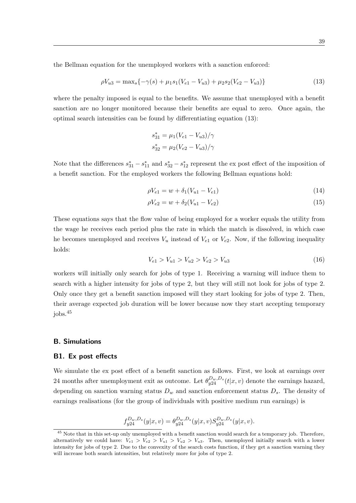the Bellman equation for the unemployed workers with a sanction enforced:

$$
\rho V_{u3} = \max_{s} \{ -\gamma(s) + \mu_1 s_1 (V_{e1} - V_{u3}) + \mu_2 s_2 (V_{e2} - V_{u3}) \} \tag{13}
$$

where the penalty imposed is equal to the benefits. We assume that unemployed with a benefit sanction are no longer monitored because their benefits are equal to zero. Once again, the optimal search intensities can be found by differentiating equation (13):

$$
s_{31}^{*} = \mu_1 (V_{e1} - V_{u3}) / \gamma
$$
  

$$
s_{32}^{*} = \mu_2 (V_{e2} - V_{u3}) / \gamma
$$

Note that the differences  $s_{31}^* - s_{11}^*$  and  $s_{32}^* - s_{12}^*$  represent the ex post effect of the imposition of a benefit sanction. For the employed workers the following Bellman equations hold:

$$
\rho V_{e1} = w + \delta_1 (V_{u1} - V_{e1}) \tag{14}
$$

$$
\rho V_{e2} = w + \delta_2 (V_{u1} - V_{e2}) \tag{15}
$$

These equations says that the flow value of being employed for a worker equals the utility from the wage he receives each period plus the rate in which the match is dissolved, in which case he becomes unemployed and receives  $V_u$  instead of  $V_{e1}$  or  $V_{e2}$ . Now, if the following inequality holds:

$$
V_{e1} > V_{u1} > V_{u2} > V_{e2} > V_{u3}
$$
\n
$$
(16)
$$

workers will initially only search for jobs of type 1. Receiving a warning will induce them to search with a higher intensity for jobs of type 2, but they will still not look for jobs of type 2. Only once they get a benefit sanction imposed will they start looking for jobs of type 2. Then, their average expected job duration will be lower because now they start accepting temporary jobs.<sup>45</sup>

#### B. Simulations

#### B1. Ex post effects

We simulate the ex post effect of a benefit sanction as follows. First, we look at earnings over 24 months after unemployment exit as outcome. Let  $\theta_{y24}^{D_w, D_s}(t|x, v)$  denote the earnings hazard, depending on sanction warning status  $D_w$  and sanction enforcement status  $D_s$ . The density of earnings realisations (for the group of individuals with positive medium run earnings) is

$$
f_{y24}^{D_w, D_s}(y|x, v) = \theta_{y24}^{D_w, D_s}(y|x, v) S_{y24}^{D_w, D_s}(y|x, v).
$$

<sup>&</sup>lt;sup>45</sup> Note that in this set-up only unemployed with a benefit sanction would search for a temporary job. Therefore, alternatively we could have:  $V_{e1} > V_{e2} > V_{u1} > V_{u2} > V_{u3}$ . Then, unemployed initially search with a lower intensity for jobs of type 2. Due to the convexity of the search costs function, if they get a sanction warning they will increase both search intensities, but relatively more for jobs of type 2.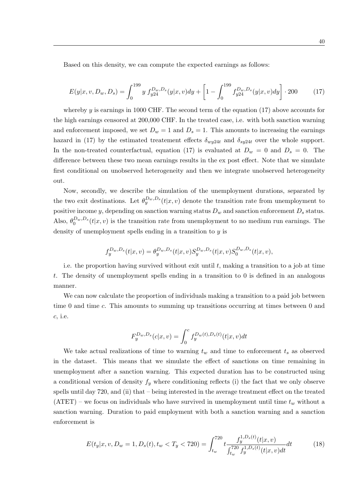Based on this density, we can compute the expected earnings as follows:

$$
E(y|x,v,D_w,D_s) = \int_0^{199} y f_{y24}^{D_w,D_s}(y|x,v)dy + \left[1 - \int_0^{199} f_{y24}^{D_w,D_s}(y|x,v)dy\right] \cdot 200\tag{17}
$$

whereby  $y$  is earnings in 1000 CHF. The second term of the equation (17) above accounts for the high earnings censored at 200,000 CHF. In the treated case, i.e. with both sanction warning and enforcement imposed, we set  $D_w = 1$  and  $D_s = 1$ . This amounts to increasing the earnings hazard in (17) by the estimated treatement effects  $\delta_{wy24t}$  and  $\delta_{sy24t}$  over the whole support. In the non-treated counterfactual, equation (17) is evaluated at  $D_w = 0$  and  $D_s = 0$ . The difference between these two mean earnings results in the ex post effect. Note that we simulate first conditional on unobserved heterogeneity and then we integrate unobserved heterogeneity out.

Now, secondly, we describe the simulation of the unemployment durations, separated by the two exit destinations. Let  $\theta_y^{D_w, D_s}(t|x, v)$  denote the transition rate from unemployment to positive income y, depending on sanction warning status  $D_w$  and sanction enforcement  $D_s$  status. Also,  $\theta_0^{D_w, D_s}(t|x, v)$  is the transition rate from unemployment to no medium run earnings. The density of unemployment spells ending in a transition to  $y$  is

$$
f_y^{D_w, D_s}(t|x, v) = \theta_y^{D_w, D_s}(t|x, v) S_y^{D_w, D_s}(t|x, v) S_0^{D_w, D_s}(t|x, v),
$$

i.e. the proportion having survived without exit until t, making a transition to a job at time t. The density of unemployment spells ending in a transition to 0 is defined in an analogous manner.

We can now calculate the proportion of individuals making a transition to a paid job between time 0 and time c. This amounts to summing up transitions occurring at times between 0 and c, i.e.

$$
F_y^{D_w, D_s}(c|x, v) = \int_0^c f_y^{D_w(t), D_s(t)}(t|x, v)dt
$$

We take actual realizations of time to warning  $t_w$  and time to enforcement  $t_s$  as observed in the dataset. This means that we simulate the effect of sanctions on time remaining in unemployment after a sanction warning. This expected duration has to be constructed using a conditional version of density  $f_y$  where conditioning reflects (i) the fact that we only observe spells until day 720, and (ii) that – being interested in the average treatment effect on the treated  $(ATET)$  – we focus on individuals who have survived in unemployment until time  $t_w$  without a sanction warning. Duration to paid employment with both a sanction warning and a sanction enforcement is

$$
E(t_y|x,v,D_w=1,D_s(t),t_w
$$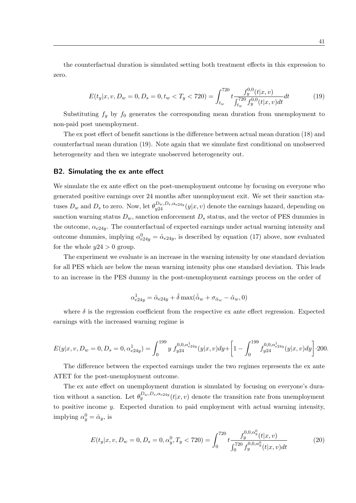the counterfactual duration is simulated setting both treatment effects in this expression to zero.

$$
E(t_y|x, v, D_w = 0, D_s = 0, t_w < T_y < 720) = \int_{t_w}^{720} t \frac{f_y^{0,0}(t|x, v)}{\int_{t_w}^{720} f_y^{0,0}(t|x, v)dt} dt
$$
(19)

Substituting  $f_y$  by  $f_0$  generates the corresponding mean duration from unemployment to non-paid post unemployment.

The ex post effect of benefit sanctions is the difference between actual mean duration (18) and counterfactual mean duration (19). Note again that we simulate first conditional on unobserved heterogeneity and then we integrate unobserved heterogeneity out.

#### B2. Simulating the ex ante effect

We simulate the ex ante effect on the post-unemployment outcome by focusing on everyone who generated positive earnings over 24 months after unemployment exit. We set their sanction statuses  $D_w$  and  $D_s$  to zero. Now, let  $\theta_{y24}^{D_w, D_s, \alpha_{e24y}}(y|x, v)$  denote the earnings hazard, depending on sanction warning status  $D_w$ , sanction enforcement  $D_s$  status, and the vector of PES dummies in the outcome,  $\alpha_{e24y}$ . The counterfactual of expected earnings under actual warning intensity and outcome dummies, implying  $\alpha_{e24y}^0 = \hat{\alpha}_{e24y}$ , is described by equation (17) above, now evaluated for the whole  $y24 > 0$  group.

The experiment we evaluate is an increase in the warning intensity by one standard deviation for all PES which are below the mean warning intensity plus one standard deviation. This leads to an increase in the PES dummy in the post-unemployment earnings process on the order of

$$
\alpha_{e24y}^1 = \hat{\alpha}_{e24y} + \hat{\delta} \max(\bar{\hat{\alpha}}_w + \sigma_{\hat{\alpha}_w} - \hat{\alpha}_w, 0)
$$

where  $\delta$  is the regression coefficient from the respective ex ante effect regression. Expected earnings with the increased warning regime is

$$
E(y|x,v,D_w=0,D_s=0,\alpha_{e24y}^1) = \int_0^{199} y f_{y24}^{0,0,\alpha_{e24y}^1}(y|x,v)dy + \left[1 - \int_0^{199} f_{y24}^{0,0,\alpha_{e24y}^1}(y|x,v)dy\right].200.
$$

The difference between the expected earnings under the two regimes represents the ex ante ATET for the post-unemployment outcome.

The ex ante effect on unemployment duration is simulated by focusing on everyone's duration without a sanction. Let  $\theta_y^{D_w,D_s,\alpha_{e24y}}(t|x,v)$  denote the transition rate from unemployment to positive income y. Expected duration to paid employment with actual warning intensity, implying  $\alpha_y^0 = \hat{\alpha}_y$ , is

$$
E(t_y|x, v, D_w = 0, D_s = 0, \alpha_y^0, T_y < 720) = \int_0^{720} t \frac{f_y^{0,0,\alpha_y^0}(t|x, v)}{\int_0^{720} f_y^{0,0,\alpha_y^0}(t|x, v)dt} \tag{20}
$$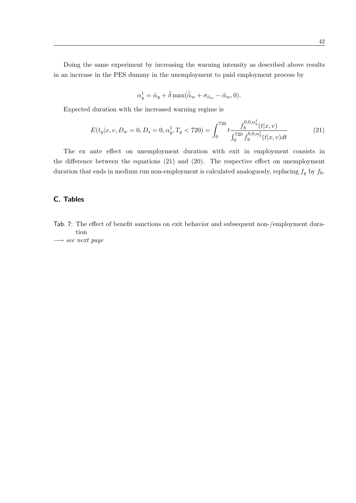Doing the same experiment by increasing the warning intensity as described above results in an increase in the PES dummy in the unemployment to paid employment process by

$$
\alpha_y^1 = \hat{\alpha}_y + \hat{\delta} \max(\bar{\hat{\alpha}}_w + \sigma_{\hat{\alpha}_w} - \hat{\alpha}_w, 0).
$$

Expected duration with the increased warning regime is

$$
E(t_y|x,v,D_w=0,D_s=0,\alpha_y^1,T_y<720)=\int_0^{720}t\frac{f_y^{0,0,\alpha_y^1}(t|x,v)}{\int_0^{720}f_y^{0,0,\alpha_y^1}(t|x,v)dt}
$$
(21)

The ex ante effect on unemployment duration with exit in employment consists in the difference between the equations (21) and (20). The respective effect on unemployment duration that ends in medium run non-employment is calculated analoguosly, replacing  $f_y$  by  $f_0$ .

#### C. Tables

Tab. 7: The effect of benefit sanctions on exit behavior and subsequent non-/employment duration

−→ see next page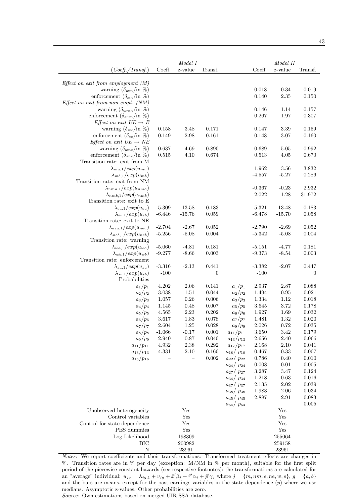|                                                                               |          | Model I              |                         |                                    |                   | Model II             |                      |
|-------------------------------------------------------------------------------|----------|----------------------|-------------------------|------------------------------------|-------------------|----------------------|----------------------|
| (Coeff./Transf.)                                                              | Coeff.   | z-value              | Transf.                 |                                    | Coeff.            | z-value              | Transf.              |
|                                                                               |          |                      |                         |                                    |                   |                      |                      |
| Effect on exit from employment $(M)$                                          |          |                      |                         |                                    |                   |                      |                      |
| warning $(\delta_{wm}/\text{in }\%)$                                          |          |                      |                         |                                    | 0.018             | 0.34                 | 0.019                |
| enforcement $(\delta_{sm}/\text{in }\%)$                                      |          |                      |                         |                                    | 0.140             | 2.35                 | 0.150                |
| Effect on exit from non-empl. $(NM)$<br>warning $(\delta_{wnm}/\text{in }\%)$ |          |                      |                         |                                    | 0.146             | 1.14                 | 0.157                |
| enforcement $(\delta_{snm}/\text{in }\%)$                                     |          |                      |                         |                                    | 0.267             | 1.97                 | 0.307                |
| Effect on exit $UE \rightarrow E$                                             |          |                      |                         |                                    |                   |                      |                      |
| warning $(\delta_{we}/\text{in }\%)$                                          | 0.158    | 3.48                 | 0.171                   |                                    | 0.147             | 3.39                 | 0.159                |
| enforcement $(\delta_{se}/\text{in }\%)$                                      | 0.149    | 2.98                 | 0.161                   |                                    | 0.148             | 3.07                 | 0.160                |
| Effect on exit $UE \rightarrow NE$                                            |          |                      |                         |                                    |                   |                      |                      |
| warning $(\delta_{wne}/\text{in }\%)$                                         | 0.637    | 4.69                 | 0.890                   |                                    | 0.689             | 5.05                 | 0.992                |
| enforcement $(\delta_{sne}/\text{in }\%)$                                     | 0.515    | 4.10                 | 0.674                   |                                    | 0.513             | 4.05                 | 0.670                |
| Transition rate: exit from M                                                  |          |                      |                         |                                    |                   |                      |                      |
| $\lambda_{ma,1}/exp(u_{ma})$                                                  |          |                      |                         |                                    | $-1.962$          | $-3.56$              | 3.832                |
| $\lambda_{mb,1}/exp(u_{mb})$                                                  |          |                      |                         |                                    | $-4.557$          | $-5.27$              | 0.286                |
| Transition rate: exit from NM                                                 |          |                      |                         |                                    |                   |                      |                      |
| $\lambda_{nma,1}/exp(u_{nma})$<br>$\lambda_{nmb,1}/exp(u_{nmb})$              |          |                      |                         |                                    | $-0.367$<br>2.022 | $-0.23$<br>1.28      | 2.932<br>31.972      |
| Transition rate: exit to E                                                    |          |                      |                         |                                    |                   |                      |                      |
| $\lambda_{ea,1}/exp(u_{ea})$                                                  | $-5.309$ | $-13.58$             | 0.183                   |                                    | $-5.321$          | $-13.48$             | 0.183                |
| $\lambda_{eb,1}/exp(u_{eb})$                                                  | $-6.446$ | $-15.76$             | 0.059                   |                                    | $-6.478$          | $-15.70$             | 0.058                |
| Transition rate: exit to NE                                                   |          |                      |                         |                                    |                   |                      |                      |
| $\lambda_{nea,1}/exp(u_{nea})$                                                | $-2.704$ | $-2.67$              | 0.052                   |                                    | $-2.790$          | $-2.69$              | 0.052                |
| $\lambda_{neb,1}/exp(u_{neb})$                                                | $-5.256$ | $-5.08$              | 0.004                   |                                    | $-5.342$          | $-5.08$              | 0.004                |
| Transition rate: warning                                                      |          |                      |                         |                                    |                   |                      |                      |
| $\lambda_{wa,1}/exp(u_{wa})$                                                  | $-5.060$ | $-4.81$              | 0.181                   |                                    | $-5.151$          | $-4.77$              | 0.181                |
| $\lambda_{wb,1}/exp(u_{wb})$                                                  | $-9.277$ | $-8.66$              | 0.003                   |                                    | $-9.373$          | $-8.54$              | 0.003                |
| Transition rate: enforcement                                                  |          |                      |                         |                                    |                   |                      |                      |
| $\lambda_{sa,1}/exp(u_{sa})$                                                  | $-3.316$ | $-2.13$              | 0.441<br>$\overline{0}$ |                                    | $-3.382$          | $-2.07$              | 0.447                |
| $\lambda_{sb,1}/exp(u_{sb})$<br>Probabilities                                 | $-100$   |                      |                         |                                    | $-100$            |                      | $\overline{0}$       |
| $a_1/p_1$                                                                     | 4.202    | 2.06                 | 0.141                   | $a_1/p_1$                          | 2.937             | 2.87                 | 0.088                |
| $a_2/p_2$                                                                     | 3.038    | 1.51                 | 0.044                   | $a_2/p_2$                          | 1.494             | 0.95                 | 0.021                |
| $a_3/p_3$                                                                     | 1.057    | 0.26                 | 0.006                   | $a_3/p_3$                          | 1.334             | 1.12                 | 0.018                |
| $a_4/p_4$                                                                     | 1.145    | 0.48                 | 0.007                   | $a_5/p_5$                          | 3.645             | 3.72                 | 0.178                |
| $a_5/p_5$                                                                     | 4.565    | 2.23                 | $0.202\,$               | $a_6/p_6$                          | 1.927             | 1.69                 | 0.032                |
| $a_6/p_6$                                                                     | 3.617    | 1.83                 | 0.078                   | $a_7/p_7$                          | 1.481             | 1.32                 | 0.020                |
| $a_7/p_7$                                                                     | 2.604    | 1.25                 | 0.028                   | $a_9/p_9$                          | 2.026             | 0.72                 | 0.035                |
| $a_8/p_8$                                                                     | $-1.066$ | $-0.17$              | 0.001                   | $a_{11}/p_{11}$                    | 3.650             | $3.42\,$             | 0.179                |
| $a_9/p_9$                                                                     | 2.940    | 0.87                 | 0.040                   | $a_{13}/p_{13}$                    | $2.656\,$         | 2.40                 | $0.066\,$            |
| $a_{11}/p_{11}$                                                               | 4.932    | 2.38                 | 0.292                   | $a_{17}/p_{17}$                    | 2.168             | $2.10\,$             | 0.041                |
| $a_{13}/p_{13}$                                                               | 4.331    | $2.10\,$             | 0.160                   | $a_{18}/p_{18}$                    | 0.467             | $\rm 0.33$           | $0.007\,$            |
| $a_{16}/p_{16}$                                                               |          |                      | 0.002                   | $a_{22}/p_{22}$                    | 0.786             | 0.40                 | $0.010\,$            |
|                                                                               |          |                      |                         | $a_{24}/p_{24}$                    | $-0.008$          | $-0.01$              | $0.005\,$            |
|                                                                               |          |                      |                         | $a_{27}/p_{27}$                    | 3.287             | 3.47                 | 0.124                |
|                                                                               |          |                      |                         | $a_{34}/p_{34}$                    | 1.218             | 0.63                 | $0.016\,$            |
|                                                                               |          |                      |                         | $a_{37}/p_{37}$<br>$a_{38}/p_{38}$ | 2.135<br>1.983    | 2.02<br>$2.06\,$     | 0.039<br>$\,0.034\,$ |
|                                                                               |          |                      |                         | $a_{45}/p_{45}$                    | 2.887             | 2.91                 | $\,0.083\,$          |
|                                                                               |          |                      |                         | $a_{64}/p_{64}$                    |                   |                      | 0.005                |
| Unobserved heterogeneity                                                      |          | Yes                  |                         |                                    |                   | Yes                  |                      |
| Control variables                                                             |          | Yes                  |                         |                                    |                   | Yes                  |                      |
| Control for state dependence                                                  |          | ${\rm Yes}$          |                         |                                    |                   | Yes                  |                      |
| PES dummies                                                                   |          | $\operatorname{Yes}$ |                         |                                    |                   | $\operatorname{Yes}$ |                      |
| -Log-Likelihood                                                               |          | 198309               |                         |                                    |                   | $255064\,$           |                      |
| <b>BIC</b>                                                                    |          | 200982               |                         |                                    |                   | 259158               |                      |
| $\rm N$                                                                       |          | 23961                |                         |                                    |                   | 23961                |                      |

Notes: We report coefficients and their transformations: Transformed treatment effects are changes in %. Transition rates are in % per day (exception: M/NM in % per month), suitable for the first split period of the piecewise constant hazards (see respective footnotes); the transformations are calculated for an "average" individual:  $u_{jg} = \lambda_{jg,1} + v_{jg} + \bar{x}'\beta_j + \bar{r}'\alpha_j + \bar{p}'\gamma_j$  where  $j = \{m, nm, e, ne, w, s\}, g = \{a, b\}$ and the bars are means, except for the past earnings variables in the state dependence  $(p)$  where we use medians. Asymptotic z-values. Other probabilities are zero. Source: Own estimations based on merged UIR-SSA database.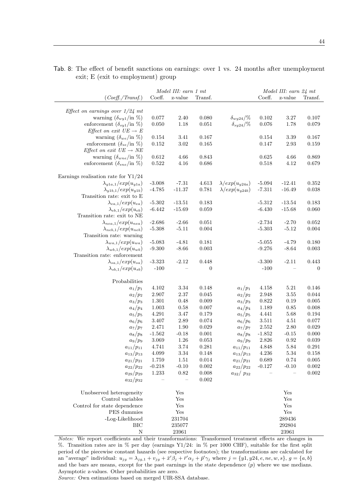| Model III: earn 1 mt                                         |          |                    |                  |                           | Model III: earn 24 mt |                    |                |  |
|--------------------------------------------------------------|----------|--------------------|------------------|---------------------------|-----------------------|--------------------|----------------|--|
| (Coeff./Transf.)                                             | Coeff.   | z-value            | Transf.          |                           | Coeff.                | z-value            | Transf.        |  |
|                                                              |          |                    |                  |                           |                       |                    |                |  |
| Effect on earnings over $1/24$ mt                            |          |                    |                  |                           |                       |                    |                |  |
| warning $(\delta_{wy1}/\text{in }\%)$                        | 0.077    | 2.40               | 0.080            | $\delta_{wy24}/\%$        | $\rm 0.102$           | 3.27               | $0.107\,$      |  |
| enforcement $(\delta_{sy1}/\text{in }\%)$                    | 0.050    | 1.18               | 0.051            | $\delta_{sy24}/\%$        | 0.076                 | 1.78               | 0.079          |  |
| Effect on exit $UE \rightarrow E$                            |          |                    |                  |                           |                       |                    |                |  |
| warning $(\delta_{we}/\text{in }\%)$                         | 0.154    | 3.41               | 0.167            |                           | 0.154                 | 3.39               | 0.167          |  |
| enforcement $(\delta_{se}/\text{in }\%)$                     | 0.152    | 3.02               | 0.165            |                           | 0.147                 | 2.93               | 0.159          |  |
| Effect on exit $UE \rightarrow NE$                           |          |                    |                  |                           |                       |                    |                |  |
| warning $(\delta_{wne}/\text{in }\%)$                        | 0.612    | 4.66               | 0.843            |                           | 0.625                 | 4.66               | 0.869          |  |
| enforcement $(\delta_{sne}/\text{in }\%)$                    | 0.522    | 4.16               | 0.686            |                           | 0.518                 | 4.12               | 0.679          |  |
|                                                              |          |                    |                  |                           |                       |                    |                |  |
| Earnings realisation rate for $Y1/24$                        |          |                    |                  |                           |                       |                    |                |  |
| $\lambda_{y1a,1}/exp(u_{y1a})$                               | $-3.008$ | $-7.31$            | 4.613            | $\lambda / exp(u_{y24a})$ | $-5.094$              | $-12.41$           | 0.352          |  |
| $\lambda_{y1b,1}/exp(u_{y1b})$                               | $-4.785$ | $-11.37$           | $0.781\,$        | $\lambda/exp(u_{y24b})$   | $-7.311$              | $-16.49$           | 0.038          |  |
| Transition rate: exit to E                                   |          |                    |                  |                           |                       |                    |                |  |
| $\lambda_{ea,1}/exp(u_{ea})$                                 | $-5.302$ | $-13.51$           | 0.183            |                           | $-5.312$              | $-13.54$           | 0.183          |  |
| $\lambda_{eb,1}/exp(u_{eb})$                                 | $-6.442$ | $-15.69$           | 0.059            |                           | $-6.430$              | $-15.68$           | 0.060          |  |
| Transition rate: exit to NE                                  |          |                    |                  |                           |                       |                    |                |  |
| $\lambda_{nea,1}/exp(u_{nea})$                               | $-2.686$ | $-2.66$<br>$-5.11$ | 0.051<br>0.004   |                           | $-2.734$              | $-2.70$<br>$-5.12$ | 0.052<br>0.004 |  |
| $\lambda_{neb,1}/exp(u_{neb})$<br>Transition rate: warning   | $-5.308$ |                    |                  |                           | $-5.303$              |                    |                |  |
|                                                              | $-5.083$ |                    | 0.181            |                           |                       | $-4.79$            | 0.180          |  |
| $\lambda_{wa,1}/exp(u_{wa})$<br>$\lambda_{wb,1}/exp(u_{wb})$ | $-9.300$ | $-4.81$<br>$-8.66$ | 0.003            |                           | $-5.055$<br>$-9.276$  | $-8.64$            | 0.003          |  |
| Transition rate: enforcement                                 |          |                    |                  |                           |                       |                    |                |  |
| $\lambda_{sa,1}/exp(u_{sa})$                                 | $-3.323$ | $-2.12$            | 0.448            |                           | $-3.300$              | $-2.11$            | 0.443          |  |
| $\lambda_{sb,1}/exp(u_{sb})$                                 | $-100$   |                    | $\boldsymbol{0}$ |                           | $-100$                |                    | $\mathbf{0}$   |  |
|                                                              |          |                    |                  |                           |                       |                    |                |  |
| Probabilities                                                |          |                    |                  |                           |                       |                    |                |  |
| $a_1/p_1$                                                    | 4.102    | 3.34               | 0.148            | $a_1/p_1$                 | $4.158\,$             | $5.21\,$           | 0.146          |  |
| $a_2/p_2$                                                    | 2.907    | 2.37               | 0.045            | $a_2/p_2$                 | 2.948                 | 3.55               | 0.044          |  |
| $a_3/p_3$                                                    | 1.301    | 0.48               | 0.009            | $a_3/p_3$                 | 0.822                 | 0.19               | 0.005          |  |
| $a_4/p_4$                                                    | 1.003    | 0.58               | 0.007            | $a_4/p_4$                 | 1.189                 | 0.85               | 0.008          |  |
| $a_5/p_5$                                                    | 4.291    | 3.47               | 0.179            | $a_5/p_5$                 | 4.441                 | 5.68               | 0.194          |  |
| $a_6/p_6$                                                    | 3.407    | 2.89               | 0.074            | $a_6/p_6$                 | 3.511                 | 4.51               | 0.077          |  |
| $a_7/p_7$                                                    | 2.471    | 1.90               | 0.029            | $a_7/p_7$                 | 2.552                 | 2.80               | 0.029          |  |
| $a_8/p_8$                                                    | $-1.562$ | $-0.18$            | 0.001            | $a_8/p_8$                 | $-1.852$              | $-0.15$            | 0.000          |  |
| $a_9/p_9$                                                    | 3.069    | $1.26\,$           | 0.053            | $a_9/p_9$                 | 2.826                 | 0.92               | 0.039          |  |
| $a_{11}/p_{11}$                                              | 4.741    | 3.74               | 0.281            | $a_{11}/p_{11}$           | 4.848                 | 5.84               | 0.291          |  |
| $a_{13}/p_{13}$                                              | 4.099    | 3.34               | 0.148            | $a_{13}/p_{13}$           | 4.236                 | 5.34               | 0.158          |  |
| $a_{21}/p_{21}$                                              | 1.759    | 1.51               | 0.014            | $a_{21}/p_{21}$           | 0.689                 | 0.74               | 0.005          |  |
| $a_{22}/p_{22}$                                              | $-0.218$ | $-0.10$            | 0.002            | $a_{22}/p_{22}$           | $-0.127$              | $-0.10$            | 0.002          |  |
| $a_{29}/p_{29}$                                              | 1.233    | 0.82               | $0.008\,$        | $a_{32}/p_{32}$           |                       |                    | 0.002          |  |
| $a_{32}/p_{32}$                                              |          |                    | 0.002            |                           |                       |                    |                |  |
|                                                              |          |                    |                  |                           |                       |                    |                |  |
| Unobserved heterogeneity                                     |          | Yes                |                  |                           |                       | Yes                |                |  |
| Control variables                                            |          | Yes                |                  |                           |                       | Yes                |                |  |
| Control for state dependence                                 |          | Yes                |                  |                           |                       | Yes                |                |  |
| PES dummies                                                  |          | Yes                |                  |                           |                       | Yes                |                |  |
| -Log-Likelihood<br>BIC                                       |          | 231704<br>235077   |                  |                           |                       | 289436<br>292804   |                |  |
| N                                                            |          | 23961              |                  |                           |                       | 23961              |                |  |
|                                                              |          |                    |                  |                           |                       |                    |                |  |

#### Tab. 8: The effect of benefit sanctions on earnings: over 1 vs. 24 months after unemployment exit; E (exit to employment) group

Notes: We report coefficients and their transformations: Transformed treatment effects are changes in %. Transition rates are in % per day (earnings Y1/24: in % per 1000 CHF), suitable for the first split period of the piecewise constant hazards (see respective footnotes); the transformations are calculated for an "average" individual:  $u_{jg} = \lambda_{jg,1} + v_{jg} + \bar{x}'\beta_j + \bar{r}'\alpha_j + \bar{p}'\gamma_j$  where  $j = \{y_1, y_2, e, ne, w, s\}, g = \{a, b\}$ and the bars are means, except for the past earnings in the state dependence  $(p)$  where we use medians. Asymptotic z-values. Other probabilities are zero.

Source: Own estimations based on merged UIR-SSA database.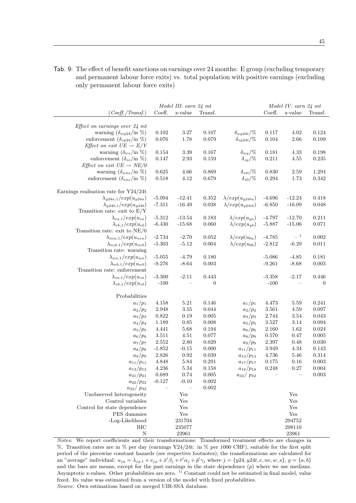|  | Tab. 9: The effect of benefit sanctions on earnings over 24 months: E group (excluding temporary |
|--|--------------------------------------------------------------------------------------------------|
|  | and permanent labour force exits) vs. total population with positive earnings (excluding         |
|  | only permanent labour force exits)                                                               |

|                                            | Model III: earn $24$ mt |                      |                  | Model IV: earn $24$ mt   |          |          |          |
|--------------------------------------------|-------------------------|----------------------|------------------|--------------------------|----------|----------|----------|
| (Coeff./Transf.)                           | Coeff.                  | z-value              | Transf.          |                          | Coeff.   | z-value  | Transf.  |
|                                            |                         |                      |                  |                          |          |          |          |
| Effect on earnings over $24$ mt            |                         |                      |                  |                          |          |          |          |
| warning $(\delta_{wy24}/\text{in }\%)$     | 0.102                   | $3.27\,$             | 0.107            | $\delta_{wy24t}/\%$      | 0.117    | 4.02     | 0.124    |
| enforcement $(\delta_{sy24}/\text{in }\%)$ | 0.076                   | 1.78                 | 0.079            | $\delta_{sy24t}/\%$      | 0.104    | 2.66     | 0.109    |
| Effect on exit $UE \rightarrow E/Y$        |                         |                      |                  |                          |          |          |          |
| warning $(\delta_{we}/\text{in }\%)$       | 0.154                   | 3.39                 | 0.167            | $\delta_{wy}/\%$         | 0.181    | 4.33     | 0.198    |
| enforcement $(\delta_{se}/\text{in }\%)$   | 0.147                   | 2.93                 | 0.159            | $\delta_{sy}/\%$         | 0.211    | 4.55     | 0.235    |
| Effect on exit $UE \rightarrow NE/0$       |                         |                      |                  |                          |          |          |          |
| warning $(\delta_{wne}/\text{in }\%)$      | 0.625                   | 4.66                 | 0.869            | $\delta_{w0}/\%$         | 0.830    | 2.59     | 1.294    |
| enforcement $(\delta_{sne}/\text{in }\%)$  | 0.518                   | 4.12                 | 0.679            | $\delta_{s0}/\%$         | 0.294    | 1.73     | 0.342    |
|                                            |                         |                      |                  |                          |          |          |          |
| Earnings realisation rate for $Y24/24t$    |                         |                      |                  |                          |          |          |          |
| $\lambda_{y24a,1}/exp(u_{y24a})$           | $-5.094$                | $-12.41$             | 0.352            | $\lambda/exp(u_{y24ta})$ | $-4.696$ | $-12.24$ | 0.418    |
| $\lambda_{y24b,1}/exp(u_{y24b})$           | $-7.311$                | $-16.49$             | 0.038            | $\lambda/exp(u_{y24tb})$ | $-6.850$ | $-16.09$ | 0.048    |
| Transition rate: exit to $E/Y$             |                         |                      |                  |                          |          |          |          |
| $\lambda_{ea,1}/exp(u_{ea})$               | $-5.312$                | $-13.54$             | 0.183            | $\lambda/exp(u_{ya})$    | $-4.797$ | $-12.70$ | 0.211    |
| $\lambda_{eb,1}/exp(u_{eb})$               | $-6.430$                | $-15.68$             | 0.060            | $\lambda/exp(u_{ub})$    | $-5.887$ | $-15.06$ | 0.071    |
| Transition rate: exit to $NE/0$            |                         |                      |                  |                          |          |          |          |
| $\lambda_{nea,1}/exp(u_{nea})$             | $-2.734$                | $-2.70$              | 0.052            | $\lambda/exp(u_{0a})$    | $-4.785$ | $-1$     | 0.002    |
| $\lambda_{neb,1}/exp(u_{neb})$             | $-5.303$                | $-5.12$              | 0.004            | $\lambda/exp(u_{0b})$    | $-2.812$ | $-6.29$  | 0.011    |
| Transition rate: warning                   |                         |                      |                  |                          |          |          |          |
| $\lambda_{wa,1}/exp(u_{wa})$               | $-5.055$                | $-4.79$              | 0.180            |                          | $-5.086$ | $-4.85$  | 0.181    |
| $\lambda_{wb,1}/exp(u_{wb})$               | $-9.276$                | $-8.64$              | 0.003            |                          | $-9.261$ | $-8.68$  | 0.003    |
| Transition rate: enforcement               |                         |                      |                  |                          |          |          |          |
| $\lambda_{sa,1}/exp(u_{sa})$               | $-3.300$                | $-2.11$              | 0.443            |                          | $-3.358$ | $-2.17$  | 0.446    |
| $\lambda_{sb,1}/exp(u_{sb})$               | $-100$                  |                      | $\boldsymbol{0}$ |                          | $-100$   |          | $\theta$ |
|                                            |                         |                      |                  |                          |          |          |          |
| Probabilities                              |                         |                      |                  |                          |          |          |          |
| $a_1/p_1$                                  | 4.158                   | 5.21                 | 0.146            | $a_1/p_1$                | 4.473    | 5.59     | 0.241    |
| $a_2/p_2$                                  | 2.948                   | 3.55                 | 0.044            | $a_2/p_2$                | 3.561    | 4.59     | 0.097    |
| $a_3/p_3$                                  | 0.822                   | 0.19                 | 0.005            | $a_3/p_3$                | 2.744    | 3.54     | 0.043    |
| $a_4/p_4$                                  | 1.189                   | 0.85                 | 0.008            | $a_5/p_5$                | 3.527    | 3.14     | 0.094    |
| $a_5/p_5$                                  | 4.441                   | 5.68                 | 0.194            | $a_6/p_6$                | 2.160    | 1.62     | 0.024    |
| $a_6/p_6$                                  | 3.511                   | 4.51                 | 0.077            | $a_8/p_8$                | 0.570    | 0.47     | 0.005    |
| $a_7/p_7$                                  | 2.552                   | 2.80                 | 0.029            | $a_9/p_9$                | 2.397    | 0.48     | 0.030    |
| $a_8/p_8$                                  | $-1.852$                | $-0.15$              | 0.000            | $a_{11}/p_{11}$          | 3.949    | 4.34     | 0.143    |
| $a_9/p_9$                                  | 2.826                   | 0.92                 | 0.039            | $a_{13}/p_{13}$          | 4.736    | 5.46     | 0.314    |
| $a_{11}/p_{11}$                            | 4.848                   | 5.84                 | 0.291            | $a_{17}/p_{17}$          | 0.175    | 0.16     | 0.003    |
| $a_{13}/p_{13}$                            | 4.236                   | 5.34                 | 0.158            | $a_{18}/p_{18}$          | 0.248    | $0.27\,$ | 0.004    |
| $a_{21}/p_{21}$                            | 0.689                   | 0.74                 | 0.005            | $a_{32}/p_{32}$          |          |          | 0.003    |
| $a_{22}/p_{22}$                            | $-0.127$                | $-0.10$              | 0.002            |                          |          |          |          |
| $a_{32}/p_{32}$                            |                         |                      | 0.002            |                          |          |          |          |
| Unobserved heterogeneity                   |                         | Yes                  |                  |                          |          | Yes      |          |
| Control variables                          |                         | Yes                  |                  |                          |          | Yes      |          |
| Control for state dependence               |                         | Yes                  |                  |                          |          | Yes      |          |
| PES dummies                                |                         | $\operatorname{Yes}$ |                  |                          |          | Yes      |          |
| -Log-Likelihood                            |                         | 231704               |                  |                          |          | 294752   |          |
| <b>BIC</b>                                 |                         | 235077               |                  |                          |          | 298110   |          |
| N                                          |                         | 23961                |                  |                          |          | 23961    |          |

Notes: We report coefficients and their transformations: Transformed treatment effects are changes in %. Transition rates are in % per day (earnings Y24/24t: in % per 1000 CHF), suitable for the first split period of the piecewise constant hazards (see respective footnotes); the transformations are calculated for an "average" individual:  $u_{jg} = \lambda_{jg,1} + v_{jg} + \bar{x}'\beta_j + \bar{r}'\alpha_j + \bar{p}'\gamma_j$  where  $j = \{y24, y24t, e, ne, w, s\}, g = \{a, b\}$ and the bars are means, except for the past earnings in the state dependence  $(p)$  where we use medians. Asymptotic z-values. Other probabilities are zero.  $1)$  Constant could not be estimated in final model, value fixed. Its value was estimated from a version of the model with fixed probabilities. Source: Own estimations based on merged UIR-SSA database.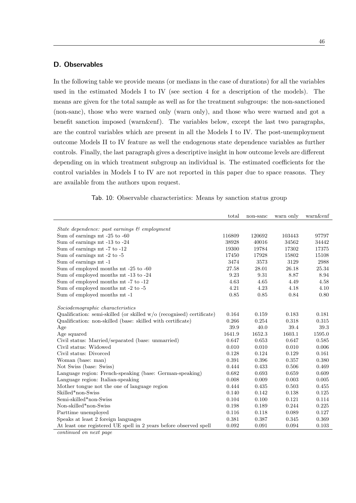#### D. Observables

In the following table we provide means (or medians in the case of durations) for all the variables used in the estimated Models I to IV (see section 4 for a description of the models). The means are given for the total sample as well as for the treatment subgroups: the non-sanctioned (non-sanc), those who were warned only (warn only), and those who were warned and got a benefit sanction imposed (warn&enf). The variables below, except the last two paragraphs, are the control variables which are present in all the Models I to IV. The post-unemployment outcome Models II to IV feature as well the endogenous state dependence variables as further controls. Finally, the last paragraph gives a descriptive insight in how outcome levels are different depending on in which treatment subgroup an individual is. The estimated coefficients for the control variables in Models I to IV are not reported in this paper due to space reasons. They are available from the authors upon request.

|                                                                         | total  | non-sanc | warn only | warn&enf |
|-------------------------------------------------------------------------|--------|----------|-----------|----------|
| State dependence: past earnings $\mathcal{C}$ employment                |        |          |           |          |
| Sum of earnings mt -25 to -60                                           | 116809 | 120692   | 103443    | 97797    |
| Sum of earnings $mt - 13$ to $-24$                                      | 38928  | 40016    | 34562     | 34442    |
| Sum of earnings mt -7 to -12                                            | 19300  | 19784    | 17302     | 17375    |
| Sum of earnings mt -2 to -5                                             | 17450  | 17928    | 15802     | 15108    |
| Sum of earnings mt -1                                                   | 3474   | 3573     | 3129      | 2988     |
| Sum of employed months mt -25 to -60                                    | 27.58  | 28.01    | 26.18     | 25.34    |
| Sum of employed months mt -13 to -24                                    | 9.23   | 9.31     | 8.87      | $8.94\,$ |
| Sum of employed months mt -7 to -12                                     | 4.63   | 4.65     | 4.49      | 4.58     |
| Sum of employed months mt -2 to -5                                      | 4.21   | 4.23     | 4.18      | 4.10     |
| Sum of employed months mt-1                                             | 0.85   | 0.85     | 0.84      | 0.80     |
|                                                                         |        |          |           |          |
| Sociodemographic characteristics                                        |        |          |           |          |
| Qualification: semi-skilled (or skilled $w/o$ (recognised) certificate) | 0.164  | 0.159    | 0.183     | 0.181    |
| Qualification: non-skilled (base: skilled with certificate)             | 0.266  | 0.254    | 0.318     | 0.315    |
| Age                                                                     | 39.9   | 40.0     | 39.4      | 39.3     |
| Age squared                                                             | 1641.9 | 1652.3   | 1603.1    | 1595.0   |
| Civil status: Married/separated (base: unmarried)                       | 0.647  | 0.653    | 0.647     | 0.585    |
| Civil status: Widowed                                                   | 0.010  | 0.010    | 0.010     | 0.006    |
| Civil status: Divorced                                                  | 0.128  | 0.124    | 0.129     | 0.161    |
| Woman (base: man)                                                       | 0.391  | 0.396    | 0.357     | 0.380    |
| Not Swiss (base: Swiss)                                                 | 0.444  | 0.433    | 0.506     | 0.469    |
| Language region: French-speaking (base: German-speaking)                | 0.682  | 0.693    | 0.659     | 0.609    |
| Language region: Italian-speaking                                       | 0.008  | 0.009    | 0.003     | 0.005    |
| Mother tongue not the one of language region                            | 0.444  | 0.435    | 0.503     | 0.455    |
| Skilled*non-Swiss                                                       | 0.140  | 0.142    | 0.138     | 0.125    |
| Semi-skilled*non-Swiss                                                  | 0.104  | 0.100    | 0.121     | 0.114    |
| Non-skilled*non-Swiss                                                   | 0.198  | 0.189    | 0.244     | 0.225    |
| Parttime unemployed                                                     | 0.116  | 0.118    | 0.089     | 0.127    |
| Speaks at least 2 foreign languages                                     | 0.381  | 0.387    | 0.345     | 0.369    |
| At least one registered UE spell in 2 years before observed spell       | 0.092  | 0.091    | 0.094     | 0.103    |
|                                                                         |        |          |           |          |

continued on next page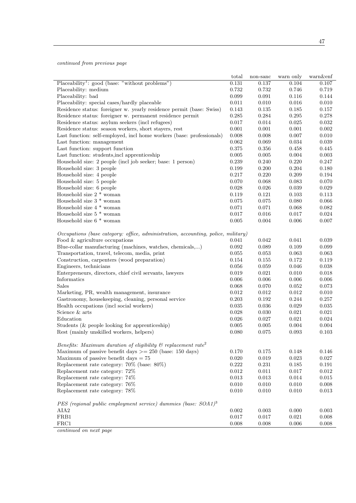continued from previous page

| Placeability <sup>1</sup> : good (base: "without problems")<br>0.131<br>Placeability: medium<br>0.732<br>Placeability: bad<br>0.099<br>Placeability: special cases/hardly placeable<br>0.011<br>Residence status: foreigner w. yearly residence permit (base: Swiss)<br>0.143<br>Residence status: foreigner w. permanent residence permit<br>0.285<br>Residence status: asylum seekers (incl refugees)<br>0.017<br>Residence status: season workers, short stayers, rest<br>0.001<br>Last function: self-employed, incl home workers (base: professionals)<br>0.008<br>Last function: management<br>0.062<br>Last function: support function<br>0.375<br>Last function: students, incl apprenticeship<br>0.005<br>Household size: 2 people (incl job seeker; base: 1 person)<br>0.239<br>Household size: 3 people<br>0.199<br>Household size: 4 people<br>0.217<br>Household size: 5 people<br>0.070<br>Household size: 6 people<br>0.028<br>Household size $2 *$ woman<br>0.119<br>Household size 3 $*$ woman<br>0.075 | 0.137<br>0.732<br>0.091<br>0.010<br>0.135<br>0.284<br>0.014 | 0.104<br>0.746<br>0.116<br>0.016<br>0.185 | 0.107<br>0.719<br>0.144 |
|--------------------------------------------------------------------------------------------------------------------------------------------------------------------------------------------------------------------------------------------------------------------------------------------------------------------------------------------------------------------------------------------------------------------------------------------------------------------------------------------------------------------------------------------------------------------------------------------------------------------------------------------------------------------------------------------------------------------------------------------------------------------------------------------------------------------------------------------------------------------------------------------------------------------------------------------------------------------------------------------------------------------------|-------------------------------------------------------------|-------------------------------------------|-------------------------|
|                                                                                                                                                                                                                                                                                                                                                                                                                                                                                                                                                                                                                                                                                                                                                                                                                                                                                                                                                                                                                          |                                                             |                                           |                         |
|                                                                                                                                                                                                                                                                                                                                                                                                                                                                                                                                                                                                                                                                                                                                                                                                                                                                                                                                                                                                                          |                                                             |                                           |                         |
|                                                                                                                                                                                                                                                                                                                                                                                                                                                                                                                                                                                                                                                                                                                                                                                                                                                                                                                                                                                                                          |                                                             |                                           |                         |
|                                                                                                                                                                                                                                                                                                                                                                                                                                                                                                                                                                                                                                                                                                                                                                                                                                                                                                                                                                                                                          |                                                             |                                           | 0.010                   |
|                                                                                                                                                                                                                                                                                                                                                                                                                                                                                                                                                                                                                                                                                                                                                                                                                                                                                                                                                                                                                          |                                                             |                                           | 0.157                   |
|                                                                                                                                                                                                                                                                                                                                                                                                                                                                                                                                                                                                                                                                                                                                                                                                                                                                                                                                                                                                                          |                                                             | 0.295                                     | $0.278\,$               |
|                                                                                                                                                                                                                                                                                                                                                                                                                                                                                                                                                                                                                                                                                                                                                                                                                                                                                                                                                                                                                          |                                                             | 0.025                                     | 0.032                   |
|                                                                                                                                                                                                                                                                                                                                                                                                                                                                                                                                                                                                                                                                                                                                                                                                                                                                                                                                                                                                                          | 0.001                                                       | 0.001                                     | $0.002\,$               |
|                                                                                                                                                                                                                                                                                                                                                                                                                                                                                                                                                                                                                                                                                                                                                                                                                                                                                                                                                                                                                          | 0.008                                                       | 0.007                                     | 0.010                   |
|                                                                                                                                                                                                                                                                                                                                                                                                                                                                                                                                                                                                                                                                                                                                                                                                                                                                                                                                                                                                                          | 0.069                                                       | 0.034                                     | 0.039                   |
|                                                                                                                                                                                                                                                                                                                                                                                                                                                                                                                                                                                                                                                                                                                                                                                                                                                                                                                                                                                                                          | 0.356                                                       | 0.458                                     | 0.445                   |
|                                                                                                                                                                                                                                                                                                                                                                                                                                                                                                                                                                                                                                                                                                                                                                                                                                                                                                                                                                                                                          | 0.005                                                       | 0.004                                     | $\,0.003\,$             |
|                                                                                                                                                                                                                                                                                                                                                                                                                                                                                                                                                                                                                                                                                                                                                                                                                                                                                                                                                                                                                          | 0.240                                                       | 0.220                                     | 0.247                   |
|                                                                                                                                                                                                                                                                                                                                                                                                                                                                                                                                                                                                                                                                                                                                                                                                                                                                                                                                                                                                                          | 0.200                                                       | 0.204                                     | $0.180\,$               |
|                                                                                                                                                                                                                                                                                                                                                                                                                                                                                                                                                                                                                                                                                                                                                                                                                                                                                                                                                                                                                          | 0.220                                                       | 0.209                                     | 0.194                   |
|                                                                                                                                                                                                                                                                                                                                                                                                                                                                                                                                                                                                                                                                                                                                                                                                                                                                                                                                                                                                                          | 0.068                                                       | 0.083                                     | 0.070                   |
|                                                                                                                                                                                                                                                                                                                                                                                                                                                                                                                                                                                                                                                                                                                                                                                                                                                                                                                                                                                                                          | 0.026                                                       | 0.039                                     | $\,0.029\,$             |
|                                                                                                                                                                                                                                                                                                                                                                                                                                                                                                                                                                                                                                                                                                                                                                                                                                                                                                                                                                                                                          | 0.121                                                       | 0.103                                     | 0.113                   |
|                                                                                                                                                                                                                                                                                                                                                                                                                                                                                                                                                                                                                                                                                                                                                                                                                                                                                                                                                                                                                          | 0.075                                                       | 0.080                                     | 0.066                   |
| Household size 4 $*$ woman<br>0.071                                                                                                                                                                                                                                                                                                                                                                                                                                                                                                                                                                                                                                                                                                                                                                                                                                                                                                                                                                                      | 0.071                                                       | 0.068                                     | $\,0.082\,$             |
| Household size $5$ * woman<br>0.017                                                                                                                                                                                                                                                                                                                                                                                                                                                                                                                                                                                                                                                                                                                                                                                                                                                                                                                                                                                      | 0.016                                                       | 0.017                                     | $\,0.024\,$             |
| Household size $6 *$ woman<br>0.005                                                                                                                                                                                                                                                                                                                                                                                                                                                                                                                                                                                                                                                                                                                                                                                                                                                                                                                                                                                      | 0.004                                                       | 0.006                                     | 0.007                   |
| Occupations (base category: office, administration, accounting, police, military)                                                                                                                                                                                                                                                                                                                                                                                                                                                                                                                                                                                                                                                                                                                                                                                                                                                                                                                                        |                                                             |                                           |                         |
| Food & agriculture occupations<br>0.041                                                                                                                                                                                                                                                                                                                                                                                                                                                                                                                                                                                                                                                                                                                                                                                                                                                                                                                                                                                  | 0.042                                                       | 0.041                                     | 0.039                   |
| Blue-collar manufacturing (machines, watches, chemicals,)<br>0.092                                                                                                                                                                                                                                                                                                                                                                                                                                                                                                                                                                                                                                                                                                                                                                                                                                                                                                                                                       | 0.089                                                       | 0.109                                     | $0.099\,$               |
| Transportation, travel, telecom, media, print<br>0.055                                                                                                                                                                                                                                                                                                                                                                                                                                                                                                                                                                                                                                                                                                                                                                                                                                                                                                                                                                   | 0.053                                                       | 0.063                                     | 0.063                   |
| Construction, carpenters (wood preparation)<br>0.154                                                                                                                                                                                                                                                                                                                                                                                                                                                                                                                                                                                                                                                                                                                                                                                                                                                                                                                                                                     | 0.155                                                       | 0.172                                     | $0.119\,$               |
| Engineers, technicians<br>0.056                                                                                                                                                                                                                                                                                                                                                                                                                                                                                                                                                                                                                                                                                                                                                                                                                                                                                                                                                                                          | 0.059                                                       | 0.046                                     | 0.038                   |
| Enterpreneurs, directors, chief civil servants, lawyers<br>0.019                                                                                                                                                                                                                                                                                                                                                                                                                                                                                                                                                                                                                                                                                                                                                                                                                                                                                                                                                         | 0.021                                                       | 0.010                                     | 0.018                   |
| Informatics<br>0.006                                                                                                                                                                                                                                                                                                                                                                                                                                                                                                                                                                                                                                                                                                                                                                                                                                                                                                                                                                                                     | 0.006                                                       | 0.006                                     | $0.006\,$               |
| Sales<br>0.068                                                                                                                                                                                                                                                                                                                                                                                                                                                                                                                                                                                                                                                                                                                                                                                                                                                                                                                                                                                                           | 0.070                                                       | 0.052                                     | 0.073                   |
| Marketing, PR, wealth management, insurance<br>0.012                                                                                                                                                                                                                                                                                                                                                                                                                                                                                                                                                                                                                                                                                                                                                                                                                                                                                                                                                                     | 0.012                                                       | 0.012                                     | 0.010                   |
| Gastronomy, housekeeping, cleaning, personal service<br>0.203                                                                                                                                                                                                                                                                                                                                                                                                                                                                                                                                                                                                                                                                                                                                                                                                                                                                                                                                                            | 0.192                                                       | 0.244                                     | $0.257\,$               |
| Health occupations (incl social workers)<br>0.035                                                                                                                                                                                                                                                                                                                                                                                                                                                                                                                                                                                                                                                                                                                                                                                                                                                                                                                                                                        | 0.036                                                       | 0.029                                     | $\,0.035\,$             |
| Science & arts<br>0.028                                                                                                                                                                                                                                                                                                                                                                                                                                                                                                                                                                                                                                                                                                                                                                                                                                                                                                                                                                                                  | 0.030                                                       | 0.021                                     | 0.021                   |
| Education<br>0.026                                                                                                                                                                                                                                                                                                                                                                                                                                                                                                                                                                                                                                                                                                                                                                                                                                                                                                                                                                                                       | 0.027                                                       | 0.021                                     | $\,0.024\,$             |
| Students ( $\&$ people looking for apprenticeship)<br>0.005                                                                                                                                                                                                                                                                                                                                                                                                                                                                                                                                                                                                                                                                                                                                                                                                                                                                                                                                                              | 0.005                                                       | $0.004\,$                                 | $0.004\,$               |
| Rest (mainly unskilled workers, helpers)<br>0.080                                                                                                                                                                                                                                                                                                                                                                                                                                                                                                                                                                                                                                                                                                                                                                                                                                                                                                                                                                        | 0.075                                                       | 0.093                                     | 0.103                   |
| Benefits: Maximum duration of eligibility $\mathcal C$ replacement rate <sup>2</sup>                                                                                                                                                                                                                                                                                                                                                                                                                                                                                                                                                                                                                                                                                                                                                                                                                                                                                                                                     |                                                             |                                           |                         |
| Maximum of passive benefit days $\geq$ 250 (base: 150 days)<br>0.170                                                                                                                                                                                                                                                                                                                                                                                                                                                                                                                                                                                                                                                                                                                                                                                                                                                                                                                                                     | 0.175                                                       | 0.148                                     | 0.146                   |
| Maximum of passive benefit days $= 75$<br>0.020                                                                                                                                                                                                                                                                                                                                                                                                                                                                                                                                                                                                                                                                                                                                                                                                                                                                                                                                                                          | 0.019                                                       | $\,0.023\,$                               | 0.027                   |
| Replacement rate category: 70% (base: 80%)<br>0.222                                                                                                                                                                                                                                                                                                                                                                                                                                                                                                                                                                                                                                                                                                                                                                                                                                                                                                                                                                      | 0.231                                                       | 0.185                                     | 0.191                   |
| Replacement rate category: 72%<br>0.012                                                                                                                                                                                                                                                                                                                                                                                                                                                                                                                                                                                                                                                                                                                                                                                                                                                                                                                                                                                  | 0.011                                                       | 0.017                                     | $\,0.012\,$             |
| Replacement rate category: 74%<br>0.013                                                                                                                                                                                                                                                                                                                                                                                                                                                                                                                                                                                                                                                                                                                                                                                                                                                                                                                                                                                  | $\,0.013\,$                                                 | 0.014                                     | 0.015                   |
| Replacement rate category: 76%<br>0.010                                                                                                                                                                                                                                                                                                                                                                                                                                                                                                                                                                                                                                                                                                                                                                                                                                                                                                                                                                                  | 0.010                                                       | 0.010                                     | 0.008                   |
| Replacement rate category: 78%<br>0.010                                                                                                                                                                                                                                                                                                                                                                                                                                                                                                                                                                                                                                                                                                                                                                                                                                                                                                                                                                                  |                                                             | 0.010                                     | $\,0.013\,$             |
| PES (regional public employment service) dummies (base: SOA1) <sup>3</sup>                                                                                                                                                                                                                                                                                                                                                                                                                                                                                                                                                                                                                                                                                                                                                                                                                                                                                                                                               | 0.010                                                       |                                           |                         |
| AIA2<br>0.002                                                                                                                                                                                                                                                                                                                                                                                                                                                                                                                                                                                                                                                                                                                                                                                                                                                                                                                                                                                                            |                                                             |                                           |                         |
| FRB1<br>$0.017\,$                                                                                                                                                                                                                                                                                                                                                                                                                                                                                                                                                                                                                                                                                                                                                                                                                                                                                                                                                                                                        |                                                             |                                           | 0.003                   |
| FRC1<br>0.008                                                                                                                                                                                                                                                                                                                                                                                                                                                                                                                                                                                                                                                                                                                                                                                                                                                                                                                                                                                                            | $\,0.003\,$                                                 | 0.000                                     |                         |
| continued on next page                                                                                                                                                                                                                                                                                                                                                                                                                                                                                                                                                                                                                                                                                                                                                                                                                                                                                                                                                                                                   | $0.017\,$<br>0.008                                          | 0.021<br>0.006                            | $0.008\,$<br>0.008      |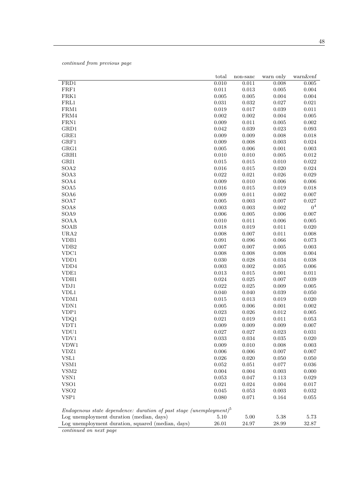continued from previous page

|                                                                                       | total       | non-sanc    | warn only   | warn&enf       |  |  |
|---------------------------------------------------------------------------------------|-------------|-------------|-------------|----------------|--|--|
| FRD1                                                                                  | 0.010       | 0.011       | 0.008       | 0.005          |  |  |
| ${\rm FRF1}$                                                                          | 0.011       | $\,0.013\,$ | $0.005\,$   | 0.004          |  |  |
| FRK1                                                                                  | 0.005       | 0.005       | $0.004\,$   | 0.004          |  |  |
| ${\rm FRL1}$                                                                          | 0.031       | 0.032       | 0.027       | 0.021          |  |  |
| ${\rm FRM1}$                                                                          | 0.019       | 0.017       | 0.039       | 0.011          |  |  |
| FRM4                                                                                  | $\,0.002\,$ | 0.002       | 0.004       | $0.005\,$      |  |  |
| FRN1                                                                                  | 0.009       | 0.011       | $0.005\,$   | $\,0.002\,$    |  |  |
| GRD1                                                                                  | 0.042       | 0.039       | 0.023       | 0.093          |  |  |
| GRE1                                                                                  | 0.009       | 0.009       | 0.008       | 0.018          |  |  |
| GRF1                                                                                  | 0.009       | 0.008       | $0.003\,$   | 0.024          |  |  |
| GRG1                                                                                  | 0.005       | $0.006\,$   | 0.001       | 0.003          |  |  |
| GRH1                                                                                  | 0.010       | 0.010       | 0.005       | 0.012          |  |  |
| $\rm GRI1$                                                                            | 0.015       | 0.015       | 0.010       | $\,0.022\,$    |  |  |
| SOA2                                                                                  | 0.016       | $\,0.015\,$ | 0.020       | 0.024          |  |  |
| SOA3                                                                                  | 0.022       | 0.021       | 0.026       | 0.029          |  |  |
| SOA4                                                                                  | 0.009       | 0.010       | $0.006\,$   | 0.006          |  |  |
| SOA5                                                                                  | 0.016       | 0.015       | 0.019       | 0.018          |  |  |
| SOA6                                                                                  | 0.009       | 0.011       | 0.002       | 0.007          |  |  |
| SOA7                                                                                  | 0.005       | $\,0.003\,$ | 0.007       | 0.027          |  |  |
| SOA8                                                                                  | $\,0.003\,$ | 0.003       | 0.002       | 0 <sup>4</sup> |  |  |
| SOA9                                                                                  | 0.006       | 0.005       | 0.006       | 0.007          |  |  |
| SOAA                                                                                  | 0.010       | 0.011       | $0.006\,$   | 0.005          |  |  |
| SOAB                                                                                  | 0.018       | 0.019       | 0.011       | 0.020          |  |  |
| URA <sub>2</sub>                                                                      | 0.008       | 0.007       | 0.011       | 0.008          |  |  |
| VDB1                                                                                  | 0.091       | 0.096       | $0.066\,$   | $\,0.073\,$    |  |  |
| VDB <sub>2</sub>                                                                      | 0.007       | 0.007       | 0.005       | $\,0.003\,$    |  |  |
| VDC1                                                                                  | 0.008       | 0.008       | 0.008       | 0.004          |  |  |
| VD <sub>D</sub> 1                                                                     | 0.030       | 0.028       | 0.034       | 0.038          |  |  |
| VDD4                                                                                  | $\,0.003\,$ | $0.002\,$   | $0.005\,$   | $0.006\,$      |  |  |
| VDE1                                                                                  | $\,0.013\,$ | $\,0.015\,$ | 0.001       | 0.011          |  |  |
| VDH1                                                                                  | 0.024       | 0.025       | 0.007       | 0.039          |  |  |
| VDJ1                                                                                  | 0.022       | $\,0.025\,$ | 0.009       | 0.005          |  |  |
| VDL1                                                                                  | 0.040       | 0.040       | 0.039       | 0.050          |  |  |
| VDM1                                                                                  | 0.015       | 0.013       | 0.019       | 0.020          |  |  |
| VDN1                                                                                  | 0.005       | 0.006       | 0.001       | 0.002          |  |  |
| VDP1                                                                                  | 0.023       | 0.026       | $\,0.012\,$ | 0.005          |  |  |
| VDQ1                                                                                  | 0.021       | 0.019       | $0.011\,$   | 0.053          |  |  |
| VDT1                                                                                  | 0.009       | 0.009       | 0.009       | 0.007          |  |  |
| VDU1                                                                                  | 0.027       | 0.027       | 0.023       | 0.031          |  |  |
| VDV1                                                                                  | 0.033       | 0.034       | 0.035       | 0.020          |  |  |
| VDW1                                                                                  | 0.009       | 0.010       | 0.008       | 0.003          |  |  |
| VDZ1                                                                                  | 0.006       | 0.006       | 0.007       | $0.007\,$      |  |  |
| ${\rm VSL}1$                                                                          | 0.026       | $0.020\,$   | $0.050\,$   | $0.050\,$      |  |  |
| VSM1                                                                                  | 0.052       | 0.051       | 0.077       | 0.036          |  |  |
| ${\rm VSM2}$                                                                          | 0.004       | $0.004\,$   | 0.003       | $0.000\,$      |  |  |
| VSN1                                                                                  | 0.053       | 0.047       | 0.113       | $0.029\,$      |  |  |
| VSO1                                                                                  | 0.021       | 0.024       | 0.004       | 0.017          |  |  |
| VSO <sub>2</sub>                                                                      | $\,0.045\,$ | 0.053       | 0.003       | 0.032          |  |  |
| VSP1                                                                                  | 0.080       | 0.071       | 0.164       | 0.055          |  |  |
|                                                                                       |             |             |             |                |  |  |
| $Endogenous\ state\ dependence\$ : duration of past stage (unemployment) <sup>5</sup> |             |             |             |                |  |  |
| Log unemployment duration (median, days)                                              | 5.10        | 5.00        | 5.38        | 5.73           |  |  |
| Log unemployment duration, squared (median, days)                                     | $26.01\,$   | 24.97       | 28.99       | 32.87          |  |  |

continued on next page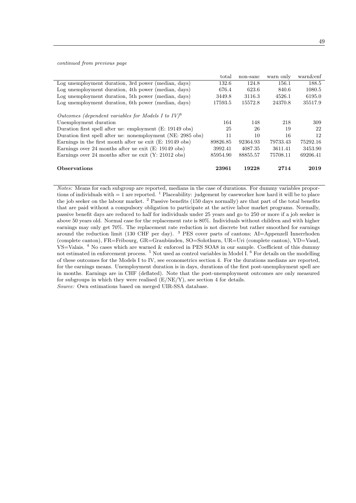#### continued from previous page

|                                                                    | total    | non-sanc | warn only | warn&enf |
|--------------------------------------------------------------------|----------|----------|-----------|----------|
| Log unemployment duration, 3rd power (median, days)                | 132.6    | 124.8    | 156.1     | 188.5    |
| Log unemployment duration, 4th power (median, days)                | 676.4    | 623.6    | 840.6     | 1080.5   |
| Log unemployment duration, 5th power (median, days)                | 3449.8   | 3116.3   | 4526.1    | 6195.0   |
| Log unemployment duration, 6th power (median, days)                | 17593.5  | 15572.8  | 24370.8   | 35517.9  |
| Outcomes (dependent variables for Models I to $IV$ ) <sup>6</sup>  |          |          |           |          |
| Unemployment duration                                              | 164      | 148      | 218       | 309      |
| Duration first spell after ue: employment (E: 19149 obs)           | 25       | 26       | 19        | 22       |
| Duration first spell after ue: nonemployment (NE: 2985 obs)        | 11       | 10       | 16        | 12       |
| Earnings in the first month after ue exit $(E: 19149 \text{ obs})$ | 89826.85 | 92364.93 | 79733.43  | 75292.16 |
| Earnings over 24 months after ue exit (E: 19149 obs)               | 3992.41  | 4087.35  | 3611.41   | 3453.90  |
| Earnings over 24 months after ue exit $(Y: 21012$ obs)             | 85954.90 | 88855.57 | 75708.11  | 69206.41 |
| <b>Observations</b>                                                | 23961    | 19228    | 2714      | 2019     |

Notes: Means for each subgroup are reported, medians in the case of durations. For dummy variables proportions of individuals with  $= 1$  are reported. <sup>1</sup> Placeability: judgement by caseworker how hard it will be to place the job seeker on the labour market. <sup>2</sup> Passive benefits (150 days normally) are that part of the total benefits that are paid without a compulsory obligation to participate at the active labor market programs. Normally, passive benefit days are reduced to half for individuals under 25 years and go to 250 or more if a job seeker is above 50 years old. Normal case for the replacement rate is 80%. Individuals without children and with higher earnings may only get 70%. The replacement rate reduction is not discrete but rather smoothed for earnings around the reduction limit (130 CHF per day). <sup>3</sup> PES cover parts of cantons; AI=Appenzell Innerrhoden (complete canton), FR=Fribourg, GR=Graub¨unden, SO=Solothurn, UR=Uri (complete canton), VD=Vaud, VS=Valais. <sup>4</sup> No cases which are warned & enforced in PES SOA8 in our sample. Coefficient of this dummy not estimated in enforcement process. <sup>5</sup> Not used as control variables in Model I. <sup>6</sup> For details on the modelling of these outcomes for the Models I to IV, see econometrics section 4. For the durations medians are reported, for the earnings means. Unemployment duration is in days, durations of the first post-unemployment spell are in months. Earnings are in CHF (deflated). Note that the post-unemployment outcomes are only measured for subgroups in which they were realised  $(E/NE/Y)$ , see section 4 for details. Source: Own estimations based on merged UIR-SSA database.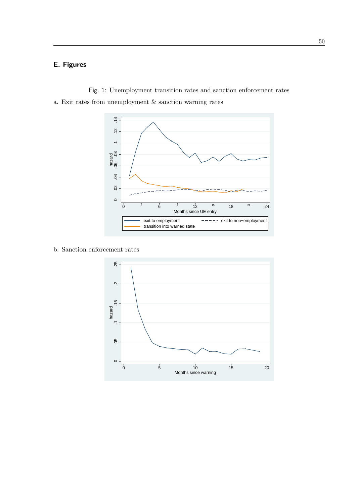### E. Figures

Fig. 1: Unemployment transition rates and sanction enforcement rates a. Exit rates from unemployment & sanction warning rates



b. Sanction enforcement rates

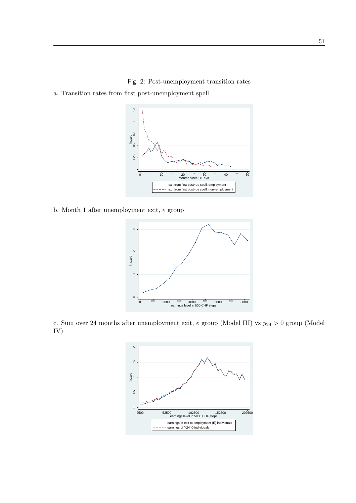- Fig. 2: Post-unemployment transition rates
- a. Transition rates from first post-unemployment spell



b. Month 1 after unemployment exit, e group



c. Sum over 24 months after unemployment exit,  $e$  group (Model III) vs  $y_{24} > 0$  group (Model IV)

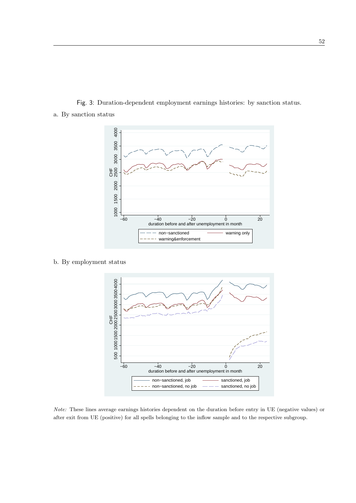

Fig. 3: Duration-dependent employment earnings histories: by sanction status. a. By sanction status

b. By employment status



Note: These lines average earnings histories dependent on the duration before entry in UE (negative values) or after exit from UE (positive) for all spells belonging to the inflow sample and to the respective subgroup.